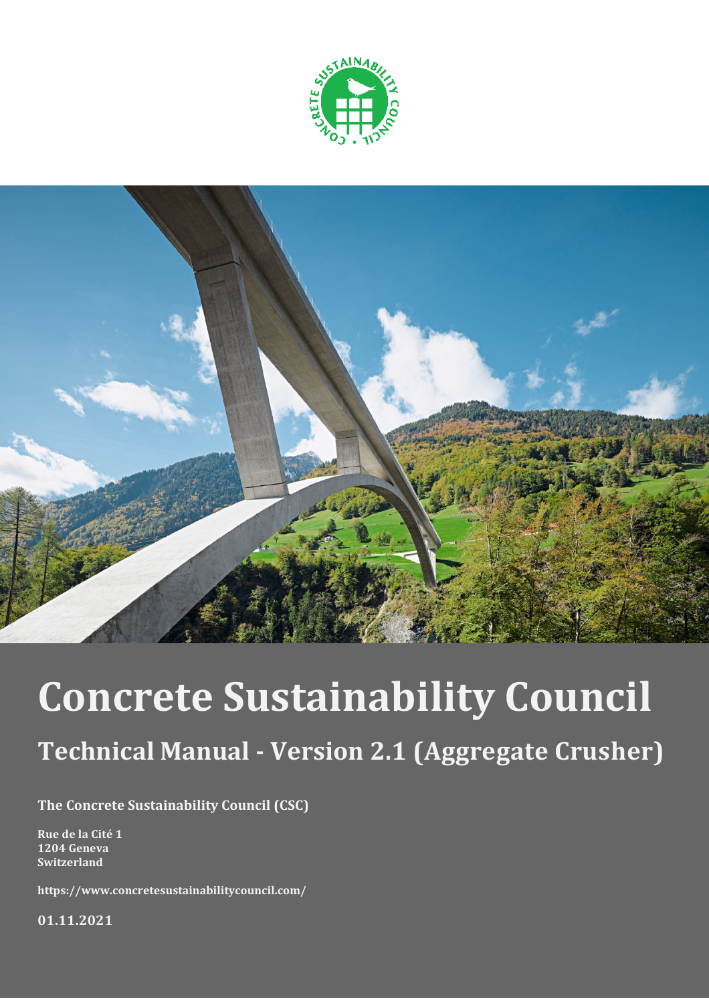



# **Concrete Sustainability Council**

## **Technical Manual - Version 2.1 (Aggregate Crusher)**

**The Concrete Sustainability Council (CSC)**

**Rue de la Cité 1 1204 Geneva Switzerland**

**https://www.concretesustainabilitycouncil.com/**

**01.11.2021**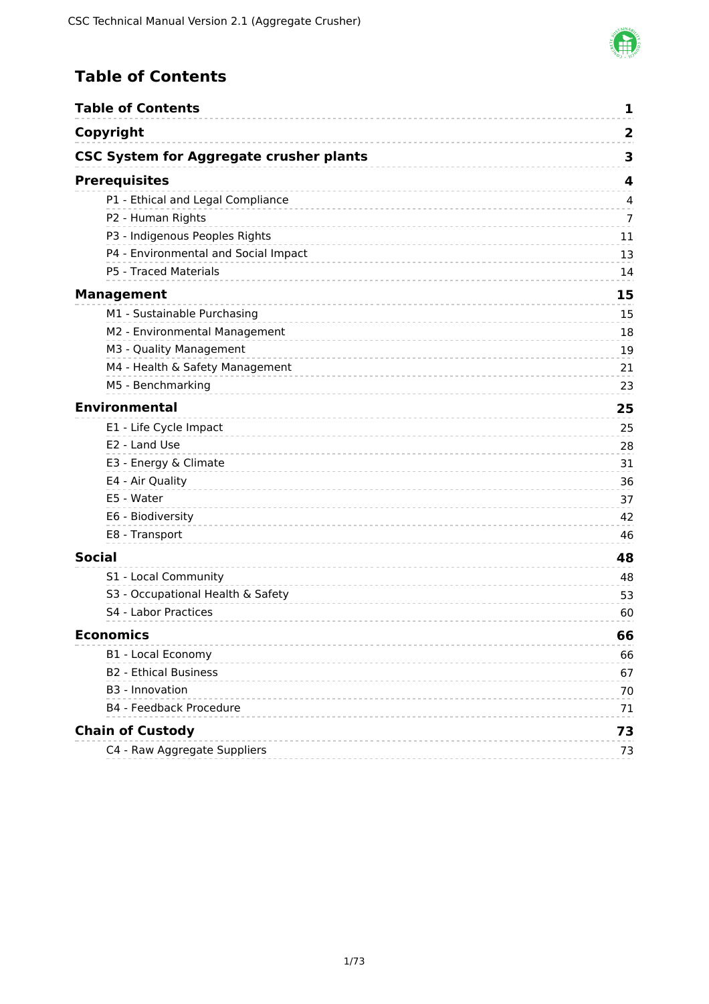

### <span id="page-1-0"></span>**Table of Contents**

| <b>Table of Contents</b>                       | 1                       |
|------------------------------------------------|-------------------------|
| Copyright                                      | $\overline{\mathbf{2}}$ |
| <b>CSC System for Aggregate crusher plants</b> | 3                       |
| <b>Prerequisites</b>                           | 4                       |
| P1 - Ethical and Legal Compliance              | 4                       |
| P2 - Human Rights                              | 7                       |
| P3 - Indigenous Peoples Rights                 | 11                      |
| P4 - Environmental and Social Impact           | 13                      |
| P5 - Traced Materials                          | 14                      |
| <b>Management</b>                              | 15                      |
| M1 - Sustainable Purchasing                    | 15                      |
| M2 - Environmental Management                  | 18                      |
| M3 - Quality Management                        | 19                      |
| M4 - Health & Safety Management                | 21                      |
| M5 - Benchmarking                              | 23                      |
| <b>Environmental</b>                           | 25                      |
| E1 - Life Cycle Impact                         | 25                      |
| E2 - Land Use                                  | 28                      |
| E3 - Energy & Climate                          | 31                      |
| E4 - Air Quality                               | 36                      |
| E5 - Water                                     | 37                      |
| E6 - Biodiversity                              | 42                      |
| E8 - Transport                                 | 46                      |
| <b>Social</b>                                  | 48                      |
| S1 - Local Community                           | 48                      |
| S3 - Occupational Health & Safety              | 53                      |
| S4 - Labor Practices                           | 60                      |
| <b>Economics</b>                               | 66                      |
| B1 - Local Economy                             | 66                      |
| <b>B2 - Ethical Business</b>                   | 67                      |
| B3 - Innovation                                | 70                      |
| B4 - Feedback Procedure                        | 71                      |
| <b>Chain of Custody</b>                        | 73                      |
| C4 - Raw Aggregate Suppliers                   | 73                      |
|                                                |                         |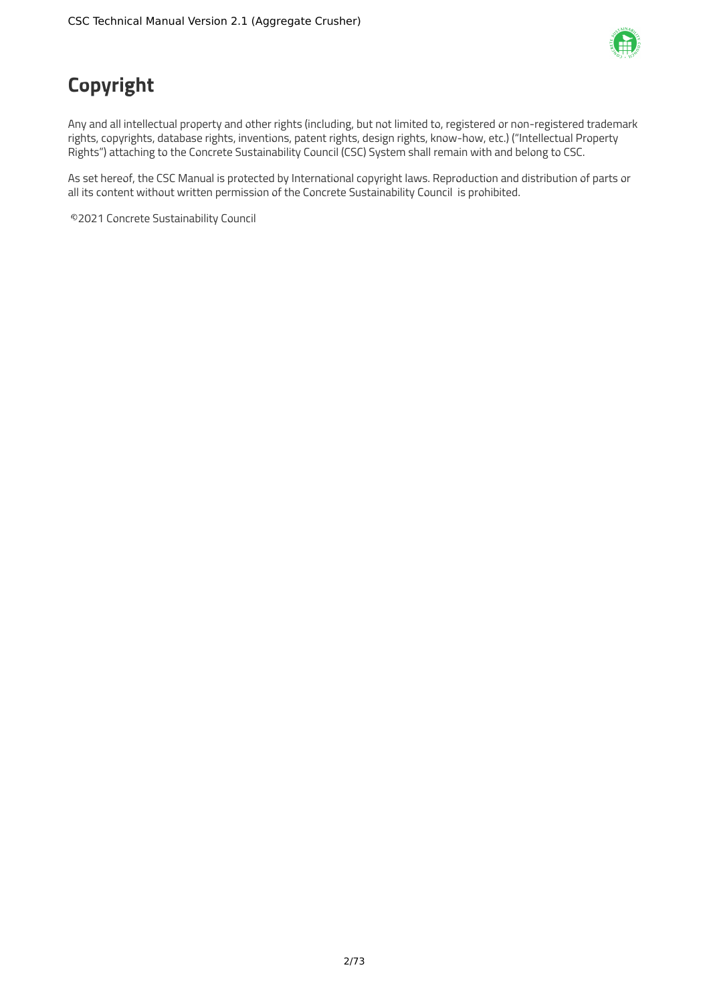

## <span id="page-2-0"></span>**Copyright**

Any and all intellectual property and other rights (including, but not limited to, registered or non-registered trademark rights, copyrights, database rights, inventions, patent rights, design rights, know-how, etc.) ("Intellectual Property Rights") attaching to the Concrete Sustainability Council (CSC) System shall remain with and belong to CSC.

As set hereof, the CSC Manual is protected by International copyright laws. Reproduction and distribution of parts or all its content without written permission of the Concrete Sustainability Council is prohibited.

©2021 Concrete Sustainability Council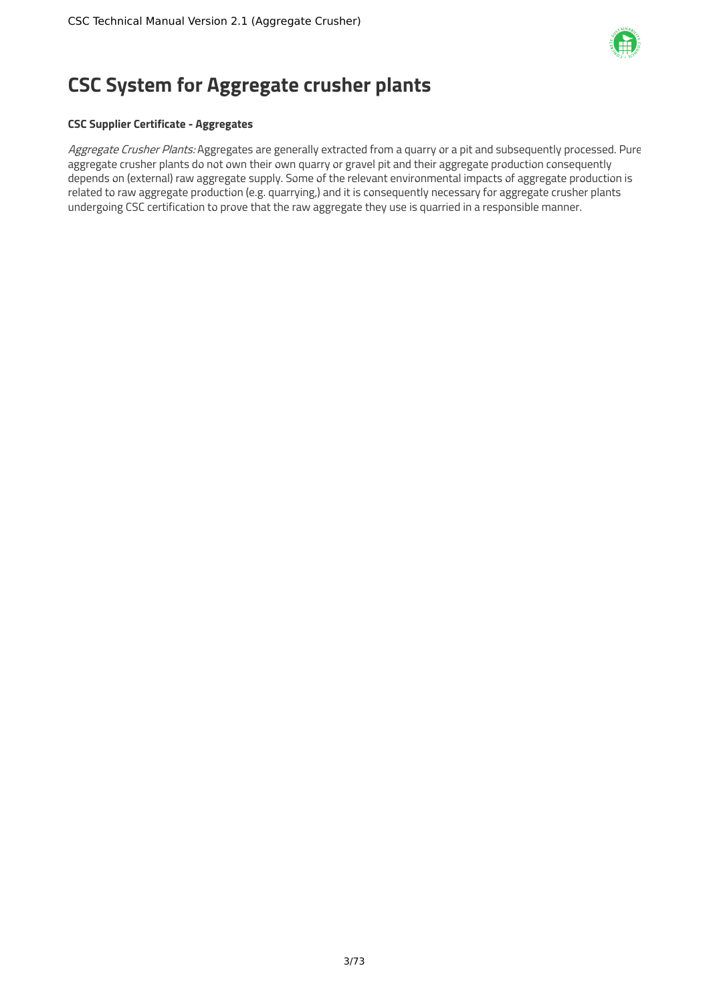

## <span id="page-3-0"></span>**CSC System for Aggregate crusher plants**

### **CSC Supplier Certificate - Aggregates**

Aggregate Crusher Plants: Aggregates are generally extracted from a quarry or a pit and subsequently processed. Pure aggregate crusher plants do not own their own quarry or gravel pit and their aggregate production consequently depends on (external) raw aggregate supply. Some of the relevant environmental impacts of aggregate production is related to raw aggregate production (e.g. quarrying,) and it is consequently necessary for aggregate crusher plants undergoing CSC certification to prove that the raw aggregate they use is quarried in a responsible manner.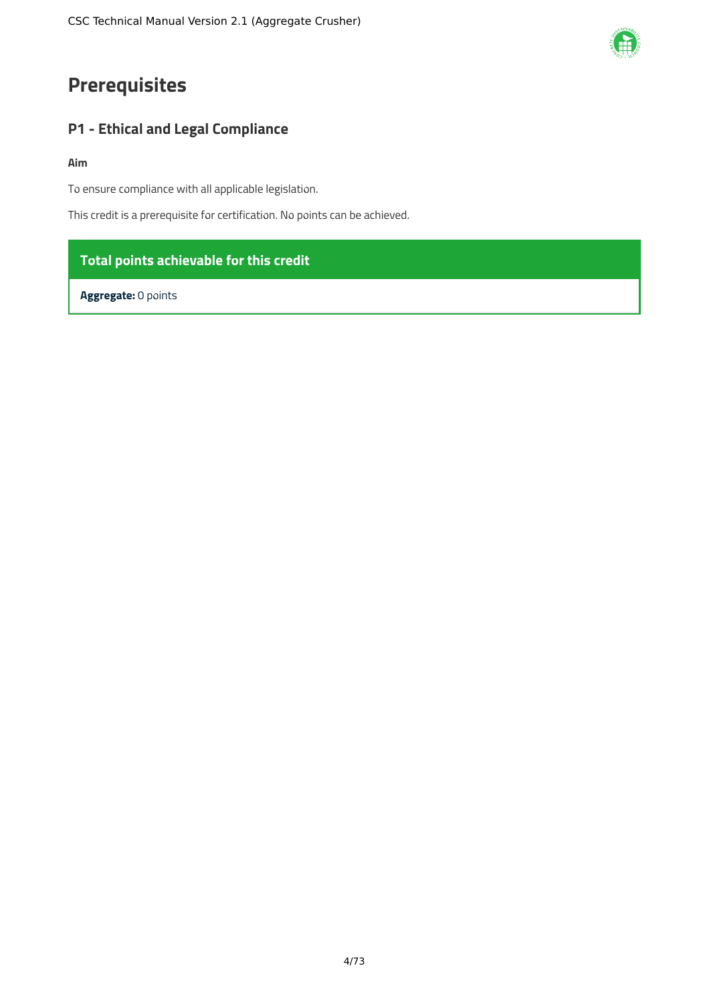## <span id="page-4-0"></span>**Prerequisites**

### <span id="page-4-1"></span>**P1 - Ethical and Legal Compliance**

### **Aim**

To ensure compliance with all applicable legislation.

This credit is a prerequisite for certification. No points can be achieved.

### **Total points achievable for this credit**

**Aggregate:** 0 points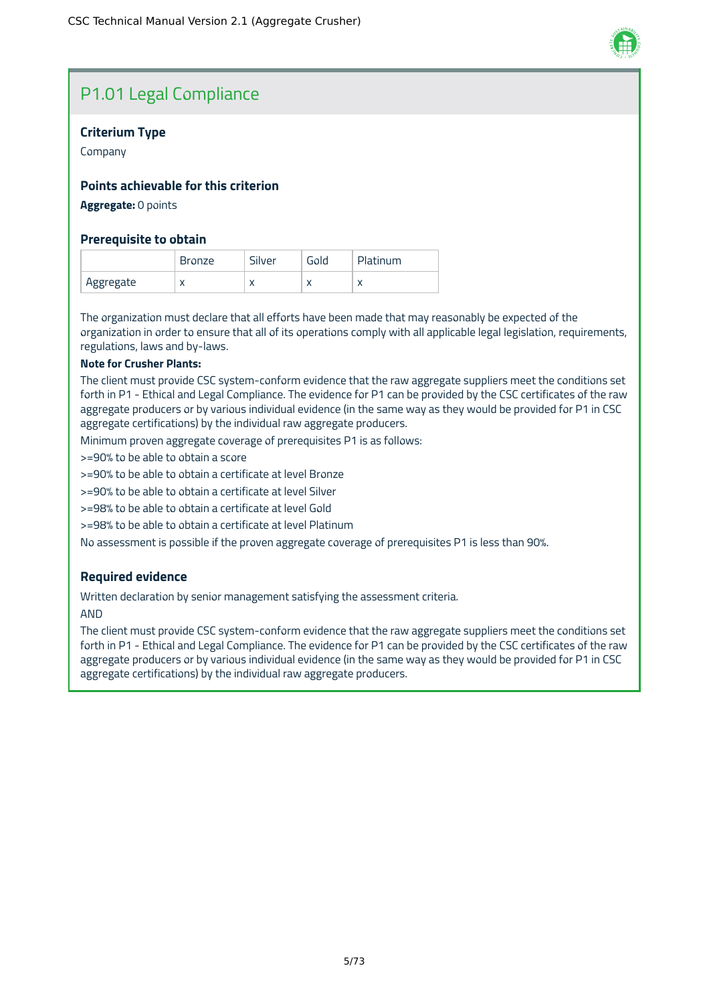### P1.01 Legal Compliance

### **Criterium Type**

Company

### **Points achievable for this criterion**

**Aggregate:** 0 points

### **Prerequisite to obtain**

|           | <b>Bronze</b> | Silver    | Gold | Platinum                 |
|-----------|---------------|-----------|------|--------------------------|
| Aggregate | $\lambda$     | $\lambda$ | л    | $\overline{\phantom{a}}$ |

The organization must declare that all efforts have been made that may reasonably be expected of the organization in order to ensure that all of its operations comply with all applicable legal legislation, requirements, regulations, laws and by-laws.

### **Note for Crusher Plants:**

The client must provide CSC system-conform evidence that the raw aggregate suppliers meet the conditions set forth in P1 - Ethical and Legal Compliance. The evidence for P1 can be provided by the CSC certificates of the raw aggregate producers or by various individual evidence (in the same way as they would be provided for P1 in CSC aggregate certifications) by the individual raw aggregate producers.

Minimum proven aggregate coverage of prerequisites P1 is as follows:

>=90% to be able to obtain a score

>=90% to be able to obtain a certificate at level Bronze

>=90% to be able to obtain a certificate at level Silver

>=98% to be able to obtain a certificate at level Gold

>=98% to be able to obtain a certificate at level Platinum

No assessment is possible if the proven aggregate coverage of prerequisites P1 is less than 90%.

### **Required evidence**

Written declaration by senior management satisfying the assessment criteria.

AND

The client must provide CSC system-conform evidence that the raw aggregate suppliers meet the conditions set forth in P1 - Ethical and Legal Compliance. The evidence for P1 can be provided by the CSC certificates of the raw aggregate producers or by various individual evidence (in the same way as they would be provided for P1 in CSC aggregate certifications) by the individual raw aggregate producers.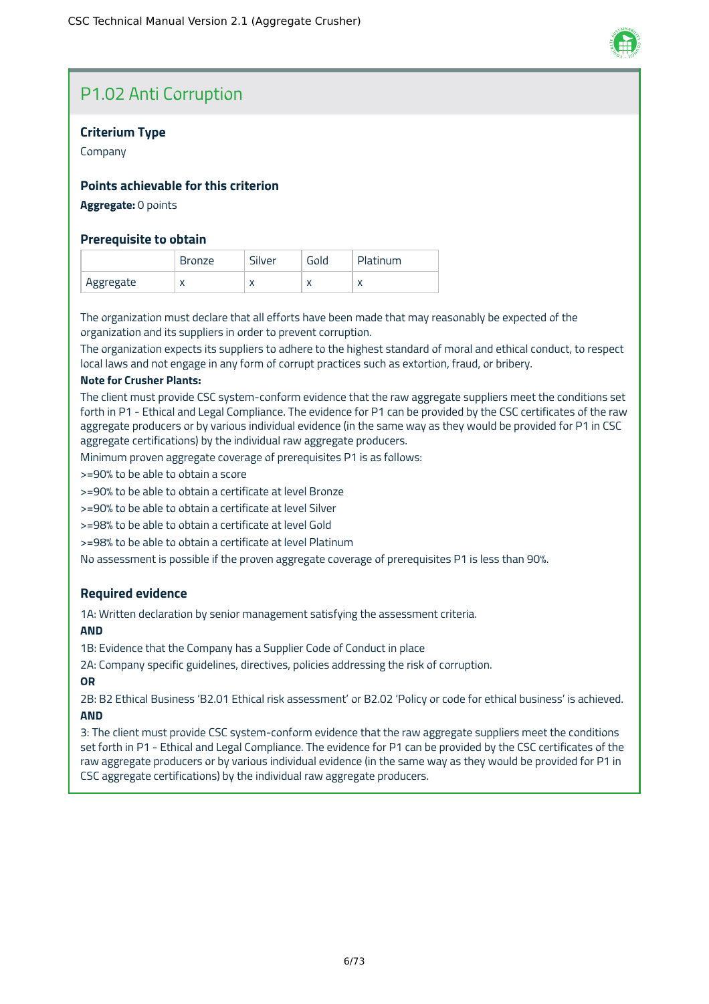### P1.02 Anti Corruption

### **Criterium Type**

Company

### **Points achievable for this criterion**

### **Aggregate:** 0 points

### **Prerequisite to obtain**

|           | Bronze    | - 1<br>silver | ∍ola      | ıtinum<br>Pla <sup>.</sup> |
|-----------|-----------|---------------|-----------|----------------------------|
| Aggregate | $\lambda$ | $\lambda$     | $\lambda$ | $\cdots$                   |

The organization must declare that all efforts have been made that may reasonably be expected of the organization and its suppliers in order to prevent corruption.

The organization expects its suppliers to adhere to the highest standard of moral and ethical conduct, to respect local laws and not engage in any form of corrupt practices such as extortion, fraud, or bribery.

#### **Note for Crusher Plants:**

The client must provide CSC system-conform evidence that the raw aggregate suppliers meet the conditions set forth in P1 - Ethical and Legal Compliance. The evidence for P1 can be provided by the CSC certificates of the raw aggregate producers or by various individual evidence (in the same way as they would be provided for P1 in CSC aggregate certifications) by the individual raw aggregate producers.

Minimum proven aggregate coverage of prerequisites P1 is as follows:

>=90% to be able to obtain a score

>=90% to be able to obtain a certificate at level Bronze

>=90% to be able to obtain a certificate at level Silver

>=98% to be able to obtain a certificate at level Gold

>=98% to be able to obtain a certificate at level Platinum

No assessment is possible if the proven aggregate coverage of prerequisites P1 is less than 90%.

### **Required evidence**

1A: Written declaration by senior management satisfying the assessment criteria.

### **AND**

1B: Evidence that the Company has a Supplier Code of Conduct in place

2A: Company specific guidelines, directives, policies addressing the risk of corruption.

### **OR**

2B: B2 Ethical Business 'B2.01 Ethical risk assessment' or B2.02 'Policy or code for ethical business' is achieved. **AND**

3: The client must provide CSC system-conform evidence that the raw aggregate suppliers meet the conditions set forth in P1 - Ethical and Legal Compliance. The evidence for P1 can be provided by the CSC certificates of the raw aggregate producers or by various individual evidence (in the same way as they would be provided for P1 in CSC aggregate certifications) by the individual raw aggregate producers.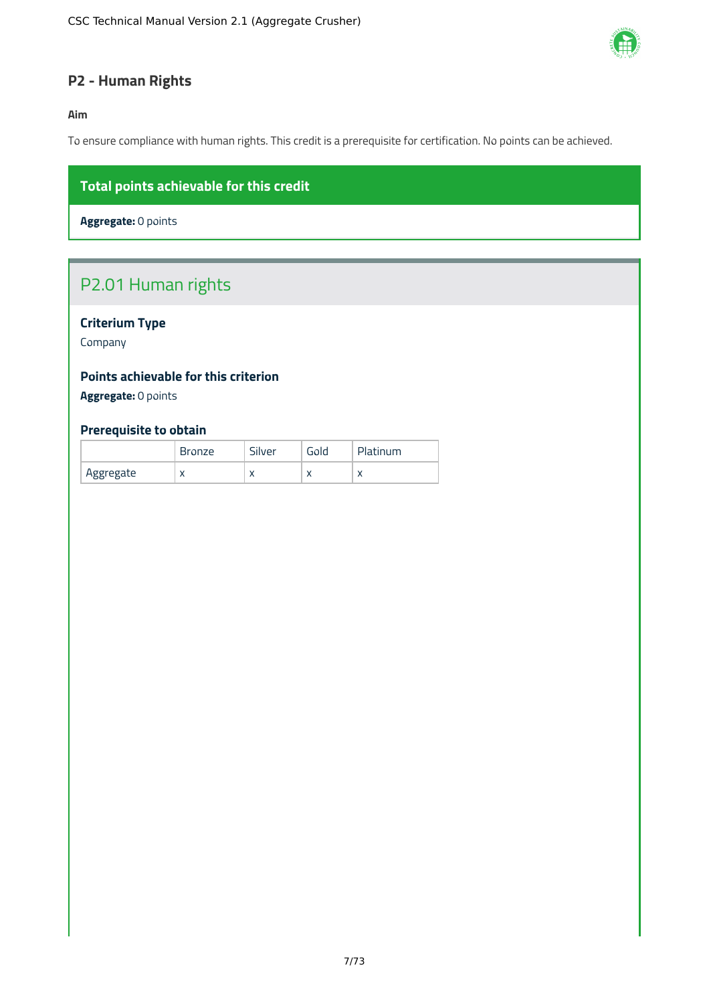

### <span id="page-7-0"></span>**P2 - Human Rights**

**Aim**

To ensure compliance with human rights. This credit is a prerequisite for certification. No points can be achieved.

### **Total points achievable for this credit**

**Aggregate:** 0 points

### P2.01 Human rights

### **Criterium Type**

Company

### **Points achievable for this criterion**

**Aggregate:** 0 points

### **Prerequisite to obtain**

|           | <b>Bronze</b> | - 1<br>Silver | Gold | Platinum   |
|-----------|---------------|---------------|------|------------|
| Aggregate | $\lambda$     | $\lambda$     |      | $\sqrt{ }$ |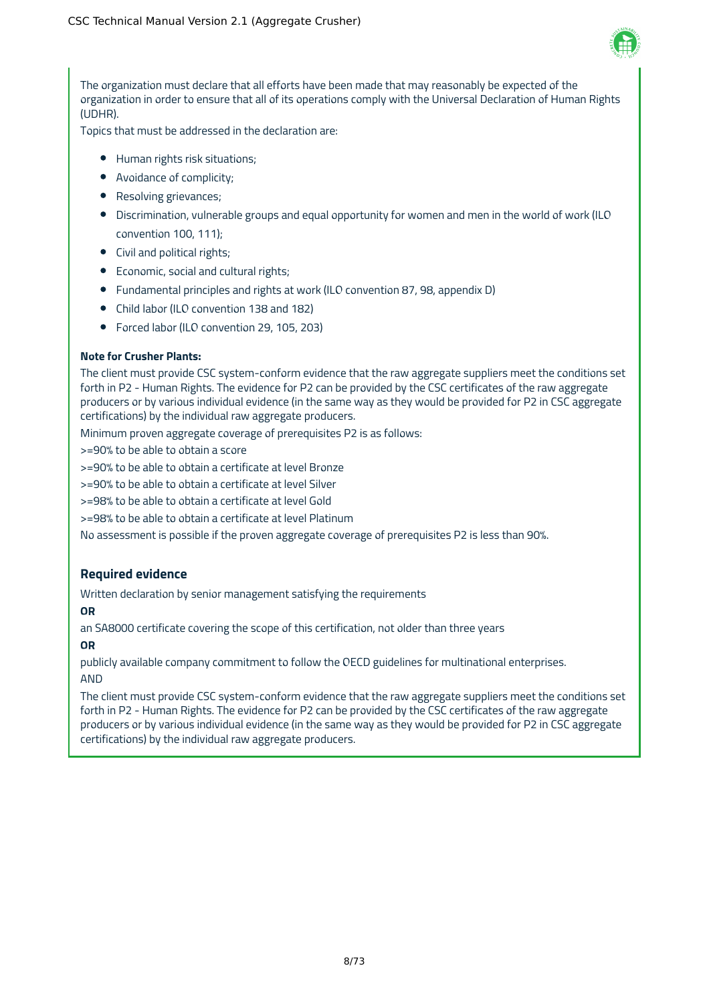

The organization must declare that all efforts have been made that may reasonably be expected of the organization in order to ensure that all of its operations comply with the Universal Declaration of Human Rights (UDHR).

Topics that must be addressed in the declaration are:

- Human rights risk situations;
- Avoidance of complicity;
- Resolving grievances;
- Discrimination, vulnerable groups and equal opportunity for women and men in the world of work (ILO convention 100, 111);
- Civil and political rights;
- Economic, social and cultural rights;
- Fundamental principles and rights at work (ILO convention 87, 98, appendix D)
- Child labor (ILO convention 138 and 182)
- Forced labor (ILO convention 29, 105, 203)

### **Note for Crusher Plants:**

The client must provide CSC system-conform evidence that the raw aggregate suppliers meet the conditions set forth in P2 - Human Rights. The evidence for P2 can be provided by the CSC certificates of the raw aggregate producers or by various individual evidence (in the same way as they would be provided for P2 in CSC aggregate certifications) by the individual raw aggregate producers.

Minimum proven aggregate coverage of prerequisites P2 is as follows:

>=90% to be able to obtain a score

>=90% to be able to obtain a certificate at level Bronze

>=90% to be able to obtain a certificate at level Silver

>=98% to be able to obtain a certificate at level Gold

>=98% to be able to obtain a certificate at level Platinum

No assessment is possible if the proven aggregate coverage of prerequisites P2 is less than 90%.

### **Required evidence**

Written declaration by senior management satisfying the requirements

### **OR**

an SA8000 certificate covering the scope of this certification, not older than three years

### **OR**

publicly available company commitment to follow the OECD guidelines for multinational enterprises. AND

The client must provide CSC system-conform evidence that the raw aggregate suppliers meet the conditions set forth in P2 - Human Rights. The evidence for P2 can be provided by the CSC certificates of the raw aggregate producers or by various individual evidence (in the same way as they would be provided for P2 in CSC aggregate certifications) by the individual raw aggregate producers.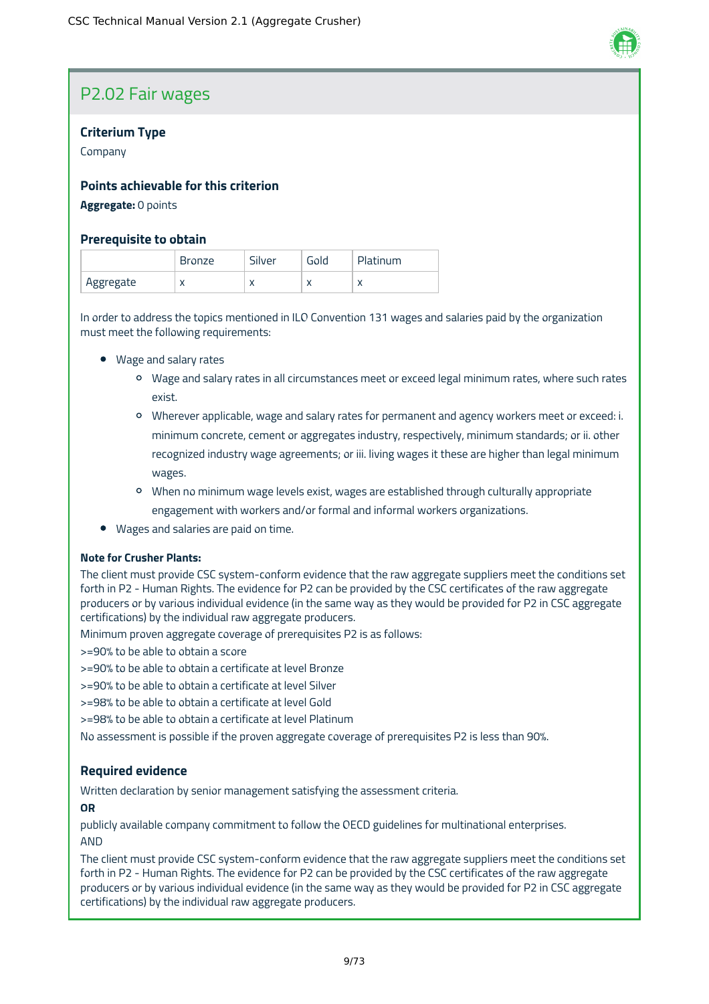### P2.02 Fair wages

### **Criterium Type**

Company

### **Points achievable for this criterion**

### **Aggregate:** 0 points

### **Prerequisite to obtain**

|           | Bronze     | silver    | Fola      | Platinum  |
|-----------|------------|-----------|-----------|-----------|
| Aggregate | $\sqrt{ }$ | $\lambda$ | $\lambda$ | $\lambda$ |

In order to address the topics mentioned in ILO Convention 131 wages and salaries paid by the organization must meet the following requirements:

- Wage and salary rates
	- Wage and salary rates in all circumstances meet or exceed legal minimum rates, where such rates exist.
	- Wherever applicable, wage and salary rates for permanent and agency workers meet or exceed: i. minimum concrete, cement or aggregates industry, respectively, minimum standards; or ii. other recognized industry wage agreements; or iii. living wages it these are higher than legal minimum wages.
	- When no minimum wage levels exist, wages are established through culturally appropriate engagement with workers and/or formal and informal workers organizations.
- Wages and salaries are paid on time.

### **Note for Crusher Plants:**

The client must provide CSC system-conform evidence that the raw aggregate suppliers meet the conditions set forth in P2 - Human Rights. The evidence for P2 can be provided by the CSC certificates of the raw aggregate producers or by various individual evidence (in the same way as they would be provided for P2 in CSC aggregate certifications) by the individual raw aggregate producers.

Minimum proven aggregate coverage of prerequisites P2 is as follows:

>=90% to be able to obtain a score

>=90% to be able to obtain a certificate at level Bronze

>=90% to be able to obtain a certificate at level Silver

>=98% to be able to obtain a certificate at level Gold

>=98% to be able to obtain a certificate at level Platinum

No assessment is possible if the proven aggregate coverage of prerequisites P2 is less than 90%.

### **Required evidence**

Written declaration by senior management satisfying the assessment criteria.

### **OR**

publicly available company commitment to follow the OECD guidelines for multinational enterprises. AND

The client must provide CSC system-conform evidence that the raw aggregate suppliers meet the conditions set forth in P2 - Human Rights. The evidence for P2 can be provided by the CSC certificates of the raw aggregate producers or by various individual evidence (in the same way as they would be provided for P2 in CSC aggregate certifications) by the individual raw aggregate producers.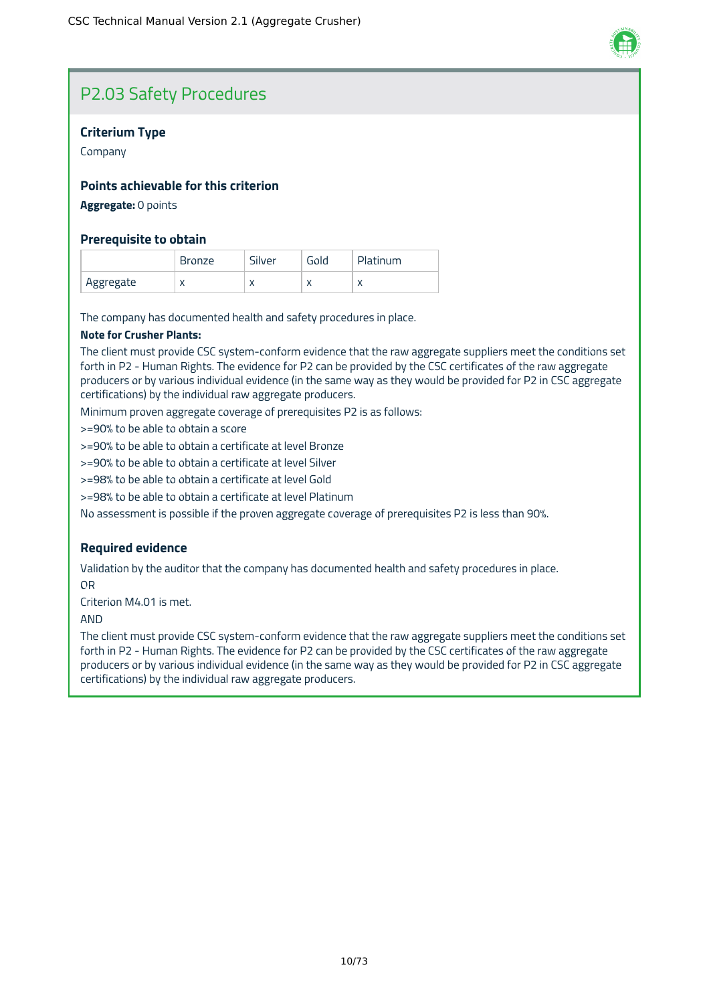

### P2.03 Safety Procedures

### **Criterium Type**

Company

### **Points achievable for this criterion**

**Aggregate:** 0 points

### **Prerequisite to obtain**

|           | Bronze    | Silver | Gold      | Platinum  |
|-----------|-----------|--------|-----------|-----------|
| Aggregate | $\lambda$ | ⌒      | $\lambda$ | $\lambda$ |

The company has documented health and safety procedures in place.

#### **Note for Crusher Plants:**

The client must provide CSC system-conform evidence that the raw aggregate suppliers meet the conditions set forth in P2 - Human Rights. The evidence for P2 can be provided by the CSC certificates of the raw aggregate producers or by various individual evidence (in the same way as they would be provided for P2 in CSC aggregate certifications) by the individual raw aggregate producers.

Minimum proven aggregate coverage of prerequisites P2 is as follows:

>=90% to be able to obtain a score

>=90% to be able to obtain a certificate at level Bronze

>=90% to be able to obtain a certificate at level Silver

>=98% to be able to obtain a certificate at level Gold

>=98% to be able to obtain a certificate at level Platinum

No assessment is possible if the proven aggregate coverage of prerequisites P2 is less than 90%.

### **Required evidence**

Validation by the auditor that the company has documented health and safety procedures in place. OR

Criterion M4.01 is met.

AND

The client must provide CSC system-conform evidence that the raw aggregate suppliers meet the conditions set forth in P2 - Human Rights. The evidence for P2 can be provided by the CSC certificates of the raw aggregate producers or by various individual evidence (in the same way as they would be provided for P2 in CSC aggregate certifications) by the individual raw aggregate producers.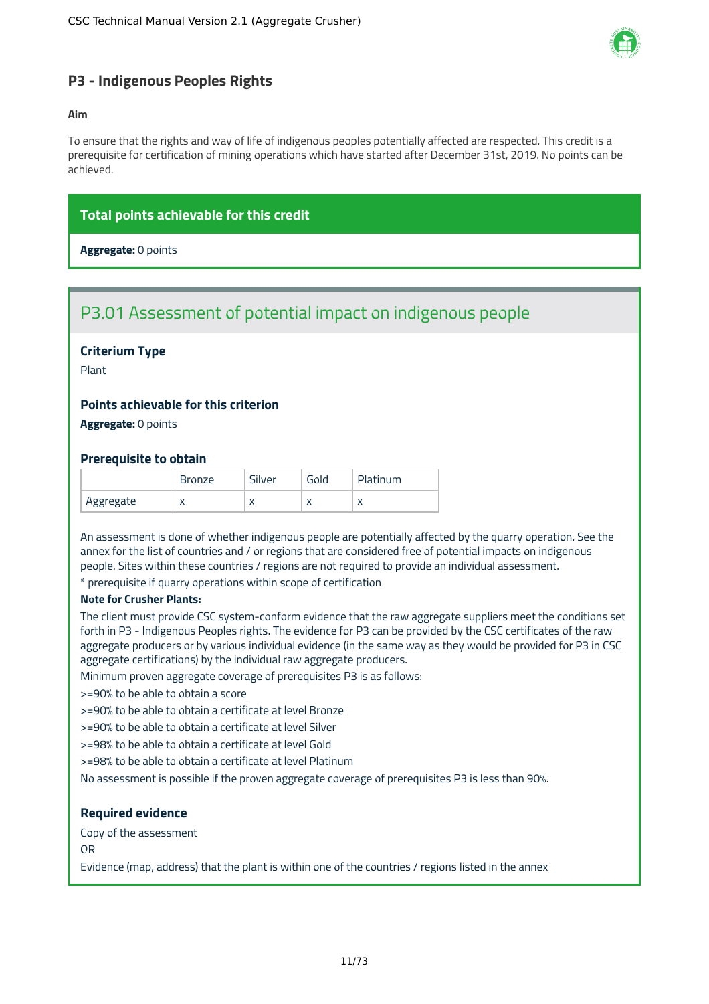

### <span id="page-11-0"></span>**P3 - Indigenous Peoples Rights**

#### **Aim**

To ensure that the rights and way of life of indigenous peoples potentially affected are respected. This credit is a prerequisite for certification of mining operations which have started after December 31st, 2019. No points can be achieved.

### **Total points achievable for this credit**

**Aggregate:** 0 points

### P3.01 Assessment of potential impact on indigenous people

### **Criterium Type**

Plant

### **Points achievable for this criterion**

**Aggregate:** 0 points

### **Prerequisite to obtain**

|           | Bronze    | Silver    | Gola      | Platinum  |
|-----------|-----------|-----------|-----------|-----------|
| Aggregate | $\lambda$ | $\lambda$ | $\lambda$ | $\lambda$ |

An assessment is done of whether indigenous people are potentially affected by the quarry operation. See the annex for the list of countries and / or regions that are considered free of potential impacts on indigenous people. Sites within these countries / regions are not required to provide an individual assessment.

prerequisite if quarry operations within scope of certification

### **Note for Crusher Plants:**

The client must provide CSC system-conform evidence that the raw aggregate suppliers meet the conditions set forth in P3 - Indigenous Peoples rights. The evidence for P3 can be provided by the CSC certificates of the raw aggregate producers or by various individual evidence (in the same way as they would be provided for P3 in CSC aggregate certifications) by the individual raw aggregate producers.

Minimum proven aggregate coverage of prerequisites P3 is as follows:

>=90% to be able to obtain a score

>=90% to be able to obtain a certificate at level Bronze

>=90% to be able to obtain a certificate at level Silver

>=98% to be able to obtain a certificate at level Gold

>=98% to be able to obtain a certificate at level Platinum

No assessment is possible if the proven aggregate coverage of prerequisites P3 is less than 90%.

### **Required evidence**

Copy of the assessment

OR

Evidence (map, address) that the plant is within one of the countries / regions listed in the annex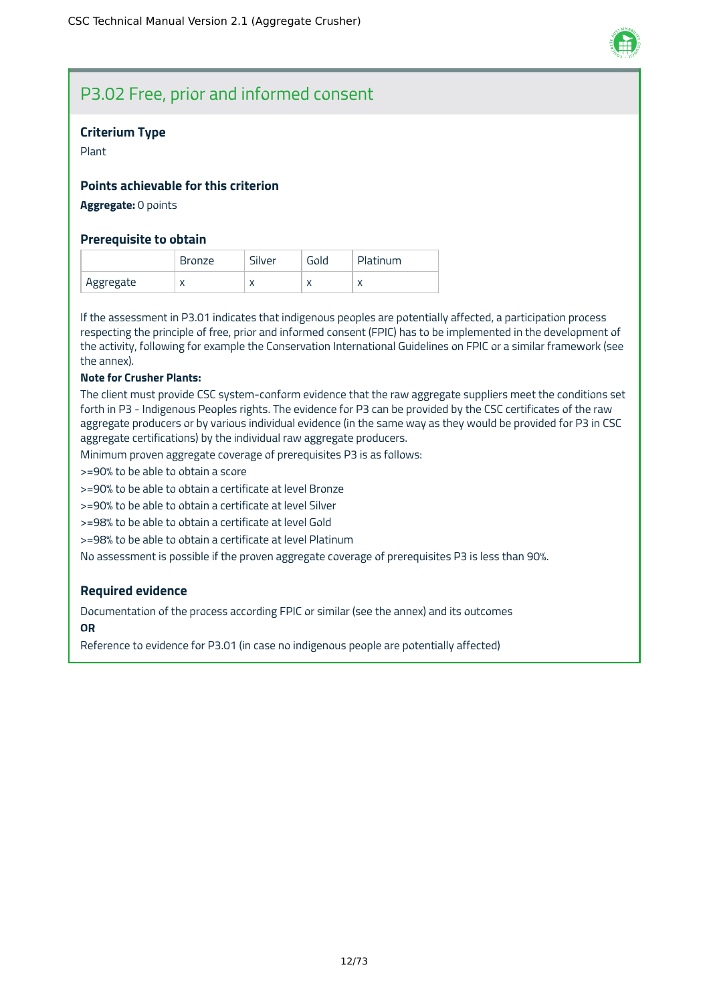

### P3.02 Free, prior and informed consent

#### **Criterium Type**

Plant

### **Points achievable for this criterion**

**Aggregate:** 0 points

#### **Prerequisite to obtain**

|           | <b>Bronze</b> | Silver    | Gold      | Platinum |
|-----------|---------------|-----------|-----------|----------|
| Aggregate | $\lambda$     | $\lambda$ | $\lambda$ |          |

If the assessment in P3.01 indicates that indigenous peoples are potentially affected, a participation process respecting the principle of free, prior and informed consent (FPIC) has to be implemented in the development of the activity, following for example the Conservation International Guidelines on FPIC or a similar framework (see the annex).

#### **Note for Crusher Plants:**

The client must provide CSC system-conform evidence that the raw aggregate suppliers meet the conditions set forth in P3 - Indigenous Peoples rights. The evidence for P3 can be provided by the CSC certificates of the raw aggregate producers or by various individual evidence (in the same way as they would be provided for P3 in CSC aggregate certifications) by the individual raw aggregate producers.

Minimum proven aggregate coverage of prerequisites P3 is as follows:

>=90% to be able to obtain a score

>=90% to be able to obtain a certificate at level Bronze

>=90% to be able to obtain a certificate at level Silver

>=98% to be able to obtain a certificate at level Gold

>=98% to be able to obtain a certificate at level Platinum

No assessment is possible if the proven aggregate coverage of prerequisites P3 is less than 90%.

### **Required evidence**

Documentation of the process according FPIC or similar (see the annex) and its outcomes **OR**

Reference to evidence for P3.01 (in case no indigenous people are potentially affected)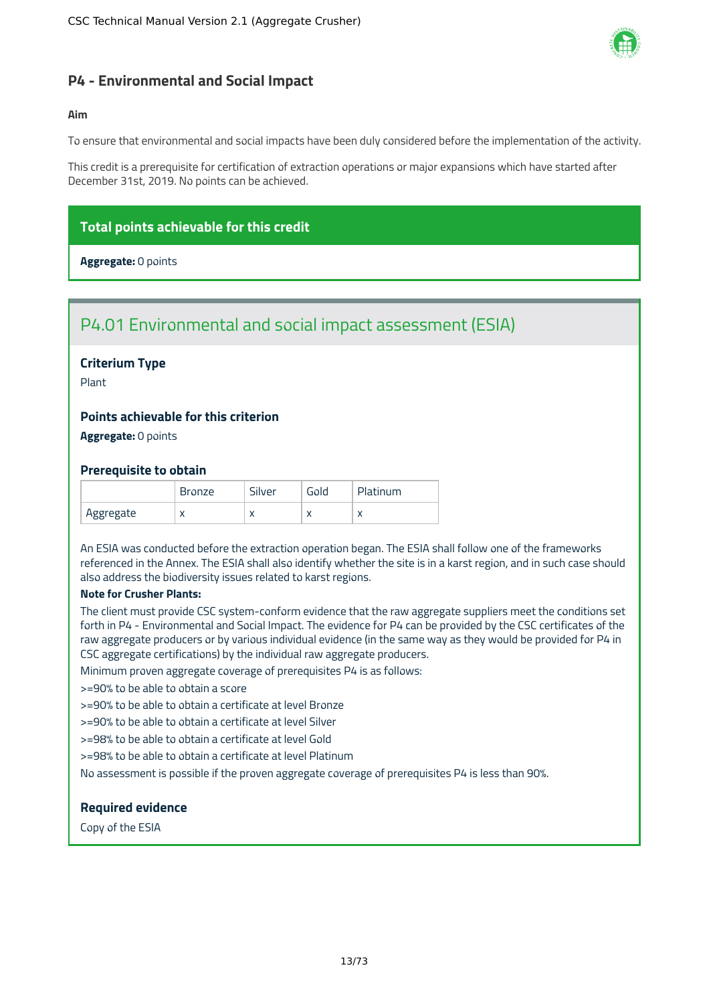

### <span id="page-13-0"></span>**P4 - Environmental and Social Impact**

#### **Aim**

To ensure that environmental and social impacts have been duly considered before the implementation of the activity.

This credit is a prerequisite for certification of extraction operations or major expansions which have started after December 31st, 2019. No points can be achieved.

### **Total points achievable for this credit**

**Aggregate:** 0 points

### P4.01 Environmental and social impact assessment (ESIA)

### **Criterium Type**

Plant

### **Points achievable for this criterion**

**Aggregate:** 0 points

#### **Prerequisite to obtain**

|           | <b>Bronze</b> | Silver | Gold      | Platinum  |
|-----------|---------------|--------|-----------|-----------|
| Aggregate | $\lambda$     | ⌒      | $\lambda$ | $\lambda$ |

An ESIA was conducted before the extraction operation began. The ESIA shall follow one of the frameworks referenced in the Annex. The ESIA shall also identify whether the site is in a karst region, and in such case should also address the biodiversity issues related to karst regions.

#### **Note for Crusher Plants:**

The client must provide CSC system-conform evidence that the raw aggregate suppliers meet the conditions set forth in P4 - Environmental and Social Impact. The evidence for P4 can be provided by the CSC certificates of the raw aggregate producers or by various individual evidence (in the same way as they would be provided for P4 in CSC aggregate certifications) by the individual raw aggregate producers.

Minimum proven aggregate coverage of prerequisites P4 is as follows:

>=90% to be able to obtain a score

>=90% to be able to obtain a certificate at level Bronze

>=90% to be able to obtain a certificate at level Silver

>=98% to be able to obtain a certificate at level Gold

>=98% to be able to obtain a certificate at level Platinum

No assessment is possible if the proven aggregate coverage of prerequisites P4 is less than 90%.

### **Required evidence**

Copy of the ESIA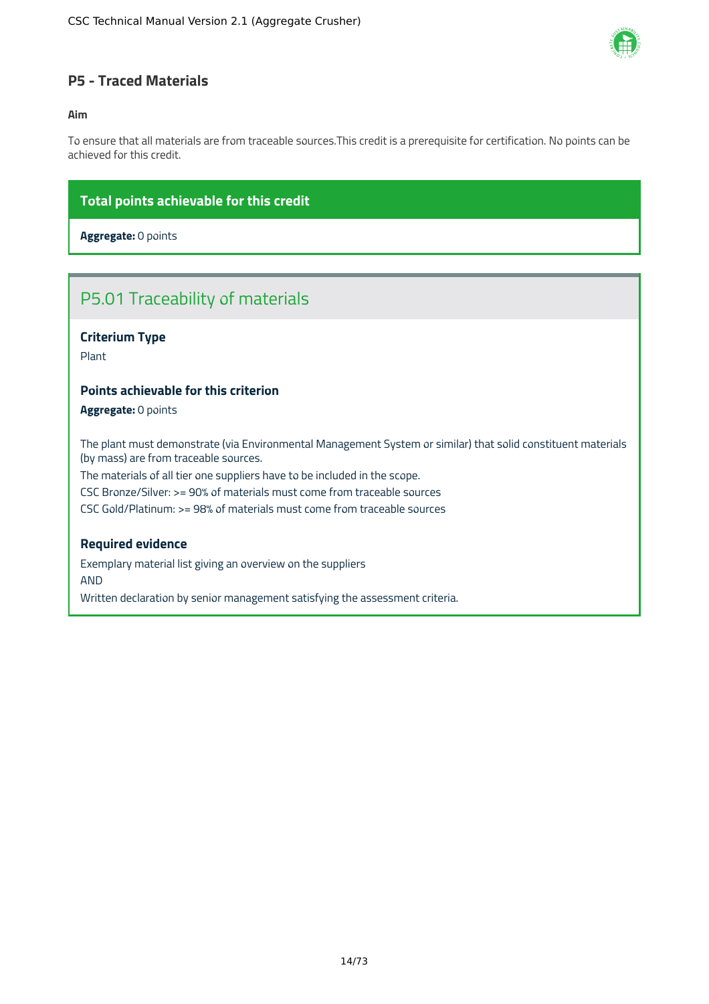

### <span id="page-14-0"></span>**P5 - Traced Materials**

### **Aim**

To ensure that all materials are from traceable sources.This credit is a prerequisite for certification. No points can be achieved for this credit.

### **Total points achievable for this credit**

**Aggregate:** 0 points

### P5.01 Traceability of materials

### **Criterium Type**

Plant

### **Points achievable for this criterion**

**Aggregate:** 0 points

The plant must demonstrate (via Environmental Management System or similar) that solid constituent materials (by mass) are from traceable sources.

The materials of all tier one suppliers have to be included in the scope.

CSC Bronze/Silver: >= 90% of materials must come from traceable sources

CSC Gold/Platinum: >= 98% of materials must come from traceable sources

### **Required evidence**

Exemplary material list giving an overview on the suppliers AND

Written declaration by senior management satisfying the assessment criteria.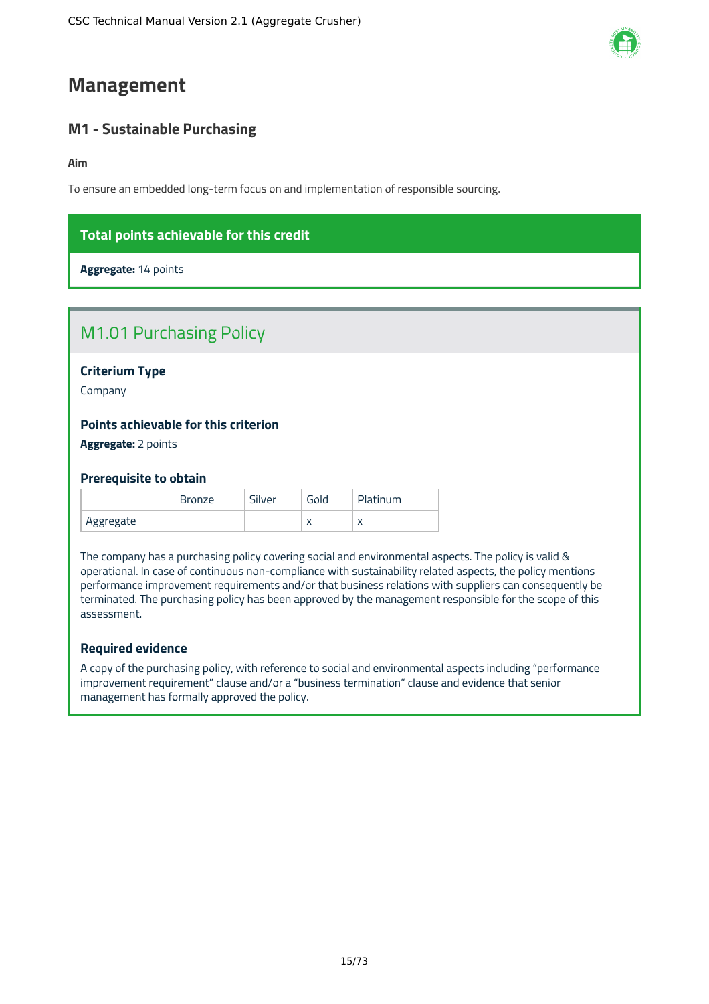### <span id="page-15-0"></span>**Management**

### <span id="page-15-1"></span>**M1 - Sustainable Purchasing**

**Aim**

To ensure an embedded long-term focus on and implementation of responsible sourcing.

### **Total points achievable for this credit**

**Aggregate:** 14 points

| <b>M1.01 Purchasing Policy</b> |  |
|--------------------------------|--|
|--------------------------------|--|

**Criterium Type**

Company

### **Points achievable for this criterion**

**Aggregate:** 2 points

### **Prerequisite to obtain**

|           | Bronze | Silver | Gold      | Platinum |
|-----------|--------|--------|-----------|----------|
| Aggregate |        |        | $\lambda$ |          |

The company has a purchasing policy covering social and environmental aspects. The policy is valid & operational. In case of continuous non-compliance with sustainability related aspects, the policy mentions performance improvement requirements and/or that business relations with suppliers can consequently be terminated. The purchasing policy has been approved by the management responsible for the scope of this assessment.

### **Required evidence**

A copy of the purchasing policy, with reference to social and environmental aspects including "performance improvement requirement" clause and/or a "business termination" clause and evidence that senior management has formally approved the policy.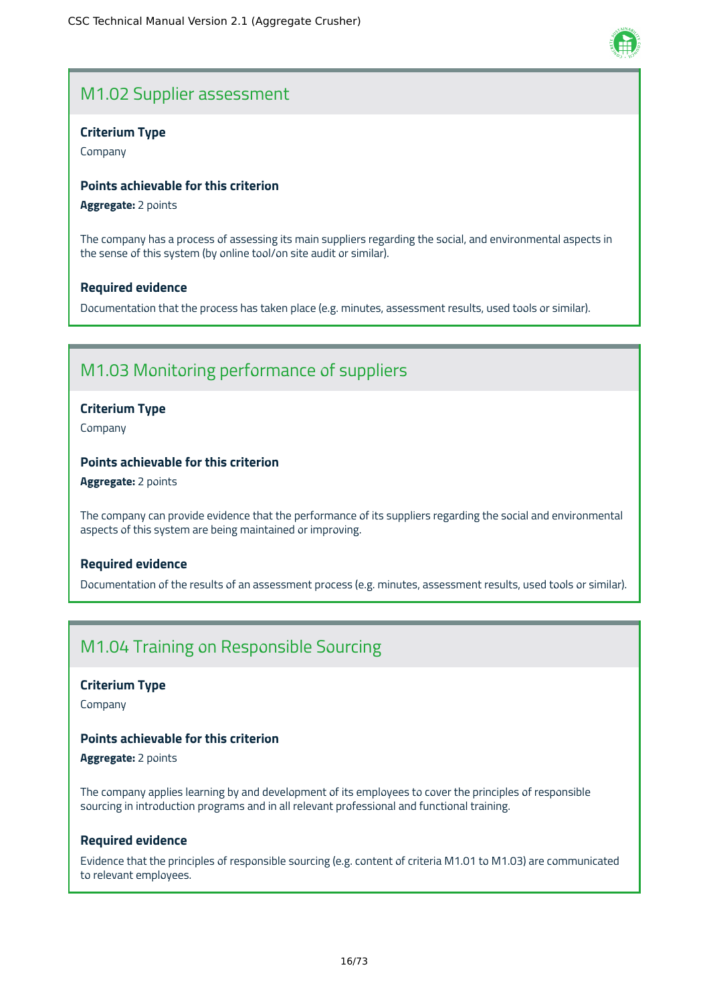### M1.02 Supplier assessment

### **Criterium Type**

Company

### **Points achievable for this criterion**

**Aggregate:** 2 points

The company has a process of assessing its main suppliers regarding the social, and environmental aspects in the sense of this system (by online tool/on site audit or similar).

### **Required evidence**

Documentation that the process has taken place (e.g. minutes, assessment results, used tools or similar).

### M1.03 Monitoring performance of suppliers

### **Criterium Type**

Company

### **Points achievable for this criterion**

**Aggregate:** 2 points

The company can provide evidence that the performance of its suppliers regarding the social and environmental aspects of this system are being maintained or improving.

### **Required evidence**

Documentation of the results of an assessment process (e.g. minutes, assessment results, used tools or similar).

### M1.04 Training on Responsible Sourcing

### **Criterium Type**

Company

### **Points achievable for this criterion**

**Aggregate:** 2 points

The company applies learning by and development of its employees to cover the principles of responsible sourcing in introduction programs and in all relevant professional and functional training.

### **Required evidence**

Evidence that the principles of responsible sourcing (e.g. content of criteria M1.01 to M1.03) are communicated to relevant employees.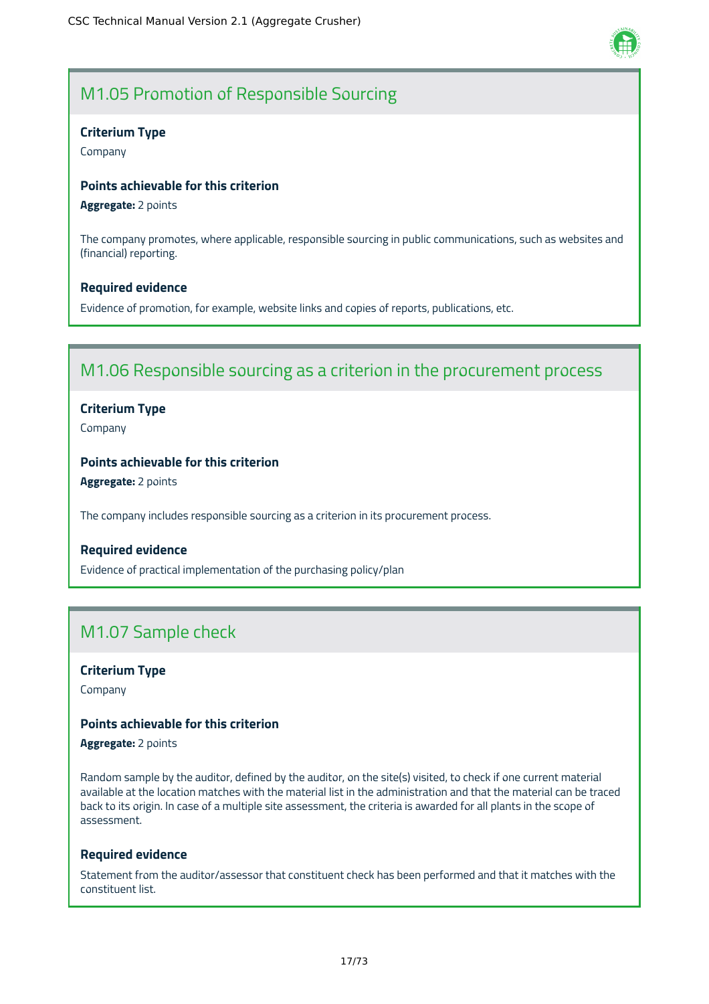

### M1.05 Promotion of Responsible Sourcing

#### **Criterium Type**

Company

### **Points achievable for this criterion**

**Aggregate:** 2 points

The company promotes, where applicable, responsible sourcing in public communications, such as websites and (financial) reporting.

#### **Required evidence**

Evidence of promotion, for example, website links and copies of reports, publications, etc.

### M1.06 Responsible sourcing as a criterion in the procurement process

### **Criterium Type**

Company

### **Points achievable for this criterion**

**Aggregate:** 2 points

The company includes responsible sourcing as a criterion in its procurement process.

### **Required evidence**

Evidence of practical implementation of the purchasing policy/plan

### M1.07 Sample check

### **Criterium Type**

Company

### **Points achievable for this criterion**

**Aggregate:** 2 points

Random sample by the auditor, defined by the auditor, on the site(s) visited, to check if one current material available at the location matches with the material list in the administration and that the material can be traced back to its origin. In case of a multiple site assessment, the criteria is awarded for all plants in the scope of assessment.

#### **Required evidence**

Statement from the auditor/assessor that constituent check has been performed and that it matches with the constituent list.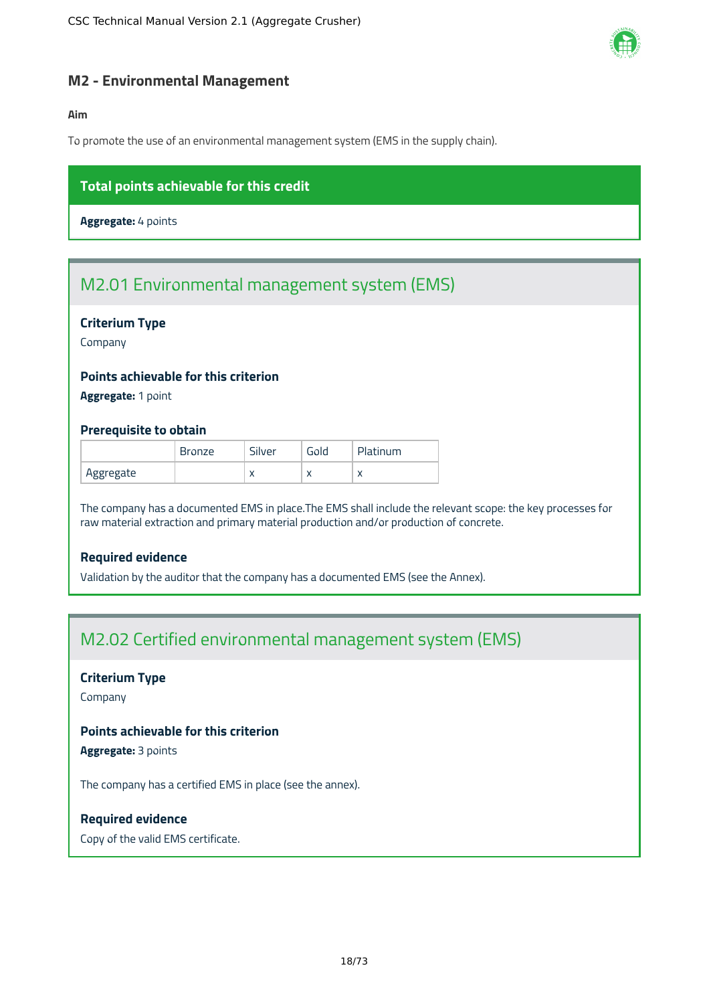

### <span id="page-18-0"></span>**M2 - Environmental Management**

### **Aim**

To promote the use of an environmental management system (EMS in the supply chain).

### **Total points achievable for this credit**

**Aggregate:** 4 points

### M2.01 Environmental management system (EMS)

### **Criterium Type**

Company

### **Points achievable for this criterion**

**Aggregate:** 1 point

### **Prerequisite to obtain**

|           | <b>Bronze</b> | Silver    | Gold | Platinum   |
|-----------|---------------|-----------|------|------------|
| Aggregate |               | $\lambda$ | ↗    | $\sqrt{ }$ |

The company has a documented EMS in place.The EMS shall include the relevant scope: the key processes for raw material extraction and primary material production and/or production of concrete.

### **Required evidence**

Validation by the auditor that the company has a documented EMS (see the Annex).

### M2.02 Certified environmental management system (EMS)

### **Criterium Type**

Company

### **Points achievable for this criterion**

**Aggregate:** 3 points

The company has a certified EMS in place (see the annex).

### **Required evidence**

Copy of the valid EMS certificate.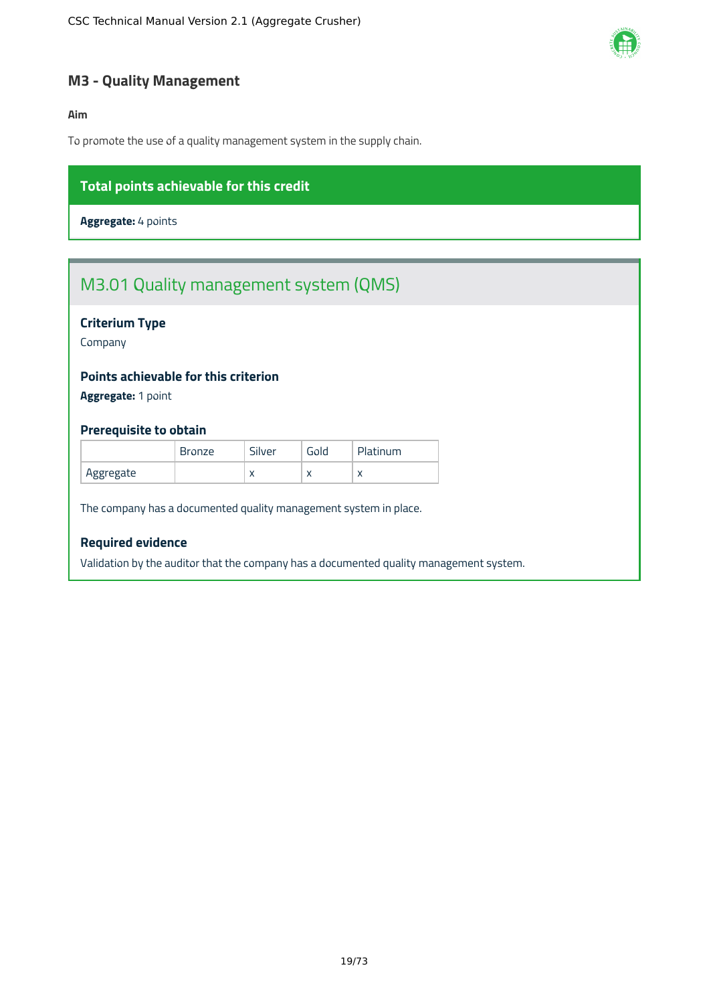

### <span id="page-19-0"></span>**M3 - Quality Management**

### **Aim**

To promote the use of a quality management system in the supply chain.

### **Total points achievable for this credit**

**Aggregate:** 4 points

### M3.01 Quality management system (QMS)

### **Criterium Type**

Company

### **Points achievable for this criterion**

**Aggregate:** 1 point

### **Prerequisite to obtain**

|           | <b>Bronze</b> | Silver    | Gold         | Platinum                 |
|-----------|---------------|-----------|--------------|--------------------------|
| Aggregate |               | $\lambda$ | $\mathbf{v}$ | $\overline{\phantom{a}}$ |

The company has a documented quality management system in place.

### **Required evidence**

Validation by the auditor that the company has a documented quality management system.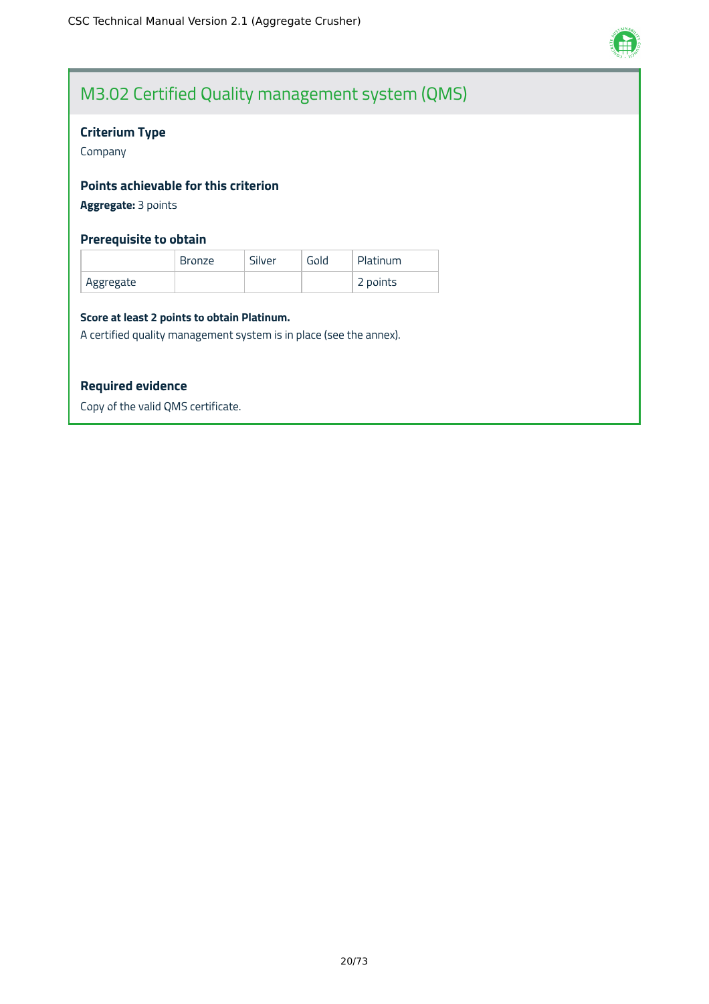

### M3.02 Certified Quality management system (QMS)

### **Criterium Type**

Company

### **Points achievable for this criterion**

**Aggregate:** 3 points

### **Prerequisite to obtain**

|            | <b>Bronze</b> | Silver | Gold | Platinum |
|------------|---------------|--------|------|----------|
| `Aggregate |               |        |      | 2 points |

#### **Score at least 2 points to obtain Platinum.**

A certified quality management system is in place (see the annex).

### **Required evidence**

Copy of the valid QMS certificate.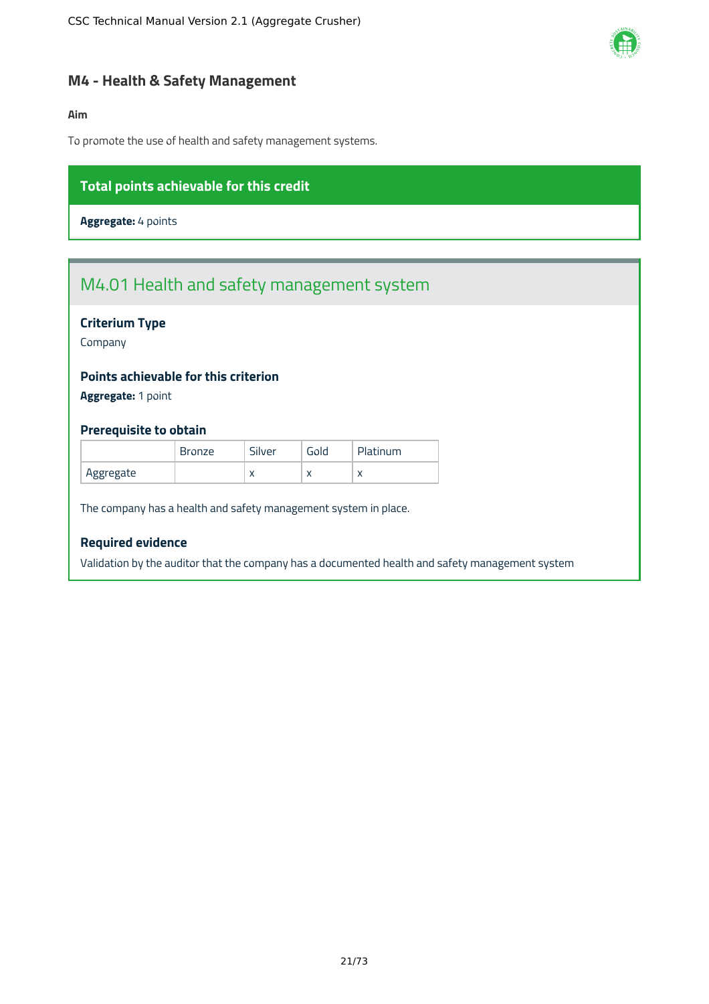

### <span id="page-21-0"></span>**M4 - Health & Safety Management**

### **Aim**

To promote the use of health and safety management systems.

### **Total points achievable for this credit**

**Aggregate:** 4 points

## M4.01 Health and safety management system

### **Criterium Type**

Company

### **Points achievable for this criterion**

**Aggregate:** 1 point

### **Prerequisite to obtain**

|           | <b>Bronze</b> | Silver    | Gold      | Platinum |
|-----------|---------------|-----------|-----------|----------|
| Aggregate |               | $\lambda$ | $\lambda$ |          |

The company has a health and safety management system in place.

### **Required evidence**

Validation by the auditor that the company has a documented health and safety management system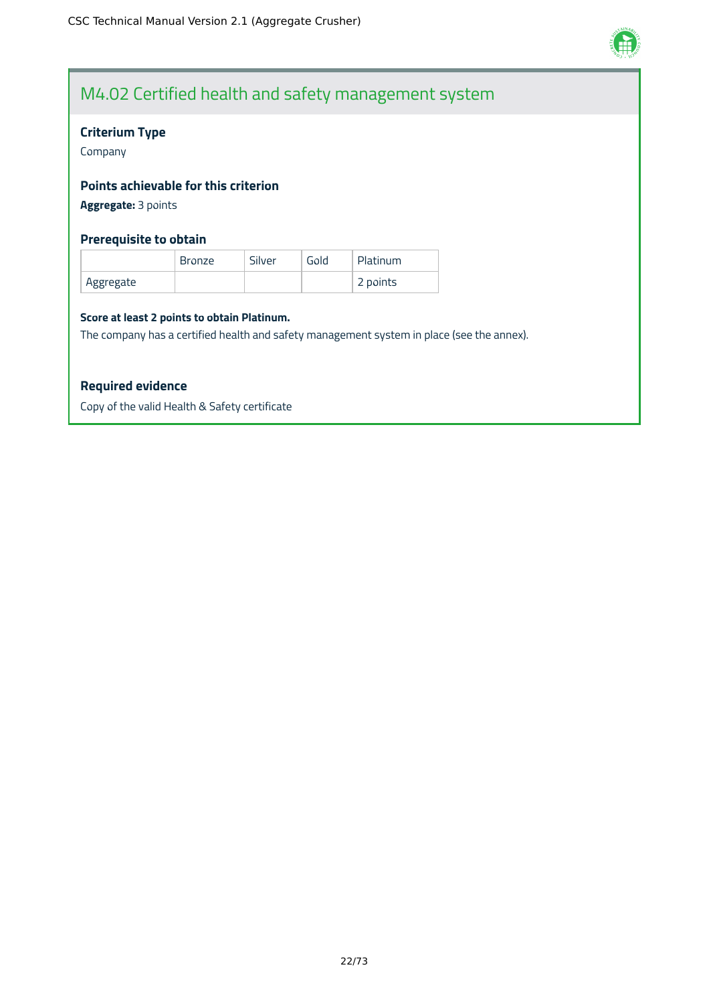

### M4.02 Certified health and safety management system

### **Criterium Type**

Company

### **Points achievable for this criterion**

**Aggregate:** 3 points

### **Prerequisite to obtain**

|           | <b>Bronze</b> | Silver | Gold | Platinum |
|-----------|---------------|--------|------|----------|
| Aggregate |               |        |      | 2 points |

#### **Score at least 2 points to obtain Platinum.**

The company has a certified health and safety management system in place (see the annex).

### **Required evidence**

Copy of the valid Health & Safety certificate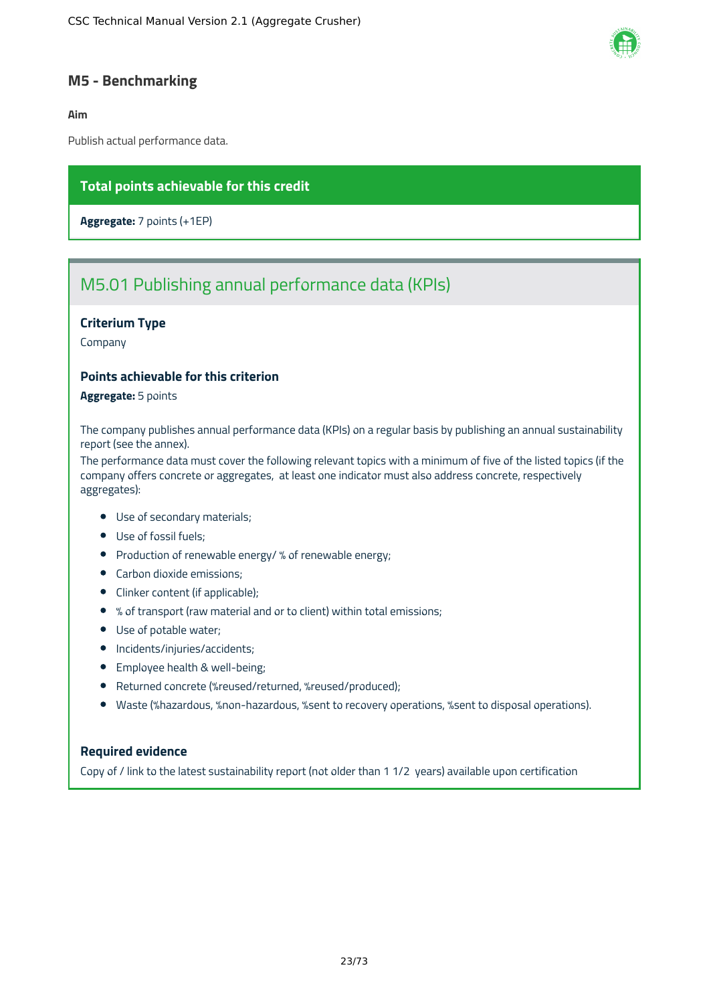

### <span id="page-23-0"></span>**M5 - Benchmarking**

### **Aim**

Publish actual performance data.

### **Total points achievable for this credit**

**Aggregate:** 7 points (+1EP)

### M5.01 Publishing annual performance data (KPIs)

### **Criterium Type**

Company

### **Points achievable for this criterion**

**Aggregate:** 5 points

The company publishes annual performance data (KPIs) on a regular basis by publishing an annual sustainability report (see the annex).

The performance data must cover the following relevant topics with a minimum of five of the listed topics (if the company offers concrete or aggregates, at least one indicator must also address concrete, respectively aggregates):

- Use of secondary materials;
- Use of fossil fuels;
- Production of renewable energy/ % of renewable energy;
- Carbon dioxide emissions;
- Clinker content (if applicable);
- % of transport (raw material and or to client) within total emissions;
- Use of potable water;
- Incidents/injuries/accidents;
- **•** Employee health & well-being;
- Returned concrete (%reused/returned, %reused/produced);
- Waste (%hazardous, %non-hazardous, %sent to recovery operations, %sent to disposal operations).

### **Required evidence**

Copy of / link to the latest sustainability report (not older than 1 1/2 years) available upon certification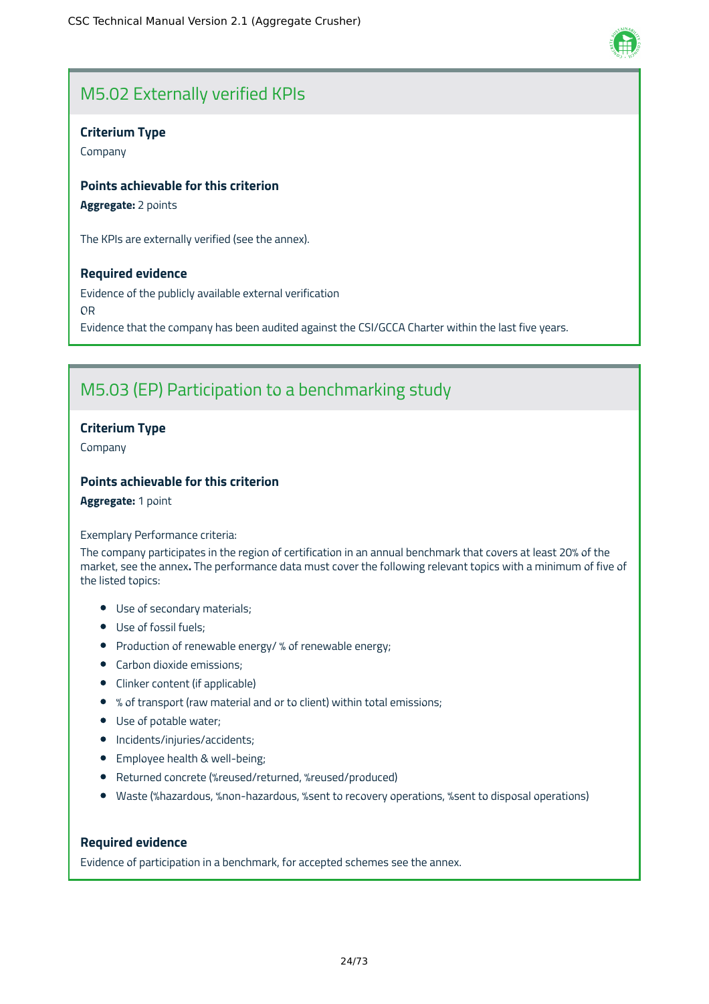

### M5.02 Externally verified KPIs

### **Criterium Type**

Company

### **Points achievable for this criterion**

**Aggregate:** 2 points

The KPIs are externally verified (see the annex).

### **Required evidence**

Evidence of the publicly available external verification OR Evidence that the company has been audited against the CSI/GCCA Charter within the last five years.

### M5.03 (EP) Participation to a benchmarking study

### **Criterium Type**

Company

### **Points achievable for this criterion**

**Aggregate:** 1 point

#### Exemplary Performance criteria:

The company participates in the region of certification in an annual benchmark that covers at least 20% of the market, see the annex**.** The performance data must cover the following relevant topics with a minimum of five of the listed topics:

- Use of secondary materials;
- Use of fossil fuels;
- Production of renewable energy/ % of renewable energy;
- Carbon dioxide emissions;
- Clinker content (if applicable)
- % of transport (raw material and or to client) within total emissions;
- Use of potable water;
- Incidents/injuries/accidents;
- Employee health & well-being;
- Returned concrete (%reused/returned, %reused/produced)
- Waste (%hazardous, %non-hazardous, %sent to recovery operations, %sent to disposal operations)

### **Required evidence**

Evidence of participation in a benchmark, for accepted schemes see the annex.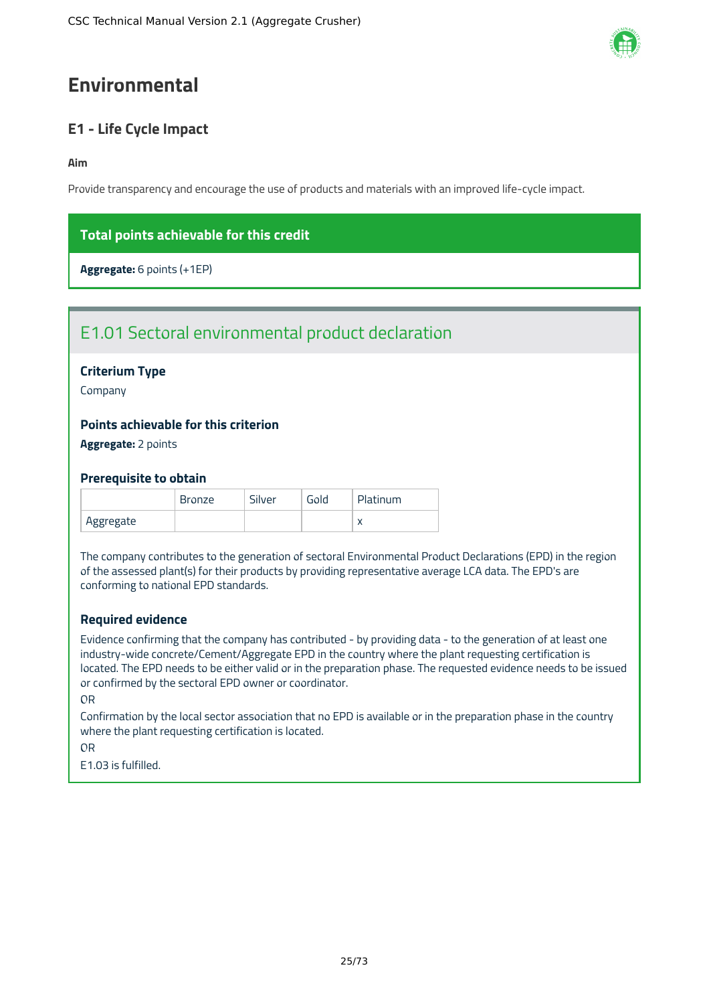## <span id="page-25-0"></span>**Environmental**

### <span id="page-25-1"></span>**E1 - Life Cycle Impact**

### **Aim**

Provide transparency and encourage the use of products and materials with an improved life-cycle impact.

### **Total points achievable for this credit**

**Aggregate:** 6 points (+1EP)

### E1.01 Sectoral environmental product declaration

### **Criterium Type**

Company

### **Points achievable for this criterion**

**Aggregate:** 2 points

### **Prerequisite to obtain**

|           | Bronze | Silver | Gold | Platinum |
|-----------|--------|--------|------|----------|
| Aggregate |        |        |      |          |

The company contributes to the generation of sectoral Environmental Product Declarations (EPD) in the region of the assessed plant(s) for their products by providing representative average LCA data. The EPD's are conforming to national EPD standards.

### **Required evidence**

Evidence confirming that the company has contributed - by providing data - to the generation of at least one industry-wide concrete/Cement/Aggregate EPD in the country where the plant requesting certification is located. The EPD needs to be either valid or in the preparation phase. The requested evidence needs to be issued or confirmed by the sectoral EPD owner or coordinator.

#### OR

Confirmation by the local sector association that no EPD is available or in the preparation phase in the country where the plant requesting certification is located.

OR

E1.03 is fulfilled.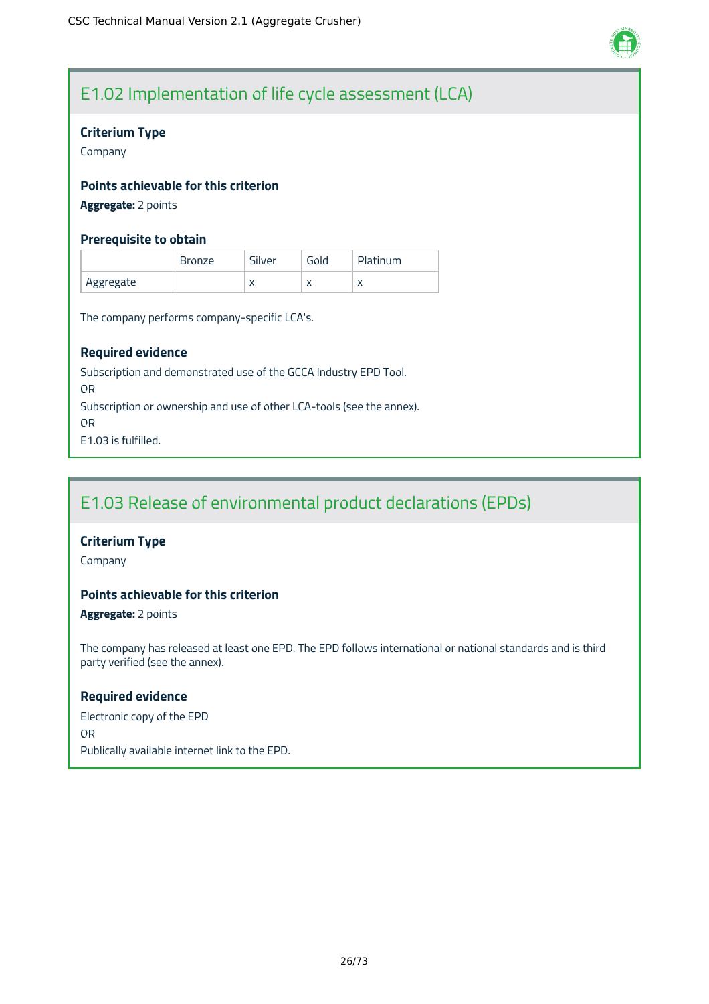

### E1.02 Implementation of life cycle assessment (LCA)

### **Criterium Type**

Company

### **Points achievable for this criterion**

**Aggregate:** 2 points

### **Prerequisite to obtain**

|           | <b>Bronze</b> | Silver    | Gold      | Platinum |
|-----------|---------------|-----------|-----------|----------|
| Aggregate |               | $\lambda$ | $\lambda$ |          |

The company performs company-specific LCA's.

### **Required evidence**

Subscription and demonstrated use of the GCCA Industry EPD Tool. OR Subscription or ownership and use of other LCA-tools (see the annex). OR E1.03 is fulfilled.

### E1.03 Release of environmental product declarations (EPDs)

### **Criterium Type**

Company

### **Points achievable for this criterion**

**Aggregate:** 2 points

The company has released at least one EPD. The EPD follows international or national standards and is third party verified (see the annex).

### **Required evidence**

Electronic copy of the EPD OR Publically available internet link to the EPD.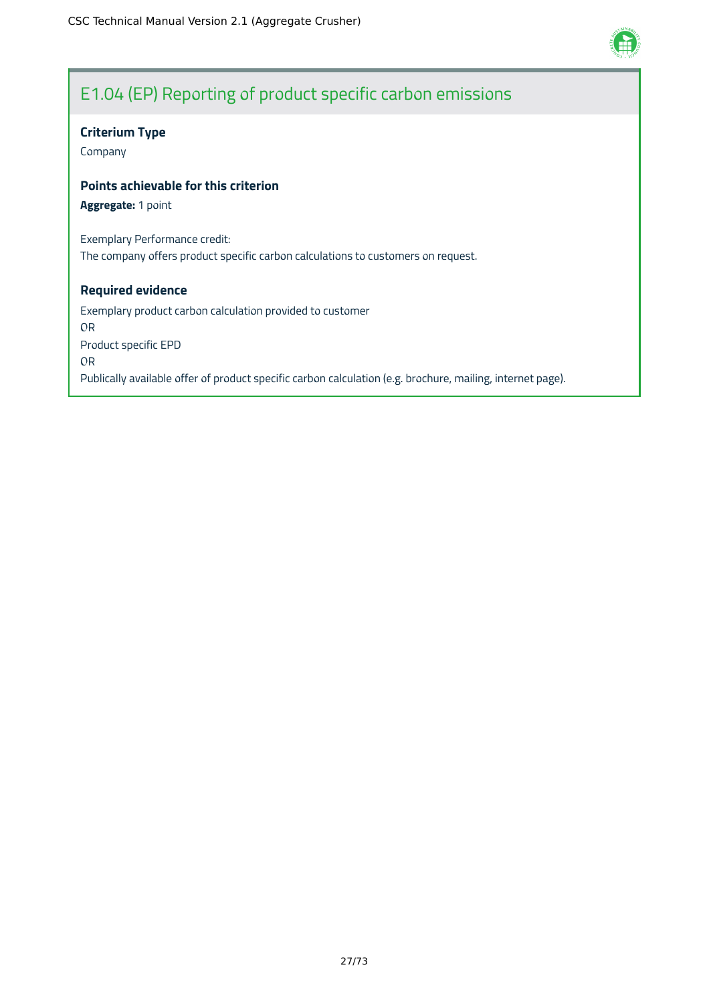

### E1.04 (EP) Reporting of product specific carbon emissions

### **Criterium Type**

Company

### **Points achievable for this criterion**

**Aggregate:** 1 point

Exemplary Performance credit: The company offers product specific carbon calculations to customers on request.

### **Required evidence**

Exemplary product carbon calculation provided to customer OR Product specific EPD OR Publically available offer of product specific carbon calculation (e.g. brochure, mailing, internet page).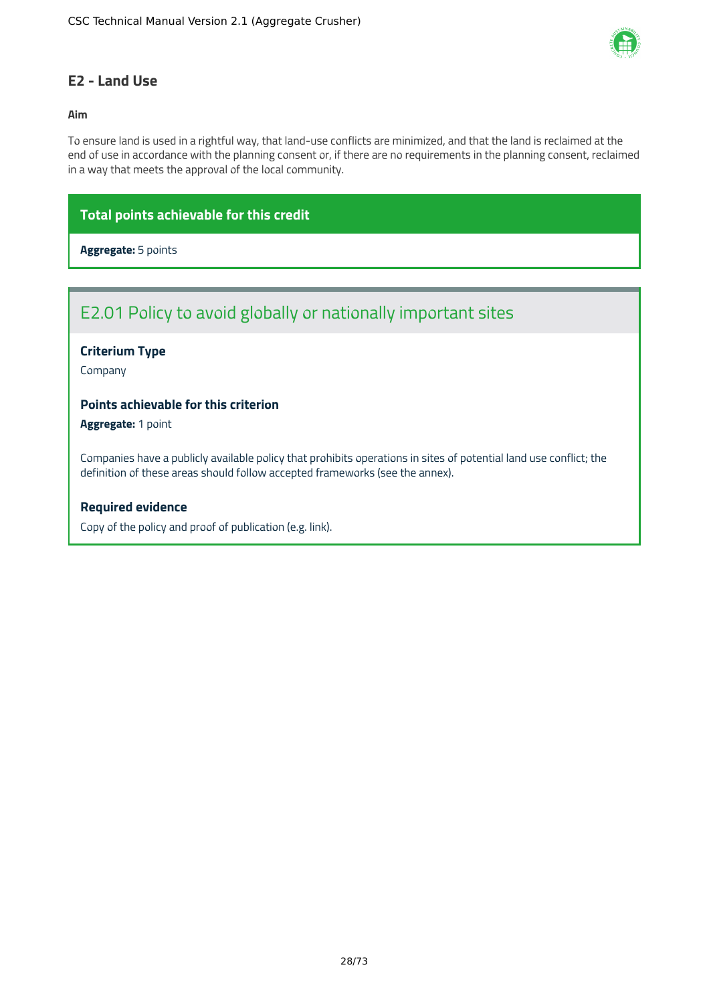

### <span id="page-28-0"></span>**E2 - Land Use**

### **Aim**

To ensure land is used in a rightful way, that land-use conflicts are minimized, and that the land is reclaimed at the end of use in accordance with the planning consent or, if there are no requirements in the planning consent, reclaimed in a way that meets the approval of the local community.

### **Total points achievable for this credit**

### **Aggregate:** 5 points

### E2.01 Policy to avoid globally or nationally important sites

### **Criterium Type**

Company

### **Points achievable for this criterion**

**Aggregate:** 1 point

Companies have a publicly available policy that prohibits operations in sites of potential land use conflict; the definition of these areas should follow accepted frameworks (see the annex).

### **Required evidence**

Copy of the policy and proof of publication (e.g. link).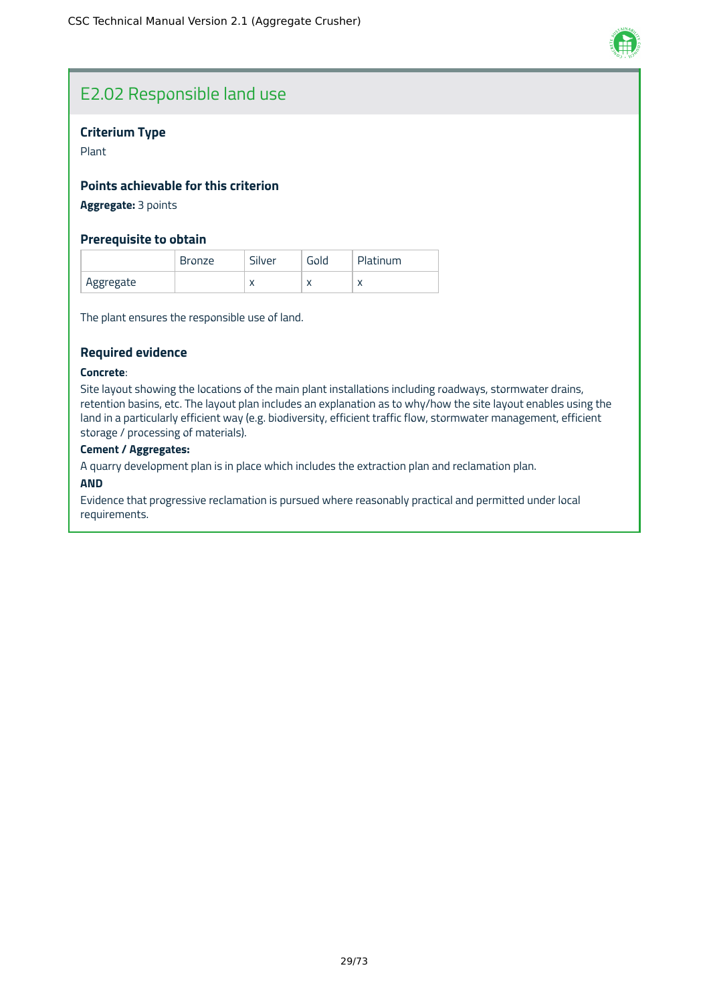

### E2.02 Responsible land use

### **Criterium Type**

Plant

### **Points achievable for this criterion**

### **Aggregate:** 3 points

### **Prerequisite to obtain**

|           | <b>Bronze</b> | Silver    | Gold      | Platinum |
|-----------|---------------|-----------|-----------|----------|
| Aggregate |               | $\lambda$ | $\lambda$ |          |

The plant ensures the responsible use of land.

### **Required evidence**

#### **Concrete**:

Site layout showing the locations of the main plant installations including roadways, stormwater drains, retention basins, etc. The layout plan includes an explanation as to why/how the site layout enables using the land in a particularly efficient way (e.g. biodiversity, efficient traffic flow, stormwater management, efficient storage / processing of materials).

### **Cement / Aggregates:**

A quarry development plan is in place which includes the extraction plan and reclamation plan.

#### **AND**

Evidence that progressive reclamation is pursued where reasonably practical and permitted under local requirements.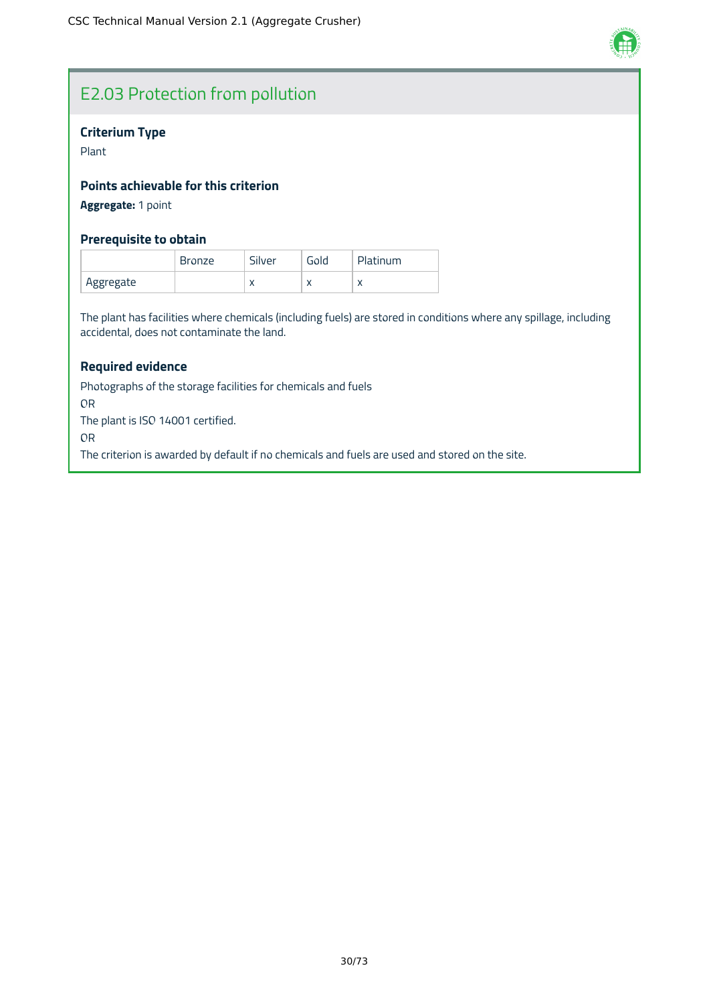

### E2.03 Protection from pollution

### **Criterium Type**

Plant

### **Points achievable for this criterion**

**Aggregate:** 1 point

### **Prerequisite to obtain**

|           | <b>Bronze</b> | Silver    | Gold      | Platinum |
|-----------|---------------|-----------|-----------|----------|
| Aggregate |               | $\lambda$ | $\lambda$ |          |

The plant has facilities where chemicals (including fuels) are stored in conditions where any spillage, including accidental, does not contaminate the land.

### **Required evidence**

Photographs of the storage facilities for chemicals and fuels OR The plant is ISO 14001 certified. OR The criterion is awarded by default if no chemicals and fuels are used and stored on the site.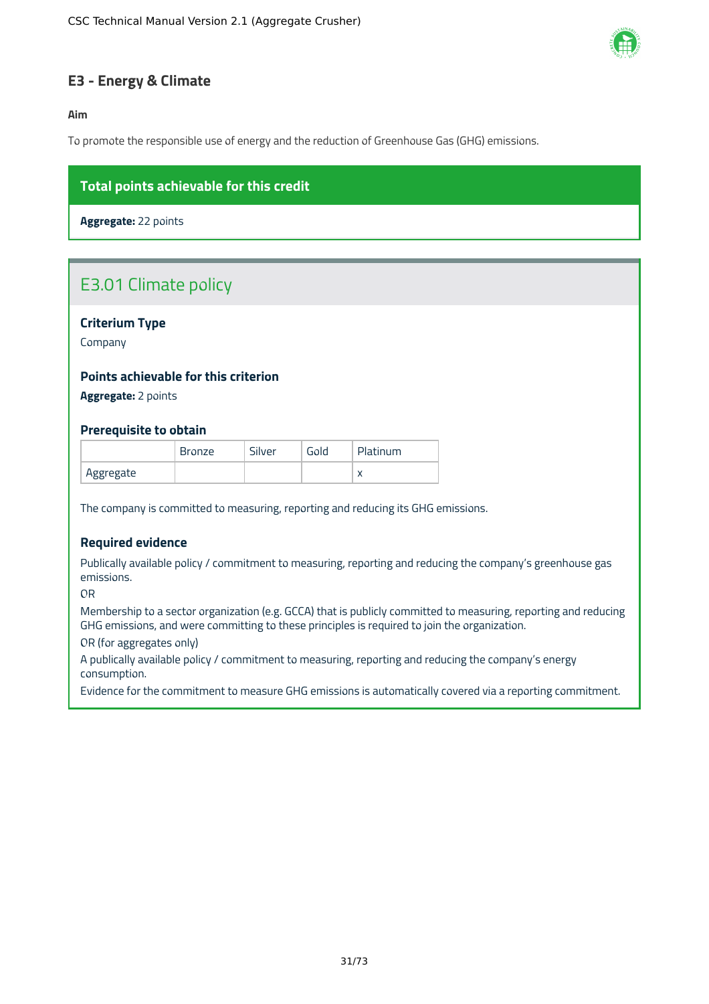

### <span id="page-31-0"></span>**E3 - Energy & Climate**

**Aim**

To promote the responsible use of energy and the reduction of Greenhouse Gas (GHG) emissions.

### **Total points achievable for this credit**

**Aggregate:** 22 points

### E3.01 Climate policy

### **Criterium Type**

Company

### **Points achievable for this criterion**

**Aggregate:** 2 points

### **Prerequisite to obtain**

|           | <b>Bronze</b> | Silver | Gold | Platinum  |
|-----------|---------------|--------|------|-----------|
| Aggregate |               |        |      | $\lambda$ |

The company is committed to measuring, reporting and reducing its GHG emissions.

### **Required evidence**

Publically available policy / commitment to measuring, reporting and reducing the company's greenhouse gas emissions.

OR

Membership to a sector organization (e.g. GCCA) that is publicly committed to measuring, reporting and reducing GHG emissions, and were committing to these principles is required to join the organization.

OR (for aggregates only)

A publically available policy / commitment to measuring, reporting and reducing the company's energy consumption.

Evidence for the commitment to measure GHG emissions is automatically covered via a reporting commitment.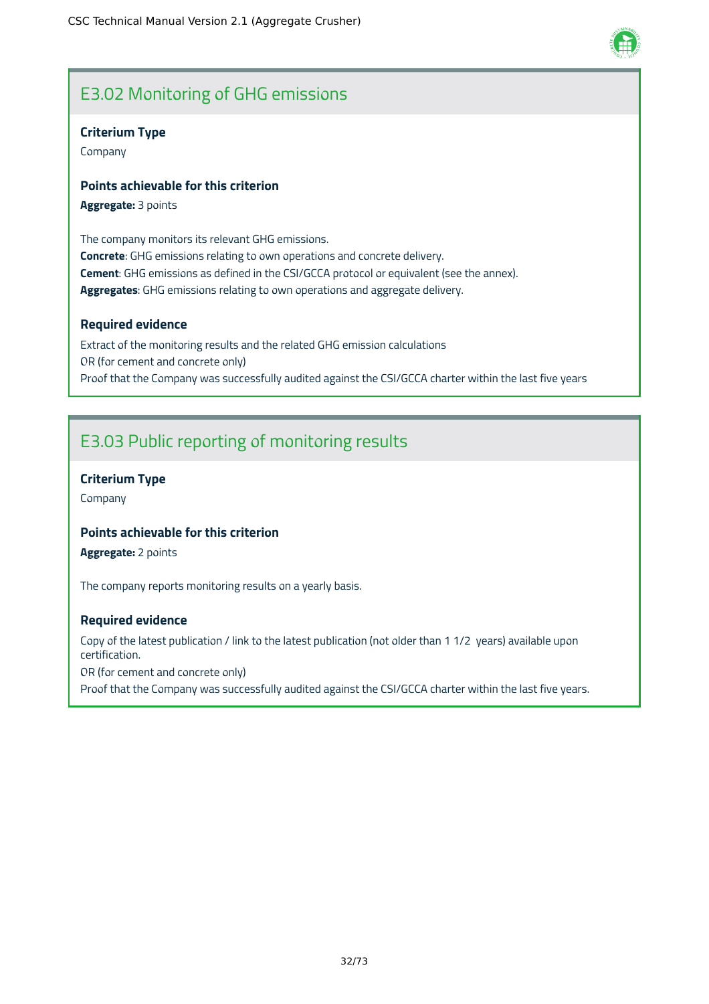### E3.02 Monitoring of GHG emissions

### **Criterium Type**

Company

### **Points achievable for this criterion**

**Aggregate:** 3 points

The company monitors its relevant GHG emissions. **Concrete**: GHG emissions relating to own operations and concrete delivery. **Cement**: GHG emissions as defined in the CSI/GCCA protocol or equivalent (see the annex). **Aggregates**: GHG emissions relating to own operations and aggregate delivery.

### **Required evidence**

Extract of the monitoring results and the related GHG emission calculations OR (for cement and concrete only) Proof that the Company was successfully audited against the CSI/GCCA charter within the last five years

### E3.03 Public reporting of monitoring results

### **Criterium Type**

Company

### **Points achievable for this criterion**

**Aggregate:** 2 points

The company reports monitoring results on a yearly basis.

### **Required evidence**

Copy of the latest publication / link to the latest publication (not older than 1 1/2 years) available upon certification.

OR (for cement and concrete only)

Proof that the Company was successfully audited against the CSI/GCCA charter within the last five years.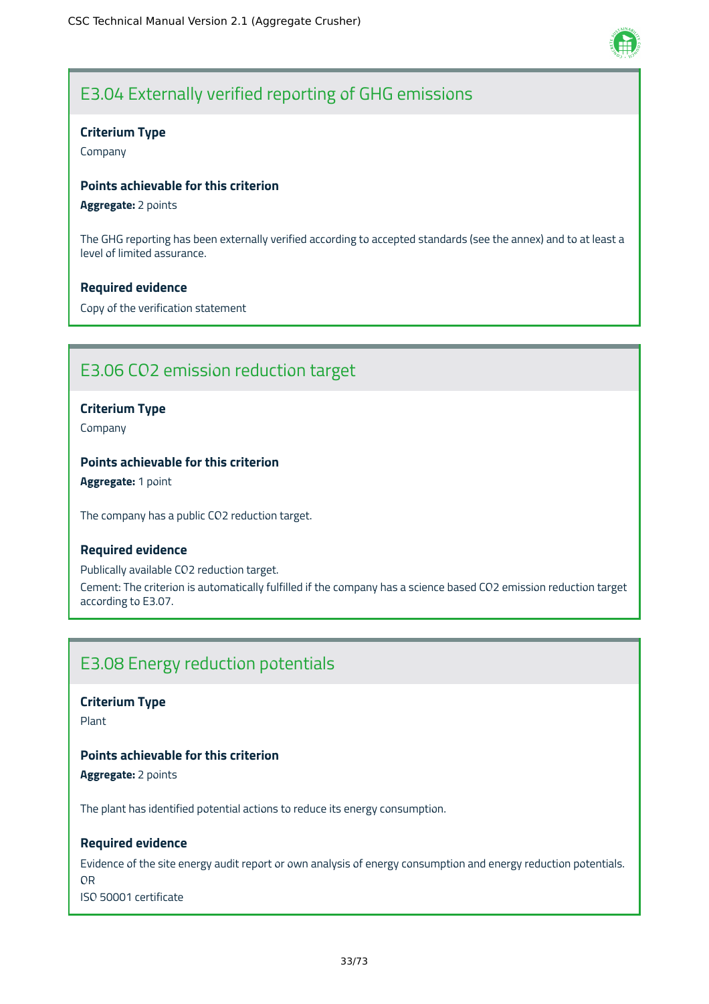

### E3.04 Externally verified reporting of GHG emissions

### **Criterium Type**

Company

### **Points achievable for this criterion**

**Aggregate:** 2 points

The GHG reporting has been externally verified according to accepted standards (see the annex) and to at least a level of limited assurance.

### **Required evidence**

Copy of the verification statement

### E3.06 CO2 emission reduction target

### **Criterium Type**

Company

### **Points achievable for this criterion**

**Aggregate:** 1 point

The company has a public CO2 reduction target.

### **Required evidence**

Publically available CO2 reduction target. Cement: The criterion is automatically fulfilled if the company has a science based CO2 emission reduction target according to E3.07.

### E3.08 Energy reduction potentials

**Criterium Type**

Plant

### **Points achievable for this criterion**

**Aggregate:** 2 points

The plant has identified potential actions to reduce its energy consumption.

### **Required evidence**

Evidence of the site energy audit report or own analysis of energy consumption and energy reduction potentials. OR ISO 50001 certificate

33/73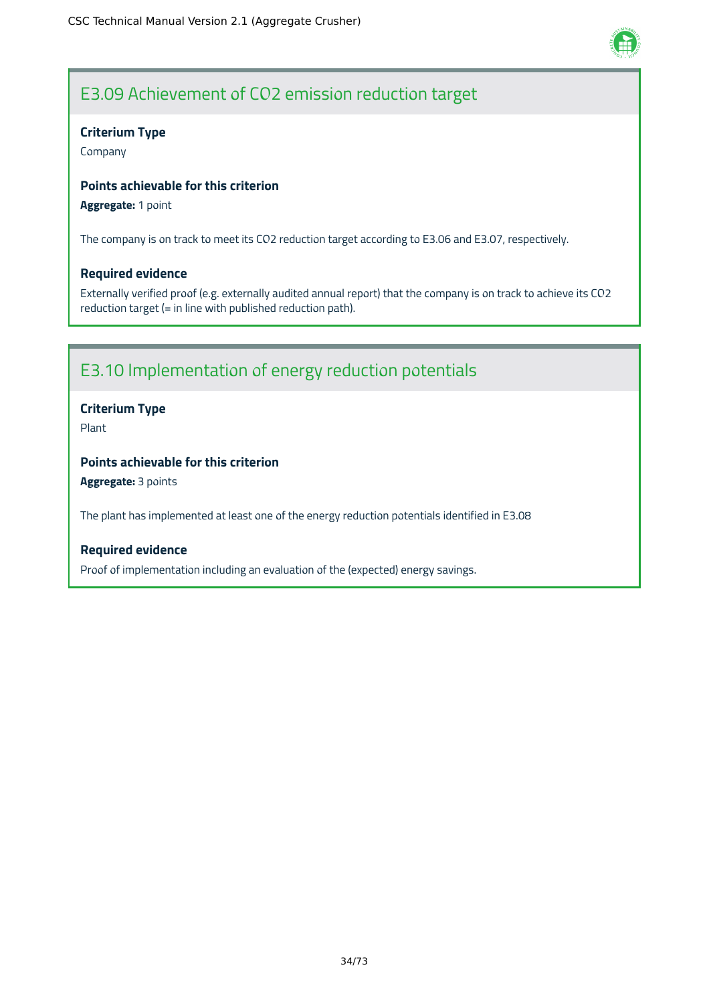

### E3.09 Achievement of CO2 emission reduction target

### **Criterium Type**

Company

### **Points achievable for this criterion**

### **Aggregate:** 1 point

The company is on track to meet its CO2 reduction target according to E3.06 and E3.07, respectively.

### **Required evidence**

Externally verified proof (e.g. externally audited annual report) that the company is on track to achieve its CO2 reduction target (= in line with published reduction path).

### E3.10 Implementation of energy reduction potentials

### **Criterium Type**

Plant

### **Points achievable for this criterion**

**Aggregate:** 3 points

The plant has implemented at least one of the energy reduction potentials identified in E3.08

### **Required evidence**

Proof of implementation including an evaluation of the (expected) energy savings.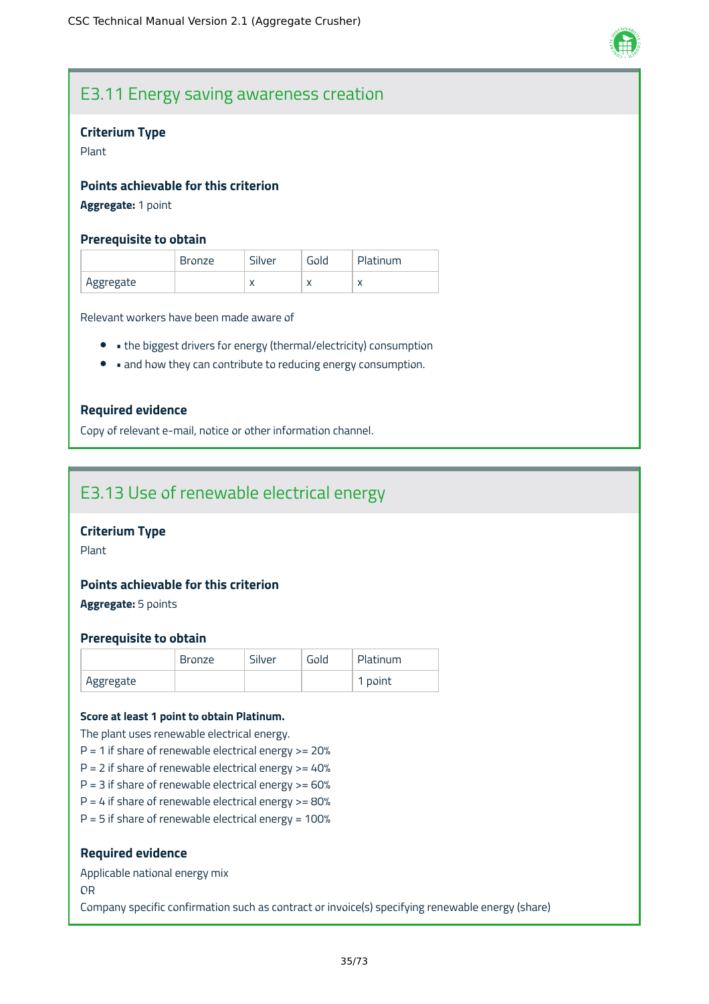

### E3.11 Energy saving awareness creation

#### **Criterium Type**

Plant

### **Points achievable for this criterion**

### **Aggregate:** 1 point

#### **Prerequisite to obtain**

|           | <b>Bronze</b> | Silver    | Gold      | Platinum  |
|-----------|---------------|-----------|-----------|-----------|
| Aggregate |               | $\lambda$ | $\lambda$ | $\lambda$ |

Relevant workers have been made aware of

- the biggest drivers for energy (thermal/electricity) consumption
- and how they can contribute to reducing energy consumption.

### **Required evidence**

Copy of relevant e-mail, notice or other information channel.

### E3.13 Use of renewable electrical energy

### **Criterium Type**

Plant

### **Points achievable for this criterion**

**Aggregate:** 5 points

#### **Prerequisite to obtain**

|           | <b>Bronze</b> | Silver | Gold | Platinum |
|-----------|---------------|--------|------|----------|
| Aggregate |               |        |      | 1 point  |

#### **Score at least 1 point to obtain Platinum.**

The plant uses renewable electrical energy.

- $P = 1$  if share of renewable electrical energy  $> = 20%$
- $P = 2$  if share of renewable electrical energy  $> = 40\%$
- $P = 3$  if share of renewable electrical energy  $> = 60\%$
- $P = 4$  if share of renewable electrical energy  $> = 80\%$
- $P = 5$  if share of renewable electrical energy = 100%

#### **Required evidence**

Applicable national energy mix

OR

Company specific confirmation such as contract or invoice(s) specifying renewable energy (share)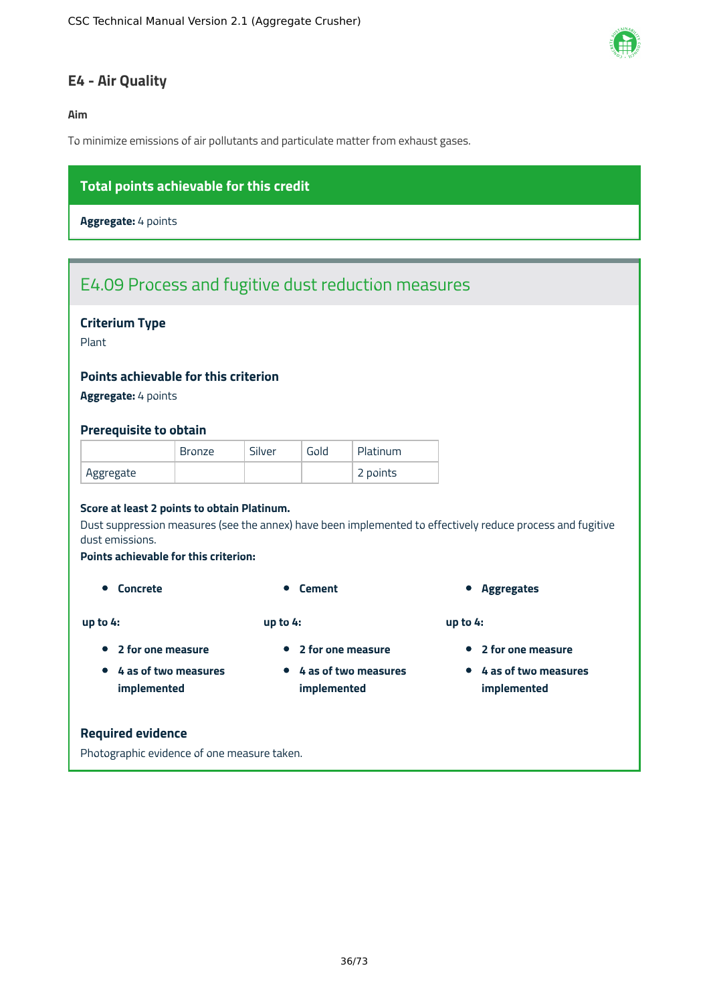

### **E4 - Air Quality**

#### **Aim**

To minimize emissions of air pollutants and particulate matter from exhaust gases.

### **Total points achievable for this credit**

**Aggregate:** 4 points

# E4.09 Process and fugitive dust reduction measures

#### **Criterium Type**

Plant

#### **Points achievable for this criterion**

**Aggregate:** 4 points

#### **Prerequisite to obtain**

|           | <b>Bronze</b> | Silver | Gold | Platinum |
|-----------|---------------|--------|------|----------|
| Aggregate |               |        |      | 2 points |

#### **Score at least 2 points to obtain Platinum.**

Dust suppression measures (see the annex) have been implemented to effectively reduce process and fugitive dust emissions.

#### **Points achievable for this criterion:**

**4 as of two measures implemented**

**up to 4:**

- **up to 4:**
- **2 for one measure**
- **2 for one measure**
- **4 as of two measures implemented**
- **Concrete Concrete Cement Aggregates**

**up to 4:**

- **2 for one measure**
- **4 as of two measures implemented**

#### **Required evidence**

Photographic evidence of one measure taken.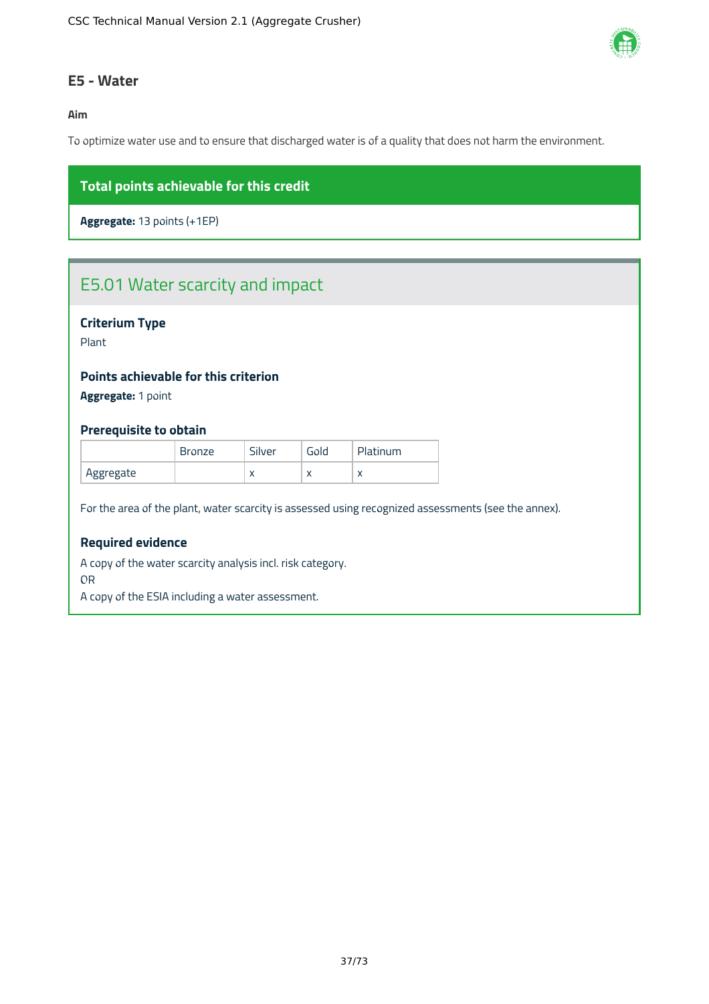

#### **E5 - Water**

**Aim**

To optimize water use and to ensure that discharged water is of a quality that does not harm the environment.

### **Total points achievable for this credit**

**Aggregate:** 13 points (+1EP)

# E5.01 Water scarcity and impact

### **Criterium Type**

Plant

#### **Points achievable for this criterion**

**Aggregate:** 1 point

#### **Prerequisite to obtain**

|           | <b>Bronze</b> | Silver    | Gold      | Platinum  |
|-----------|---------------|-----------|-----------|-----------|
| Aggregate |               | $\lambda$ | $\lambda$ | $\lambda$ |

For the area of the plant, water scarcity is assessed using recognized assessments (see the annex).

### **Required evidence**

A copy of the water scarcity analysis incl. risk category.

OR

A copy of the ESIA including a water assessment.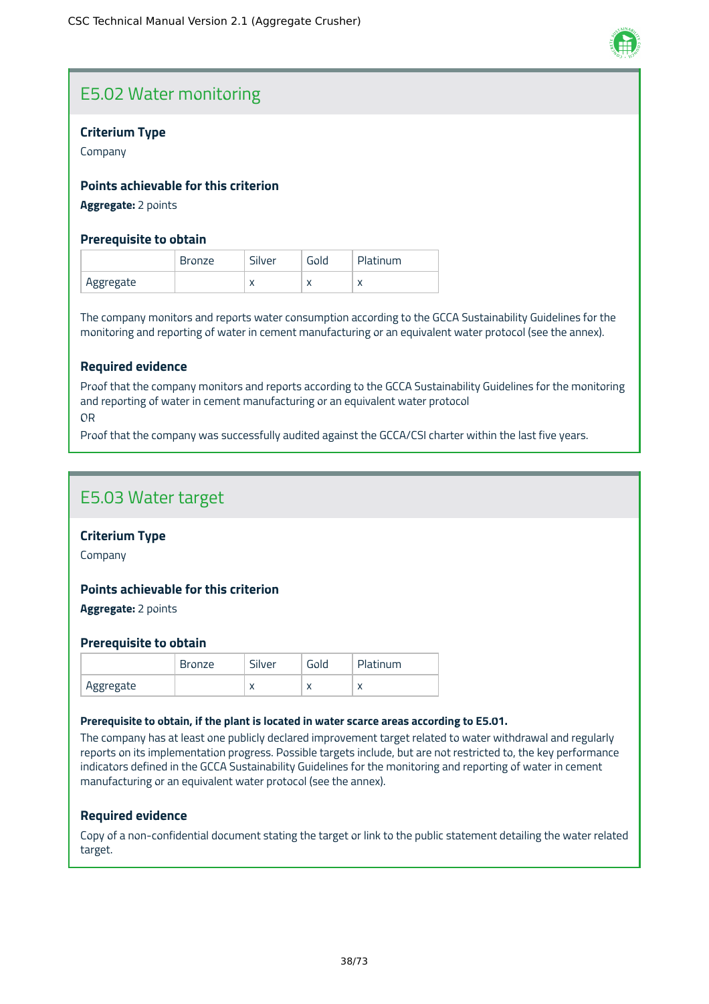

# E5.02 Water monitoring

#### **Criterium Type**

Company

#### **Points achievable for this criterion**

**Aggregate:** 2 points

#### **Prerequisite to obtain**

|           | <b>Bronze</b> | Silver     | Gold      | Platinum |
|-----------|---------------|------------|-----------|----------|
| Aggregate |               | $\sqrt{ }$ | $\lambda$ |          |

The company monitors and reports water consumption according to the GCCA Sustainability Guidelines for the monitoring and reporting of water in cement manufacturing or an equivalent water protocol (see the annex).

#### **Required evidence**

Proof that the company monitors and reports according to the GCCA Sustainability Guidelines for the monitoring and reporting of water in cement manufacturing or an equivalent water protocol OR

Proof that the company was successfully audited against the GCCA/CSI charter within the last five years.

### E5.03 Water target

#### **Criterium Type**

Company

#### **Points achievable for this criterion**

**Aggregate:** 2 points

#### **Prerequisite to obtain**

|           | <b>Bronze</b> | Silver    | Gold      | Platinum  |
|-----------|---------------|-----------|-----------|-----------|
| Aggregate |               | $\lambda$ | $\lambda$ | $\lambda$ |

#### **Prerequisite to obtain, if the plant is located in water scarce areas according to E5.01.**

The company has at least one publicly declared improvement target related to water withdrawal and regularly reports on its implementation progress. Possible targets include, but are not restricted to, the key performance indicators defined in the GCCA Sustainability Guidelines for the monitoring and reporting of water in cement manufacturing or an equivalent water protocol (see the annex).

#### **Required evidence**

Copy of a non-confidential document stating the target or link to the public statement detailing the water related target.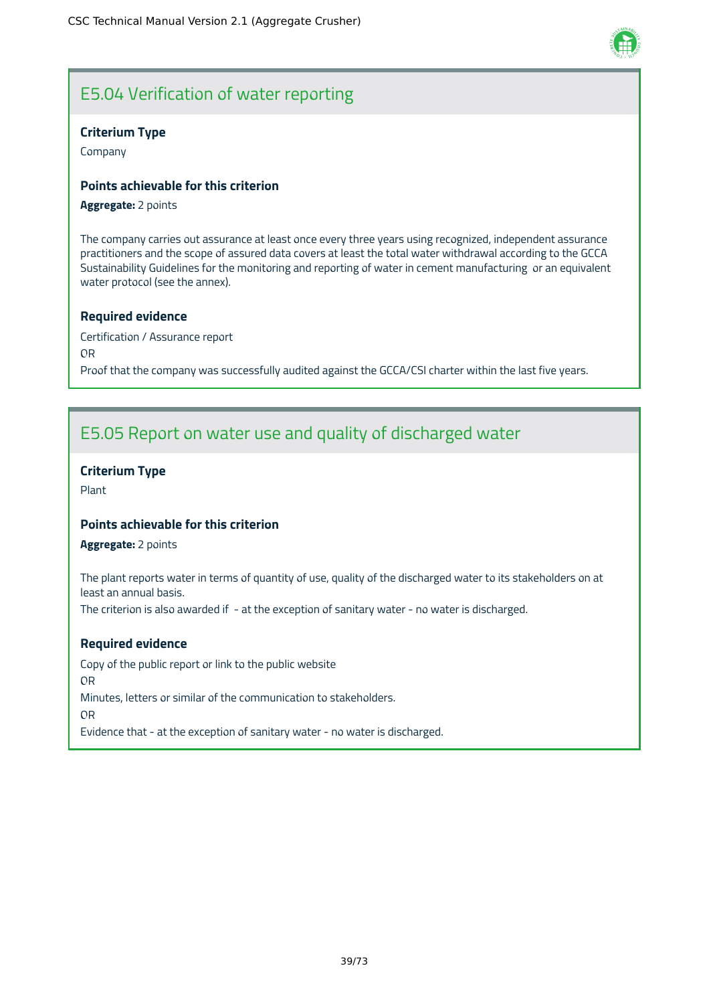# E5.04 Verification of water reporting

#### **Criterium Type**

Company

#### **Points achievable for this criterion**

#### **Aggregate:** 2 points

The company carries out assurance at least once every three years using recognized, independent assurance practitioners and the scope of assured data covers at least the total water withdrawal according to the GCCA Sustainability Guidelines for the monitoring and reporting of water in cement manufacturing or an equivalent water protocol (see the annex).

#### **Required evidence**

Certification / Assurance report OR Proof that the company was successfully audited against the GCCA/CSI charter within the last five years.

# E5.05 Report on water use and quality of discharged water

#### **Criterium Type**

Plant

#### **Points achievable for this criterion**

**Aggregate:** 2 points

The plant reports water in terms of quantity of use, quality of the discharged water to its stakeholders on at least an annual basis.

The criterion is also awarded if - at the exception of sanitary water - no water is discharged.

#### **Required evidence**

Copy of the public report or link to the public website OR Minutes, letters or similar of the communication to stakeholders. OR Evidence that - at the exception of sanitary water - no water is discharged.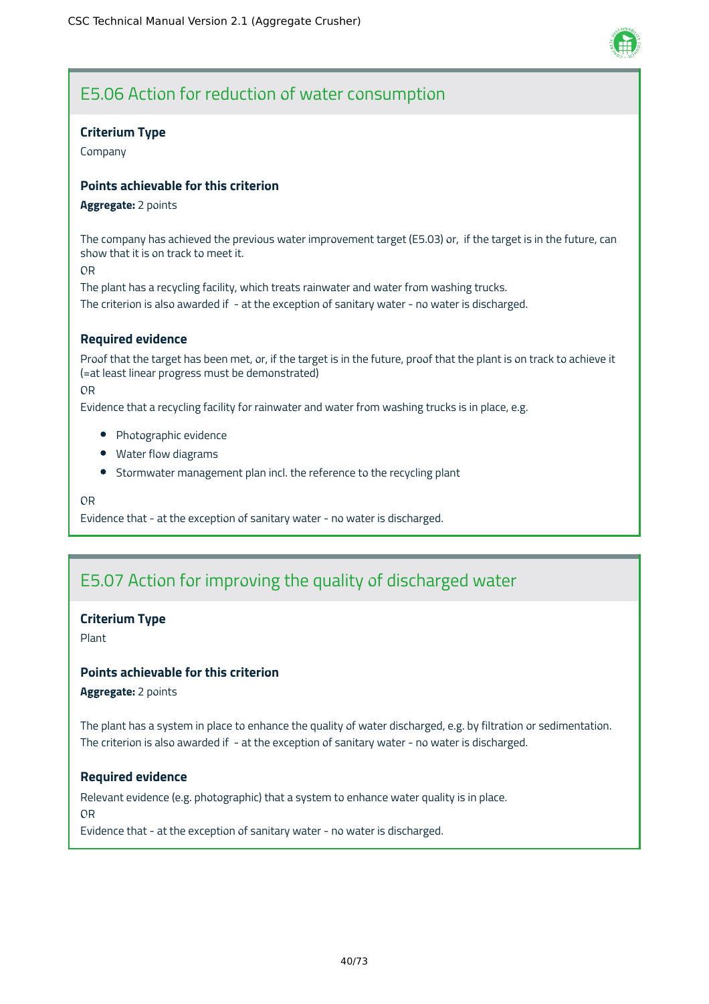

# E5.06 Action for reduction of water consumption

#### **Criterium Type**

Company

#### **Points achievable for this criterion**

#### **Aggregate:** 2 points

The company has achieved the previous water improvement target (E5.03) or, if the target is in the future, can show that it is on track to meet it.

OR

The plant has a recycling facility, which treats rainwater and water from washing trucks. The criterion is also awarded if - at the exception of sanitary water - no water is discharged.

### **Required evidence**

Proof that the target has been met, or, if the target is in the future, proof that the plant is on track to achieve it (=at least linear progress must be demonstrated)

OR

Evidence that a recycling facility for rainwater and water from washing trucks is in place, e.g.

- Photographic evidence
- Water flow diagrams
- Stormwater management plan incl. the reference to the recycling plant

OR

Evidence that - at the exception of sanitary water - no water is discharged.

# E5.07 Action for improving the quality of discharged water

#### **Criterium Type**

Plant

#### **Points achievable for this criterion**

**Aggregate:** 2 points

The plant has a system in place to enhance the quality of water discharged, e.g. by filtration or sedimentation. The criterion is also awarded if - at the exception of sanitary water - no water is discharged.

#### **Required evidence**

Relevant evidence (e.g. photographic) that a system to enhance water quality is in place. OR

Evidence that - at the exception of sanitary water - no water is discharged.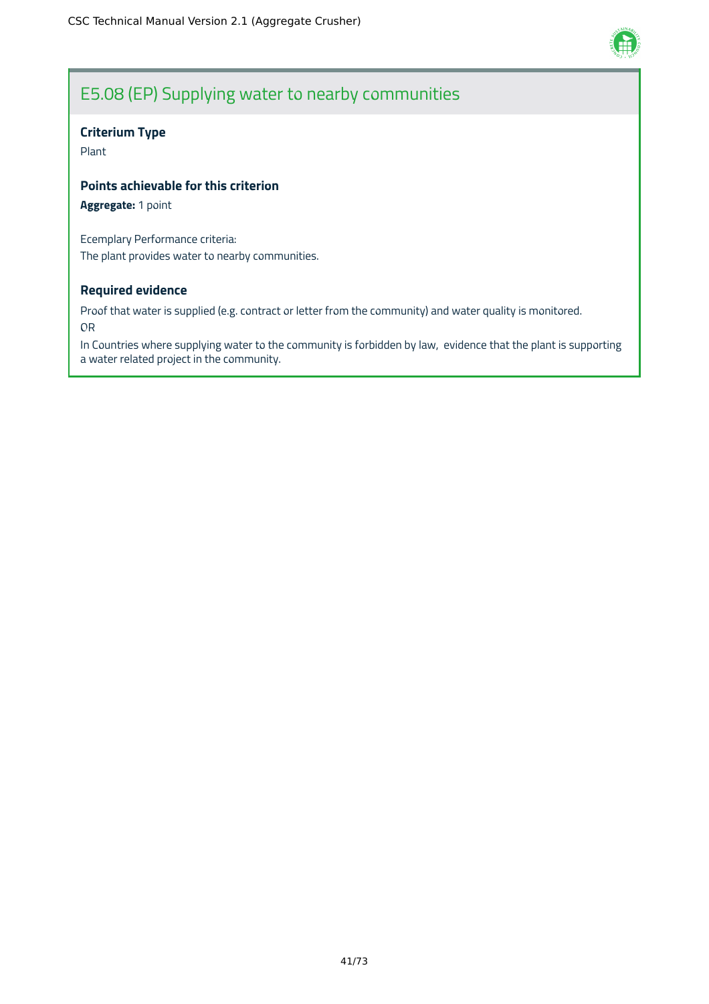

# E5.08 (EP) Supplying water to nearby communities

#### **Criterium Type**

Plant

#### **Points achievable for this criterion**

**Aggregate:** 1 point

Ecemplary Performance criteria: The plant provides water to nearby communities.

#### **Required evidence**

Proof that water is supplied (e.g. contract or letter from the community) and water quality is monitored. OR

In Countries where supplying water to the community is forbidden by law, evidence that the plant is supporting a water related project in the community.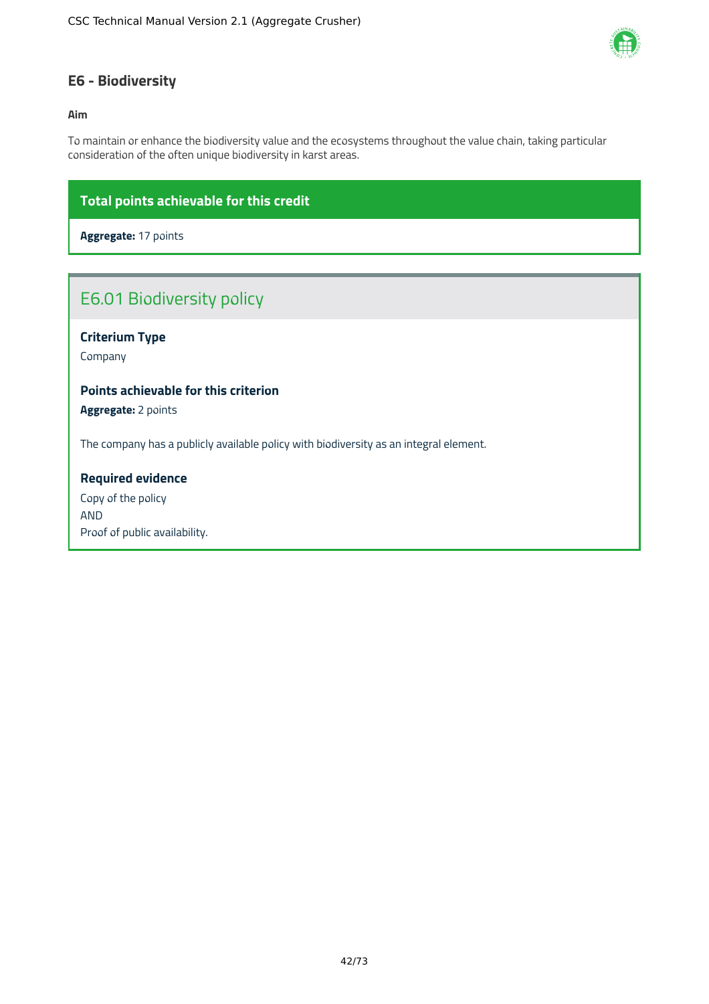

### **E6 - Biodiversity**

#### **Aim**

To maintain or enhance the biodiversity value and the ecosystems throughout the value chain, taking particular consideration of the often unique biodiversity in karst areas.

### **Total points achievable for this credit**

**Aggregate:** 17 points

# E6.01 Biodiversity policy

### **Criterium Type**

Company

### **Points achievable for this criterion**

**Aggregate:** 2 points

The company has a publicly available policy with biodiversity as an integral element.

#### **Required evidence**

Copy of the policy AND Proof of public availability.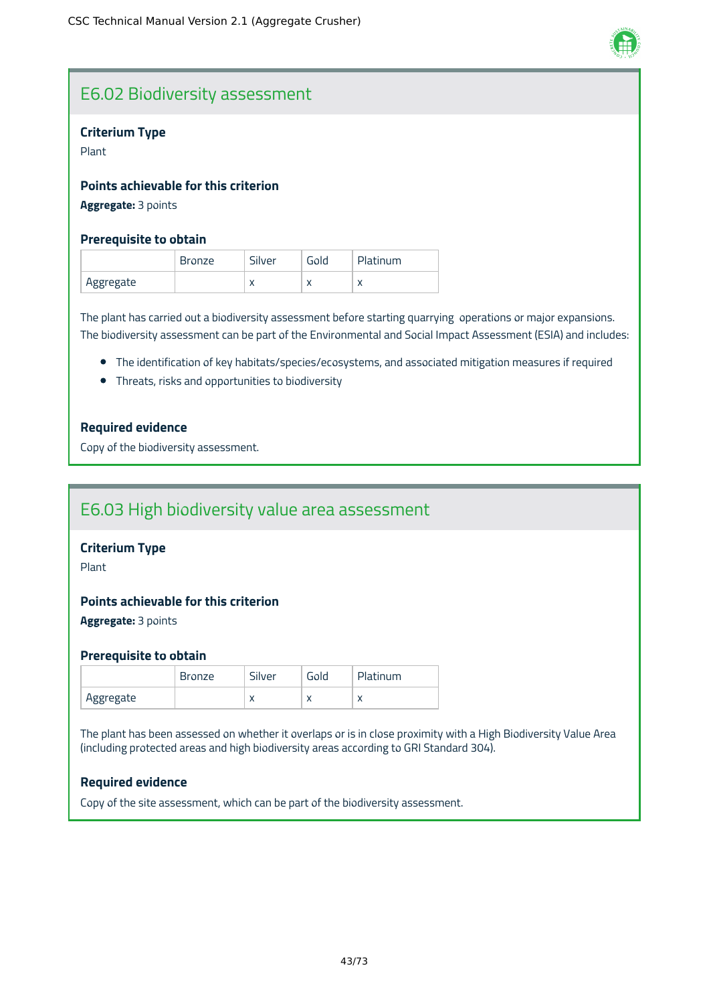

# E6.02 Biodiversity assessment

#### **Criterium Type**

Plant

#### **Points achievable for this criterion**

**Aggregate:** 3 points

#### **Prerequisite to obtain**

|           | <b>Bronze</b> | Silver | Gold | Platinum |
|-----------|---------------|--------|------|----------|
| Aggregate |               | ◠      | ∧    |          |

The plant has carried out a biodiversity assessment before starting quarrying operations or major expansions. The biodiversity assessment can be part of the Environmental and Social Impact Assessment (ESIA) and includes:

- The identification of key habitats/species/ecosystems, and associated mitigation measures if required
- Threats, risks and opportunities to biodiversity

#### **Required evidence**

Copy of the biodiversity assessment.

# E6.03 High biodiversity value area assessment

#### **Criterium Type**

Plant

#### **Points achievable for this criterion**

**Aggregate:** 3 points

#### **Prerequisite to obtain**

|           | <b>Bronze</b> | Silver    | Gold      | Platinum  |
|-----------|---------------|-----------|-----------|-----------|
| Aggregate |               | $\lambda$ | $\lambda$ | $\lambda$ |

The plant has been assessed on whether it overlaps or is in close proximity with a High Biodiversity Value Area (including protected areas and high biodiversity areas according to GRI Standard 304).

#### **Required evidence**

Copy of the site assessment, which can be part of the biodiversity assessment.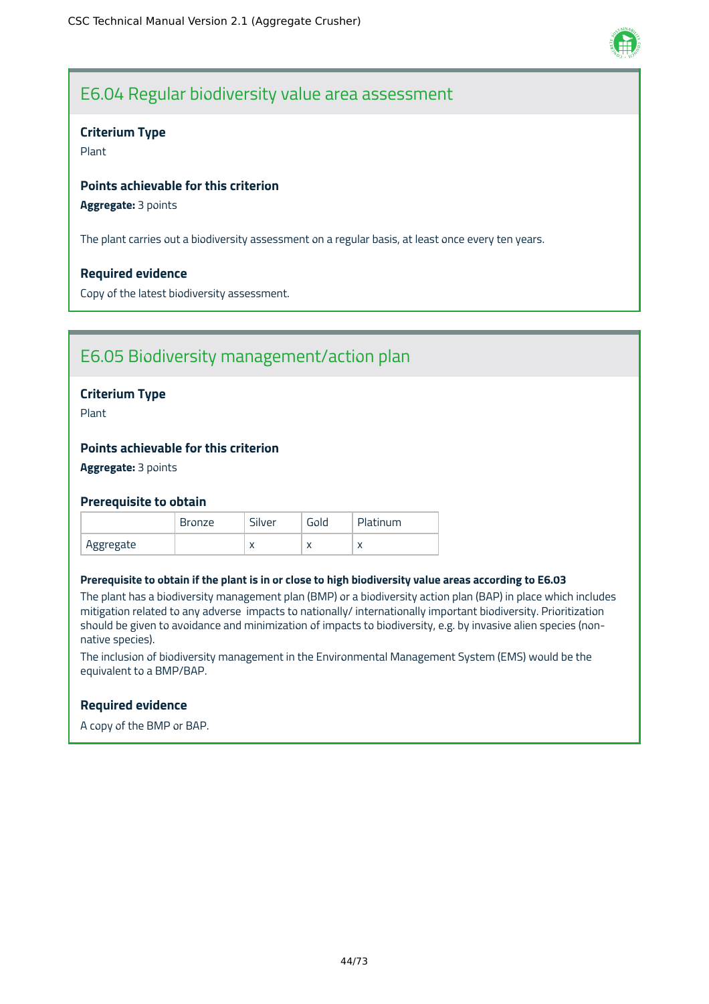

### E6.04 Regular biodiversity value area assessment

#### **Criterium Type**

Plant

#### **Points achievable for this criterion**

**Aggregate:** 3 points

The plant carries out a biodiversity assessment on a regular basis, at least once every ten years.

#### **Required evidence**

Copy of the latest biodiversity assessment.

# E6.05 Biodiversity management/action plan

#### **Criterium Type**

Plant

#### **Points achievable for this criterion**

**Aggregate:** 3 points

#### **Prerequisite to obtain**

|           | <b>Bronze</b> | Silver    | Gola      | Platinum  |
|-----------|---------------|-----------|-----------|-----------|
| Aggregate |               | $\lambda$ | $\lambda$ | $\lambda$ |

#### Prerequisite to obtain if the plant is in or close to high biodiversity value areas according to E6.03

The plant has a biodiversity management plan (BMP) or a biodiversity action plan (BAP) in place which includes mitigation related to any adverse impacts to nationally/ internationally important biodiversity. Prioritization should be given to avoidance and minimization of impacts to biodiversity, e.g. by invasive alien species (nonnative species).

The inclusion of biodiversity management in the Environmental Management System (EMS) would be the equivalent to a BMP/BAP.

#### **Required evidence**

A copy of the BMP or BAP.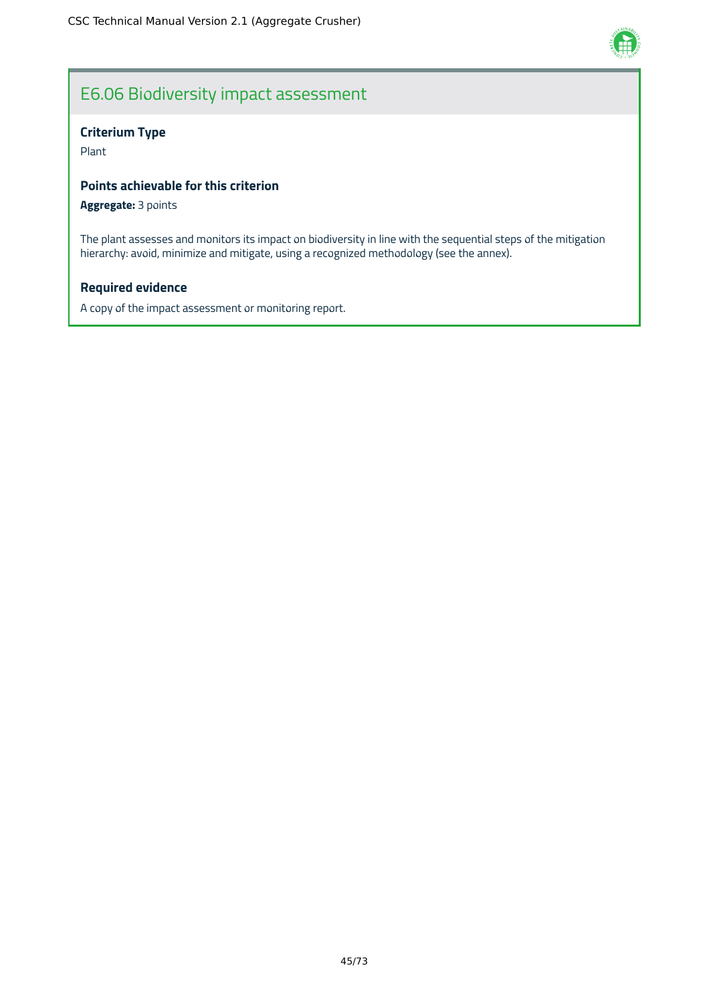

# E6.06 Biodiversity impact assessment

#### **Criterium Type**

Plant

#### **Points achievable for this criterion**

#### **Aggregate:** 3 points

The plant assesses and monitors its impact on biodiversity in line with the sequential steps of the mitigation hierarchy: avoid, minimize and mitigate, using a recognized methodology (see the annex).

#### **Required evidence**

A copy of the impact assessment or monitoring report.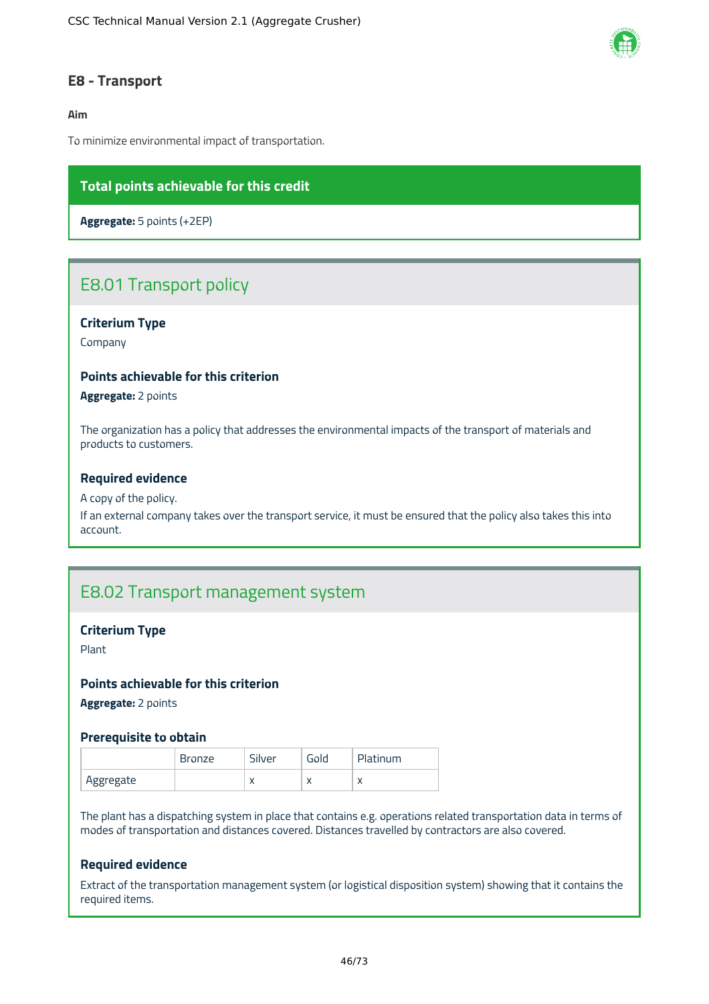

### **E8 - Transport**

#### **Aim**

To minimize environmental impact of transportation.

### **Total points achievable for this credit**

**Aggregate:** 5 points (+2EP)

# E8.01 Transport policy

#### **Criterium Type**

Company

#### **Points achievable for this criterion**

**Aggregate:** 2 points

The organization has a policy that addresses the environmental impacts of the transport of materials and products to customers.

#### **Required evidence**

#### A copy of the policy.

If an external company takes over the transport service, it must be ensured that the policy also takes this into account.

### E8.02 Transport management system

#### **Criterium Type**

Plant

#### **Points achievable for this criterion**

**Aggregate:** 2 points

#### **Prerequisite to obtain**

|           | <b>Sronze</b> | Silver    | Gold      | Platinum |
|-----------|---------------|-----------|-----------|----------|
| Aggregate |               | $\lambda$ | $\lambda$ |          |

The plant has a dispatching system in place that contains e.g. operations related transportation data in terms of modes of transportation and distances covered. Distances travelled by contractors are also covered.

#### **Required evidence**

Extract of the transportation management system (or logistical disposition system) showing that it contains the required items.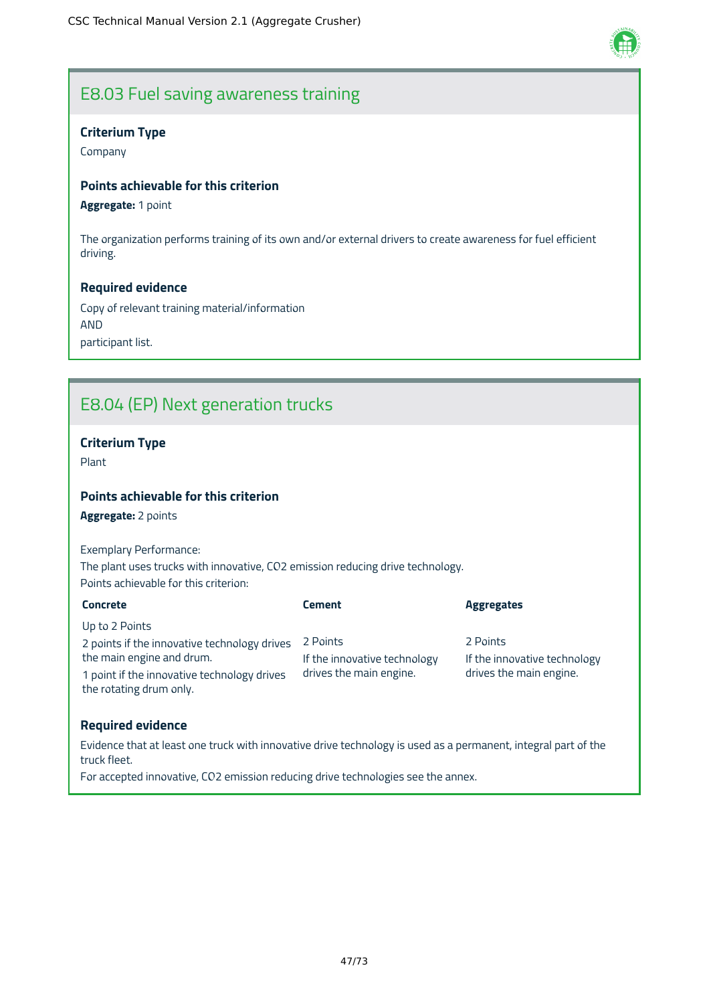

# E8.03 Fuel saving awareness training

#### **Criterium Type**

Company

#### **Points achievable for this criterion**

**Aggregate:** 1 point

The organization performs training of its own and/or external drivers to create awareness for fuel efficient driving.

#### **Required evidence**

Copy of relevant training material/information AND participant list.

# E8.04 (EP) Next generation trucks

### **Criterium Type**

Plant

### **Points achievable for this criterion**

**Aggregate:** 2 points

Exemplary Performance: The plant uses trucks with innovative, CO2 emission reducing drive technology. Points achievable for this criterion:

| <b>Concrete</b>                                                        | <b>Cement</b>                | <b>Aggregates</b>            |
|------------------------------------------------------------------------|------------------------------|------------------------------|
| Up to 2 Points                                                         |                              |                              |
| 2 points if the innovative technology drives                           | 2 Points                     | 2 Points                     |
| the main engine and drum.                                              | If the innovative technology | If the innovative technology |
| 1 point if the innovative technology drives<br>the rotating drum only. | drives the main engine.      | drives the main engine.      |

#### **Required evidence**

Evidence that at least one truck with innovative drive technology is used as a permanent, integral part of the truck fleet.

For accepted innovative, CO2 emission reducing drive technologies see the annex.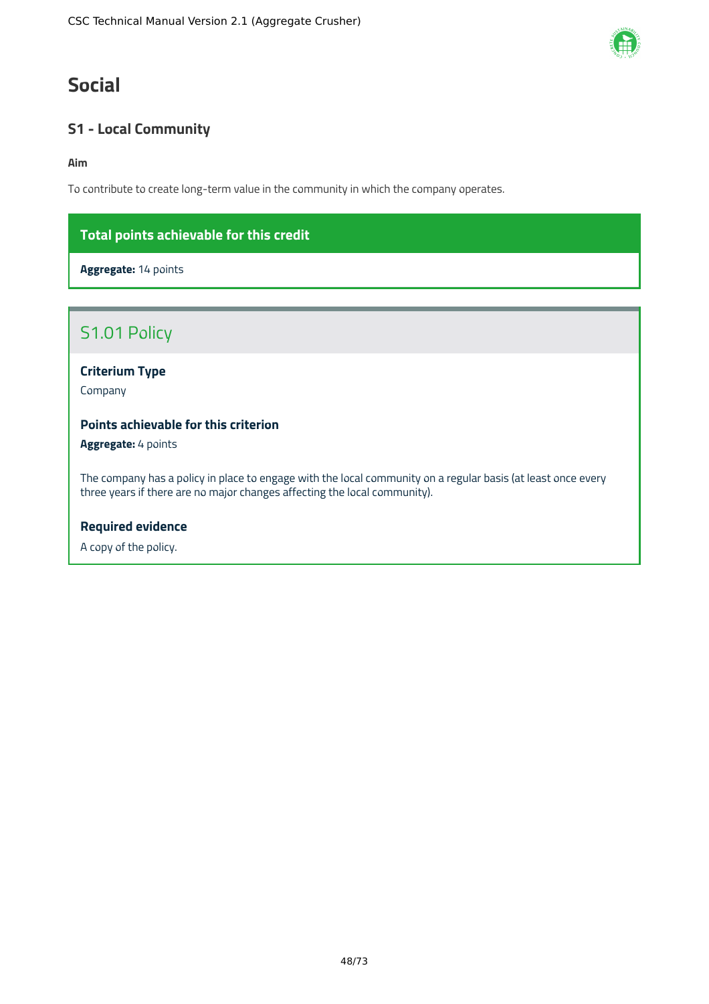# **Social**

### **S1 - Local Community**

**Aim**

To contribute to create long-term value in the community in which the company operates.

### **Total points achievable for this credit**

**Aggregate:** 14 points

### S1.01 Policy

**Criterium Type**

Company

### **Points achievable for this criterion**

**Aggregate:** 4 points

The company has a policy in place to engage with the local community on a regular basis (at least once every three years if there are no major changes affecting the local community).

#### **Required evidence**

A copy of the policy.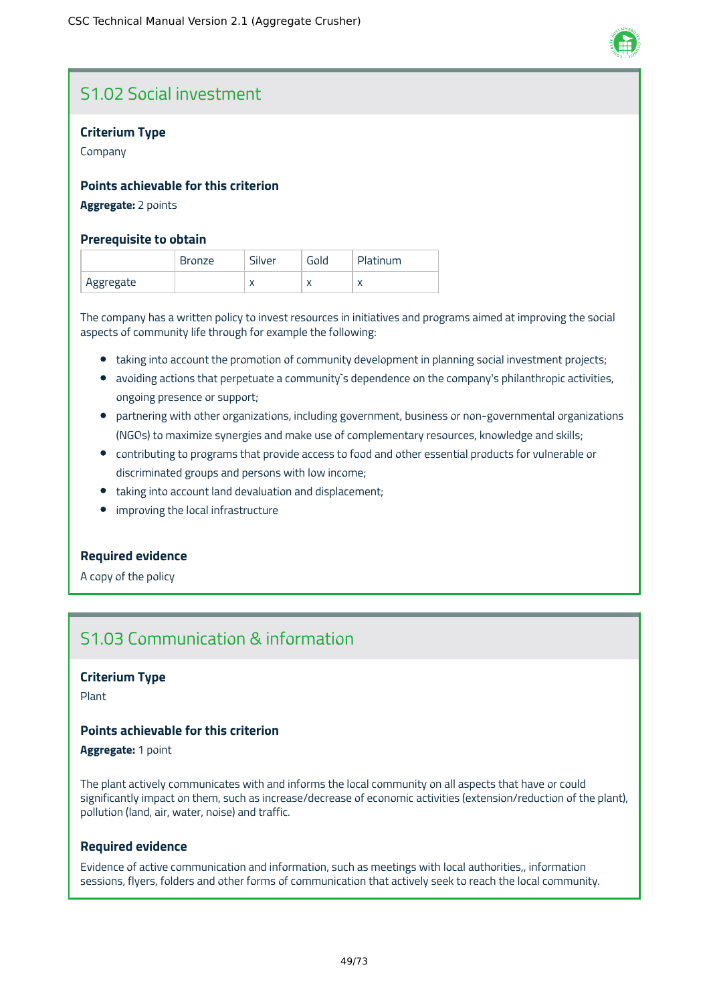

# S1.02 Social investment

#### **Criterium Type**

Company

#### **Points achievable for this criterion**

#### **Aggregate:** 2 points

#### **Prerequisite to obtain**

|           | <b>Bronze</b> | Silver    | Gold      | Platinum  |
|-----------|---------------|-----------|-----------|-----------|
| Aggregate |               | $\lambda$ | $\lambda$ | $\lambda$ |

The company has a written policy to invest resources in initiatives and programs aimed at improving the social aspects of community life through for example the following:

- taking into account the promotion of community development in planning social investment projects;
- avoiding actions that perpetuate a community's dependence on the company's philanthropic activities, ongoing presence or support;
- partnering with other organizations, including government, business or non-governmental organizations (NGOs) to maximize synergies and make use of complementary resources, knowledge and skills;
- contributing to programs that provide access to food and other essential products for vulnerable or discriminated groups and persons with low income;
- taking into account land devaluation and displacement;
- **•** improving the local infrastructure

#### **Required evidence**

A copy of the policy

# S1.03 Communication & information

#### **Criterium Type**

Plant

#### **Points achievable for this criterion**

**Aggregate:** 1 point

The plant actively communicates with and informs the local community on all aspects that have or could significantly impact on them, such as increase/decrease of economic activities (extension/reduction of the plant), pollution (land, air, water, noise) and traffic.

#### **Required evidence**

Evidence of active communication and information, such as meetings with local authorities,, information sessions, flyers, folders and other forms of communication that actively seek to reach the local community.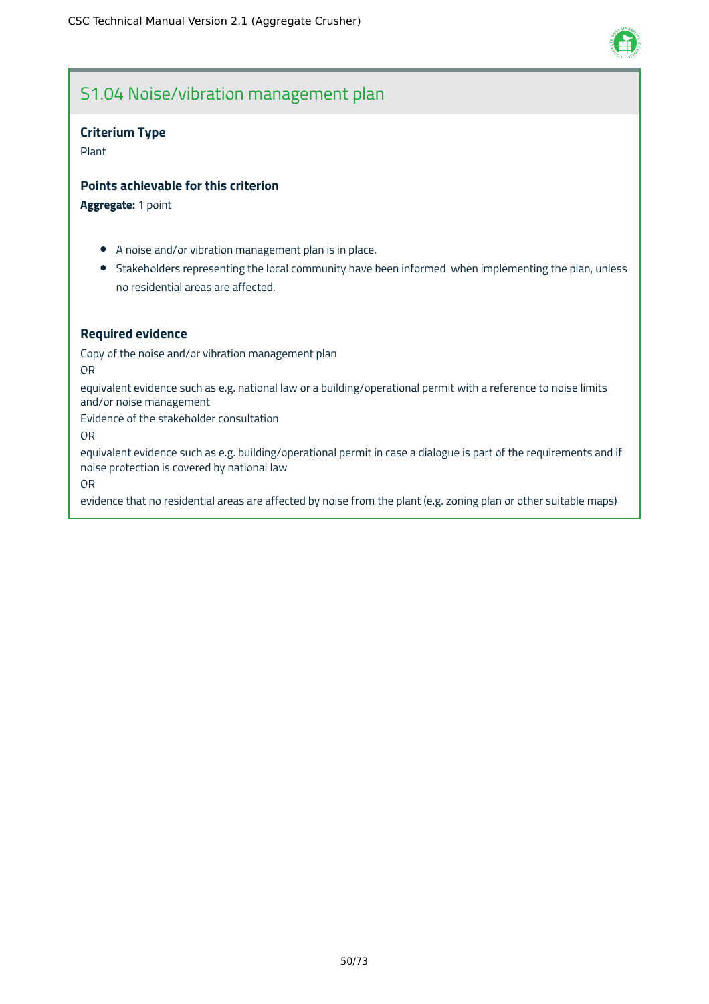

# S1.04 Noise/vibration management plan

#### **Criterium Type**

Plant

#### **Points achievable for this criterion**

**Aggregate:** 1 point

- A noise and/or vibration management plan is in place.
- Stakeholders representing the local community have been informed when implementing the plan, unless no residential areas are affected.

#### **Required evidence**

Copy of the noise and/or vibration management plan

OR

equivalent evidence such as e.g. national law or a building/operational permit with a reference to noise limits and/or noise management

Evidence of the stakeholder consultation

OR

equivalent evidence such as e.g. building/operational permit in case a dialogue is part of the requirements and if noise protection is covered by national law

OR

evidence that no residential areas are affected by noise from the plant (e.g. zoning plan or other suitable maps)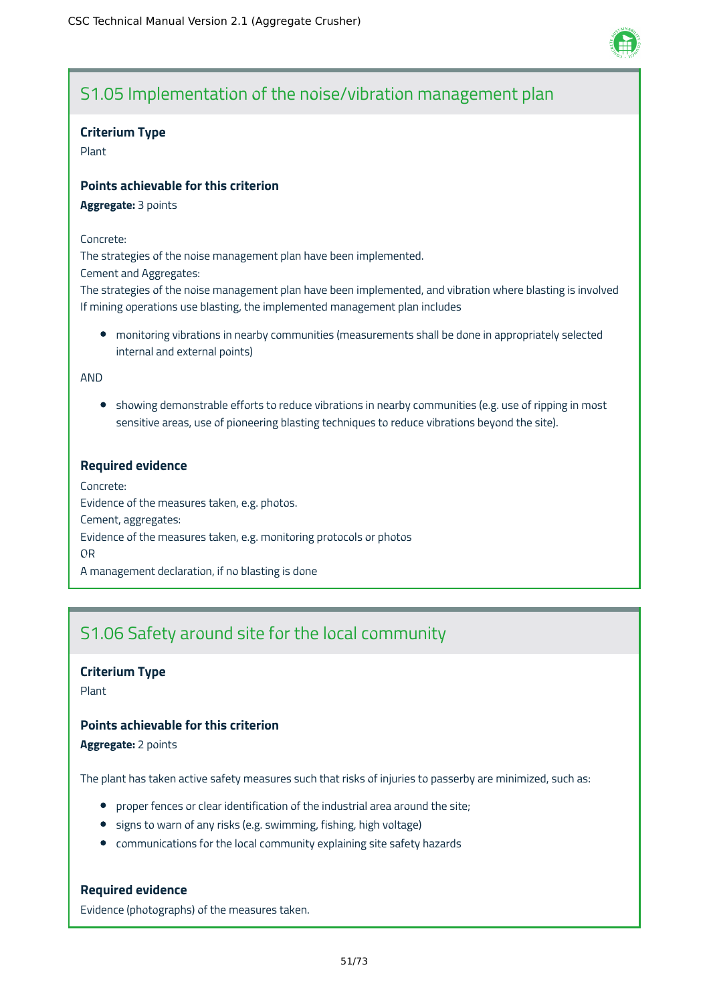

# S1.05 Implementation of the noise/vibration management plan

#### **Criterium Type**

Plant

#### **Points achievable for this criterion**

**Aggregate:** 3 points

#### Concrete:

The strategies of the noise management plan have been implemented.

Cement and Aggregates:

The strategies of the noise management plan have been implemented, and vibration where blasting is involved If mining operations use blasting, the implemented management plan includes

monitoring vibrations in nearby communities (measurements shall be done in appropriately selected internal and external points)

AND

• showing demonstrable efforts to reduce vibrations in nearby communities (e.g. use of ripping in most sensitive areas, use of pioneering blasting techniques to reduce vibrations beyond the site).

#### **Required evidence**

Concrete: Evidence of the measures taken, e.g. photos. Cement, aggregates: Evidence of the measures taken, e.g. monitoring protocols or photos OR A management declaration, if no blasting is done

# S1.06 Safety around site for the local community

#### **Criterium Type**

Plant

#### **Points achievable for this criterion**

**Aggregate:** 2 points

The plant has taken active safety measures such that risks of injuries to passerby are minimized, such as:

- proper fences or clear identification of the industrial area around the site;
- signs to warn of any risks (e.g. swimming, fishing, high voltage)
- communications for the local community explaining site safety hazards

#### **Required evidence**

Evidence (photographs) of the measures taken.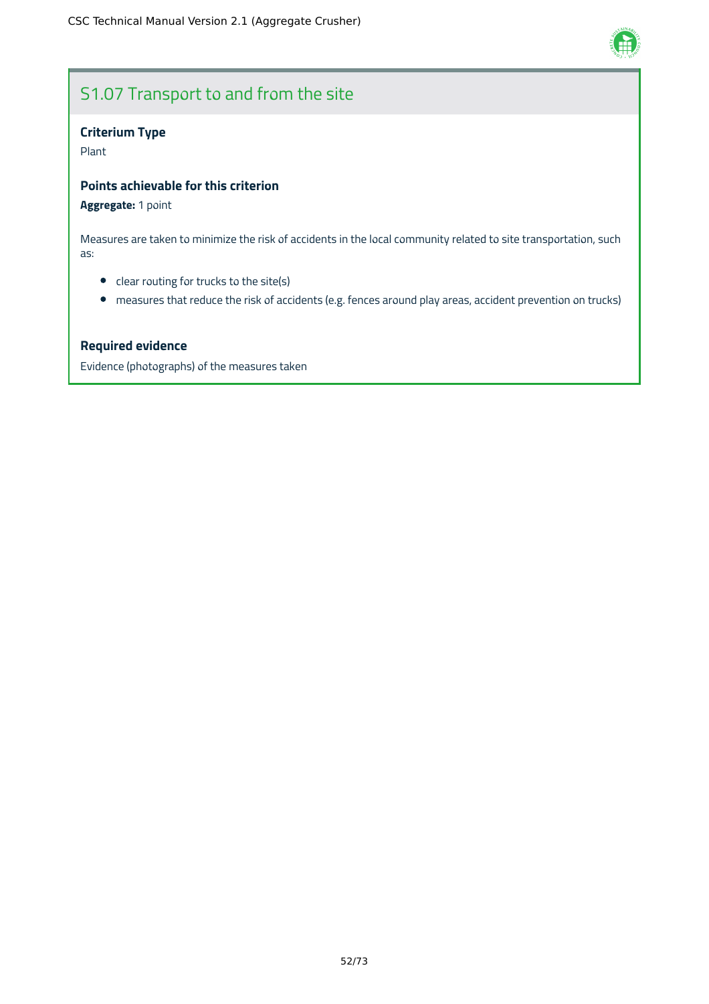

# S1.07 Transport to and from the site

### **Criterium Type**

Plant

#### **Points achievable for this criterion**

#### **Aggregate:** 1 point

Measures are taken to minimize the risk of accidents in the local community related to site transportation, such as:

- clear routing for trucks to the site(s)
- measures that reduce the risk of accidents (e.g. fences around play areas, accident prevention on trucks)

#### **Required evidence**

Evidence (photographs) of the measures taken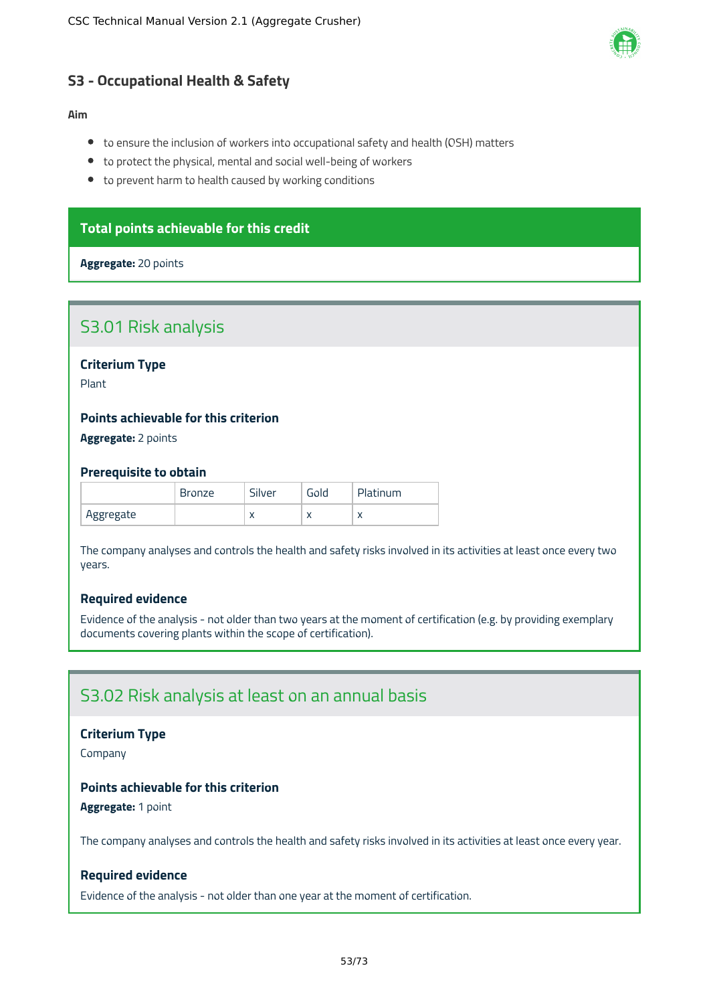

### **S3 - Occupational Health & Safety**

#### **Aim**

- to ensure the inclusion of workers into occupational safety and health (OSH) matters
- to protect the physical, mental and social well-being of workers
- to prevent harm to health caused by working conditions

### **Total points achievable for this credit**

#### **Aggregate:** 20 points

### S3.01 Risk analysis

**Criterium Type**

Plant

### **Points achievable for this criterion**

#### **Aggregate:** 2 points

#### **Prerequisite to obtain**

|           | <b>Bronze</b> | Silver    | Gold | Platinum |
|-----------|---------------|-----------|------|----------|
| Aggregate |               | $\lambda$ | ◠    |          |

The company analyses and controls the health and safety risks involved in its activities at least once every two years.

#### **Required evidence**

Evidence of the analysis - not older than two years at the moment of certification (e.g. by providing exemplary documents covering plants within the scope of certification).

### S3.02 Risk analysis at least on an annual basis

#### **Criterium Type**

Company

#### **Points achievable for this criterion**

**Aggregate:** 1 point

The company analyses and controls the health and safety risks involved in its activities at least once every year.

#### **Required evidence**

Evidence of the analysis - not older than one year at the moment of certification.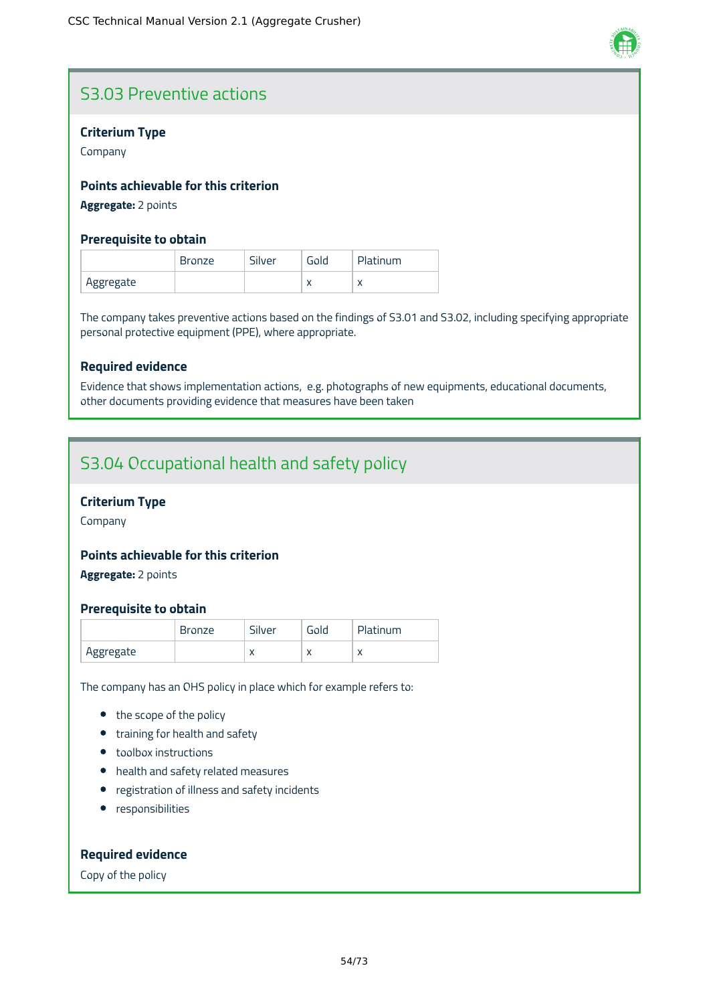

# S3.03 Preventive actions

#### **Criterium Type**

Company

#### **Points achievable for this criterion**

**Aggregate:** 2 points

#### **Prerequisite to obtain**

|           | <b>Bronze</b> | Silver | Gold      | Platinum |
|-----------|---------------|--------|-----------|----------|
| Aggregate |               |        | $\lambda$ |          |

The company takes preventive actions based on the findings of S3.01 and S3.02, including specifying appropriate personal protective equipment (PPE), where appropriate.

#### **Required evidence**

Evidence that shows implementation actions, e.g. photographs of new equipments, educational documents, other documents providing evidence that measures have been taken

# S3.04 Occupational health and safety policy

### **Criterium Type**

Company

#### **Points achievable for this criterion**

**Aggregate:** 2 points

#### **Prerequisite to obtain**

|           | Bronze | Silver    | Gold      | Platinum |
|-----------|--------|-----------|-----------|----------|
| Aggregate |        | $\lambda$ | $\lambda$ |          |

The company has an OHS policy in place which for example refers to:

- the scope of the policy
- training for health and safety
- toolbox instructions
- health and safety related measures
- registration of illness and safety incidents
- **•** responsibilities

#### **Required evidence**

Copy of the policy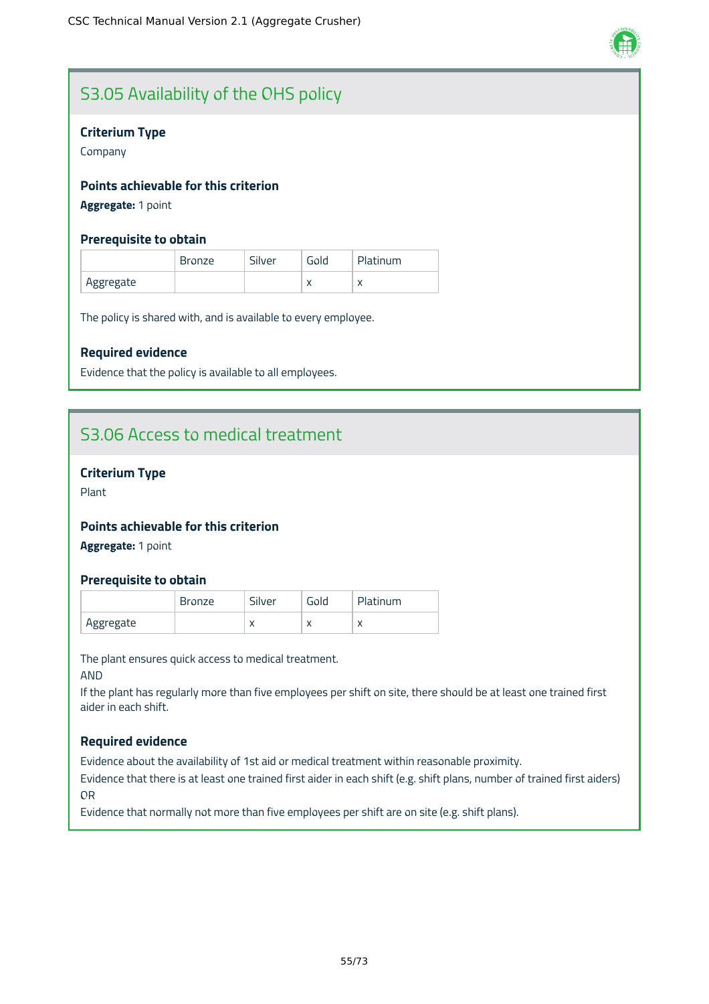

# S3.05 Availability of the OHS policy

#### **Criterium Type**

Company

#### **Points achievable for this criterion**

**Aggregate:** 1 point

#### **Prerequisite to obtain**

|           | Bronze | Silver | Gold | Platinum  |
|-----------|--------|--------|------|-----------|
| Aggregate |        |        | ◠    | $\lambda$ |

The policy is shared with, and is available to every employee.

#### **Required evidence**

Evidence that the policy is available to all employees.

# S3.06 Access to medical treatment

#### **Criterium Type**

Plant

### **Points achievable for this criterion**

**Aggregate:** 1 point

#### **Prerequisite to obtain**

|           | Bronze | Silver    | Gold      | Platinum |
|-----------|--------|-----------|-----------|----------|
| Aggregate |        | $\lambda$ | $\lambda$ |          |

The plant ensures quick access to medical treatment.

AND

If the plant has regularly more than five employees per shift on site, there should be at least one trained first aider in each shift.

#### **Required evidence**

Evidence about the availability of 1st aid or medical treatment within reasonable proximity.

Evidence that there is at least one trained first aider in each shift (e.g. shift plans, number of trained first aiders) OR

Evidence that normally not more than five employees per shift are on site (e.g. shift plans).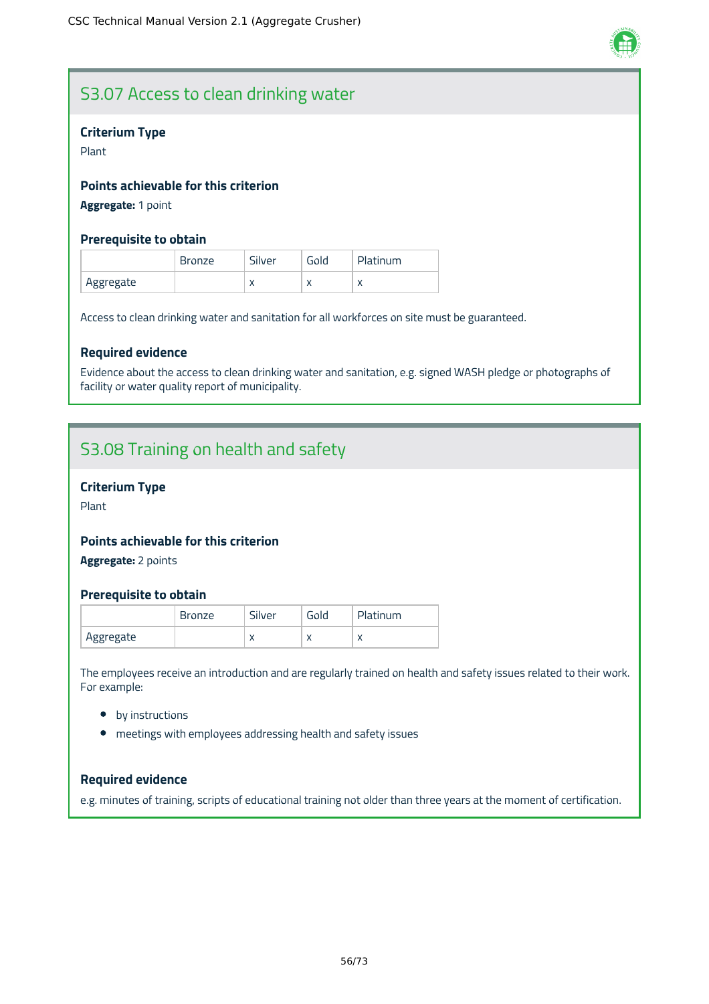

# S3.07 Access to clean drinking water

#### **Criterium Type**

Plant

#### **Points achievable for this criterion**

**Aggregate:** 1 point

#### **Prerequisite to obtain**

|            | <b>Bronze</b> | Silver    | Gold      | Platinum  |
|------------|---------------|-----------|-----------|-----------|
| `Aggregate |               | $\lambda$ | $\lambda$ | $\lambda$ |

Access to clean drinking water and sanitation for all workforces on site must be guaranteed.

#### **Required evidence**

Evidence about the access to clean drinking water and sanitation, e.g. signed WASH pledge or photographs of facility or water quality report of municipality.

# S3.08 Training on health and safety

#### **Criterium Type**

Plant

### **Points achievable for this criterion**

**Aggregate:** 2 points

#### **Prerequisite to obtain**

|           | <b>Bronze</b> | Silver    | Gold      | Platinum  |
|-----------|---------------|-----------|-----------|-----------|
| Aggregate |               | $\lambda$ | $\lambda$ | $\lambda$ |

The employees receive an introduction and are regularly trained on health and safety issues related to their work. For example:

- by instructions
- meetings with employees addressing health and safety issues

#### **Required evidence**

e.g. minutes of training, scripts of educational training not older than three years at the moment of certification.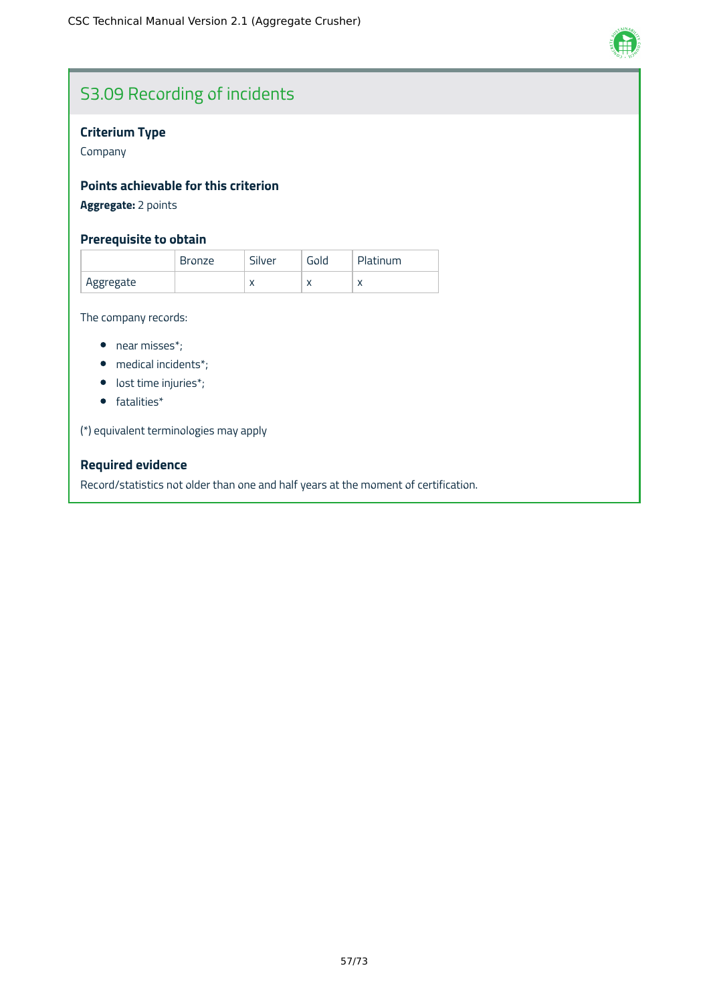

# S3.09 Recording of incidents

### **Criterium Type**

Company

### **Points achievable for this criterion**

**Aggregate:** 2 points

#### **Prerequisite to obtain**

|           | <b>Bronze</b> | Silver    | Gold | Platinum  |
|-----------|---------------|-----------|------|-----------|
| Aggregate |               | $\lambda$ |      | $\lambda$ |

The company records:

- near misses\*;
- medical incidents\*;
- lost time injuries\*;
- fatalities\*

(\*) equivalent terminologies may apply

### **Required evidence**

Record/statistics not older than one and half years at the moment of certification.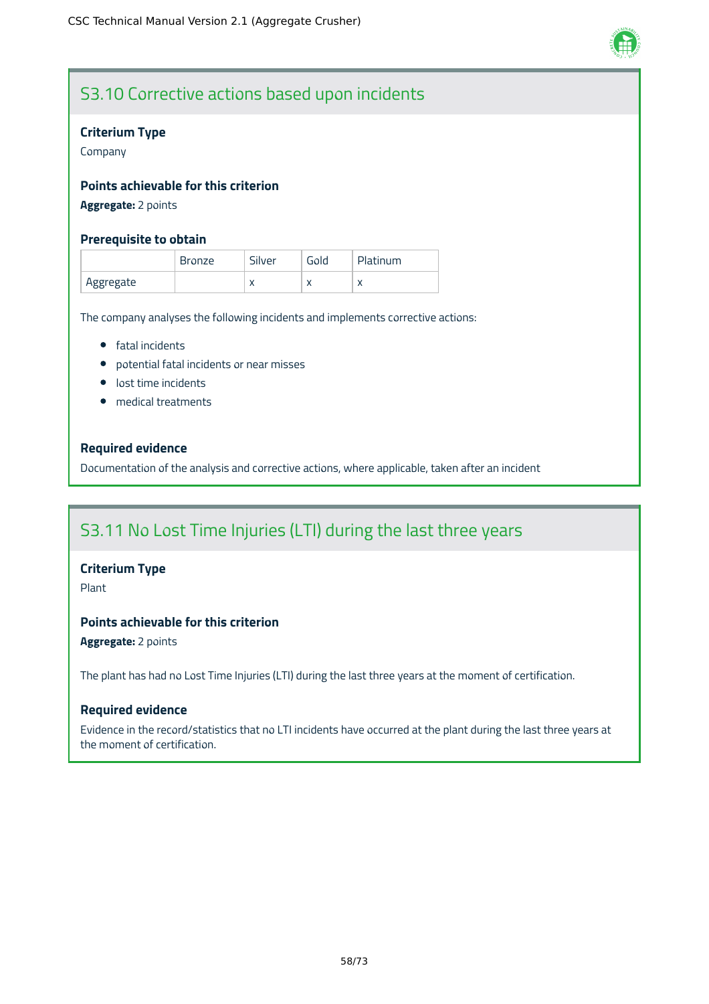

# S3.10 Corrective actions based upon incidents

#### **Criterium Type**

Company

#### **Points achievable for this criterion**

#### **Aggregate:** 2 points

#### **Prerequisite to obtain**

|           | Bronze | Silver    | Gold      | Platinum |
|-----------|--------|-----------|-----------|----------|
| Aggregate |        | $\lambda$ | $\lambda$ |          |

The company analyses the following incidents and implements corrective actions:

- **•** fatal incidents
- potential fatal incidents or near misses
- **·** lost time incidents
- medical treatments

#### **Required evidence**

Documentation of the analysis and corrective actions, where applicable, taken after an incident

# S3.11 No Lost Time Injuries (LTI) during the last three years

#### **Criterium Type**

Plant

### **Points achievable for this criterion**

**Aggregate:** 2 points

The plant has had no Lost Time Injuries (LTI) during the last three years at the moment of certification.

#### **Required evidence**

Evidence in the record/statistics that no LTI incidents have occurred at the plant during the last three years at the moment of certification.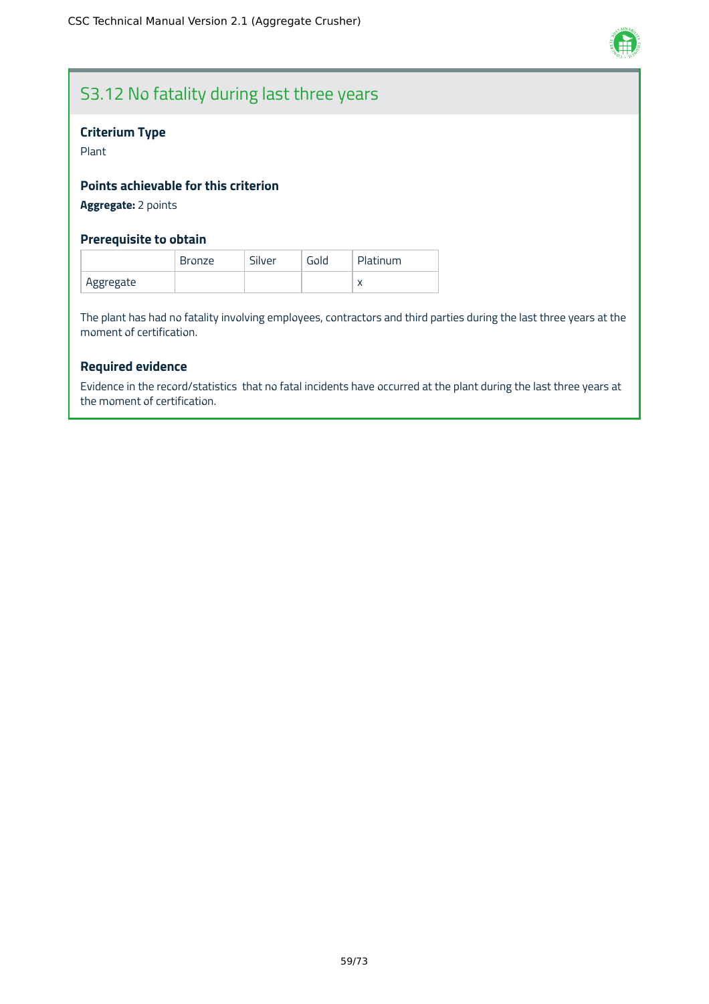

# S3.12 No fatality during last three years

#### **Criterium Type**

Plant

#### **Points achievable for this criterion**

**Aggregate:** 2 points

### **Prerequisite to obtain**

|           | <b>Bronze</b> | Silver | Gold | <b>Platinum</b> |
|-----------|---------------|--------|------|-----------------|
| Aggregate |               |        |      | $\lambda$       |

The plant has had no fatality involving employees, contractors and third parties during the last three years at the moment of certification.

### **Required evidence**

Evidence in the record/statistics that no fatal incidents have occurred at the plant during the last three years at the moment of certification.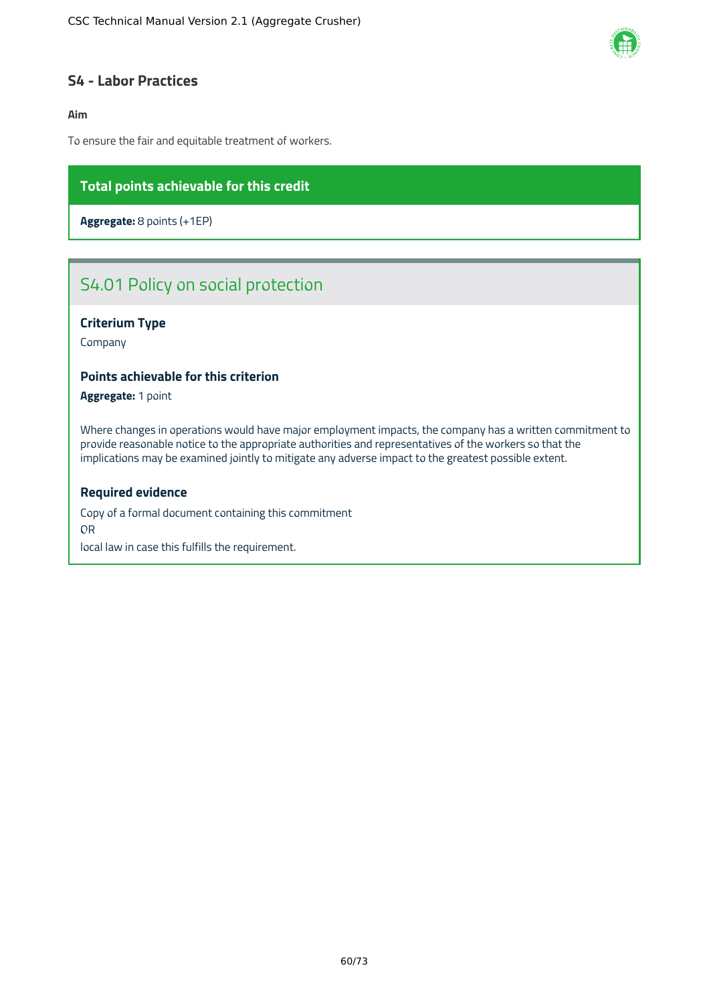

### **S4 - Labor Practices**

#### **Aim**

To ensure the fair and equitable treatment of workers.

### **Total points achievable for this credit**

**Aggregate:** 8 points (+1EP)

# S4.01 Policy on social protection

#### **Criterium Type**

Company

#### **Points achievable for this criterion**

**Aggregate:** 1 point

Where changes in operations would have major employment impacts, the company has a written commitment to provide reasonable notice to the appropriate authorities and representatives of the workers so that the implications may be examined jointly to mitigate any adverse impact to the greatest possible extent.

#### **Required evidence**

Copy of a formal document containing this commitment OR local law in case this fulfills the requirement.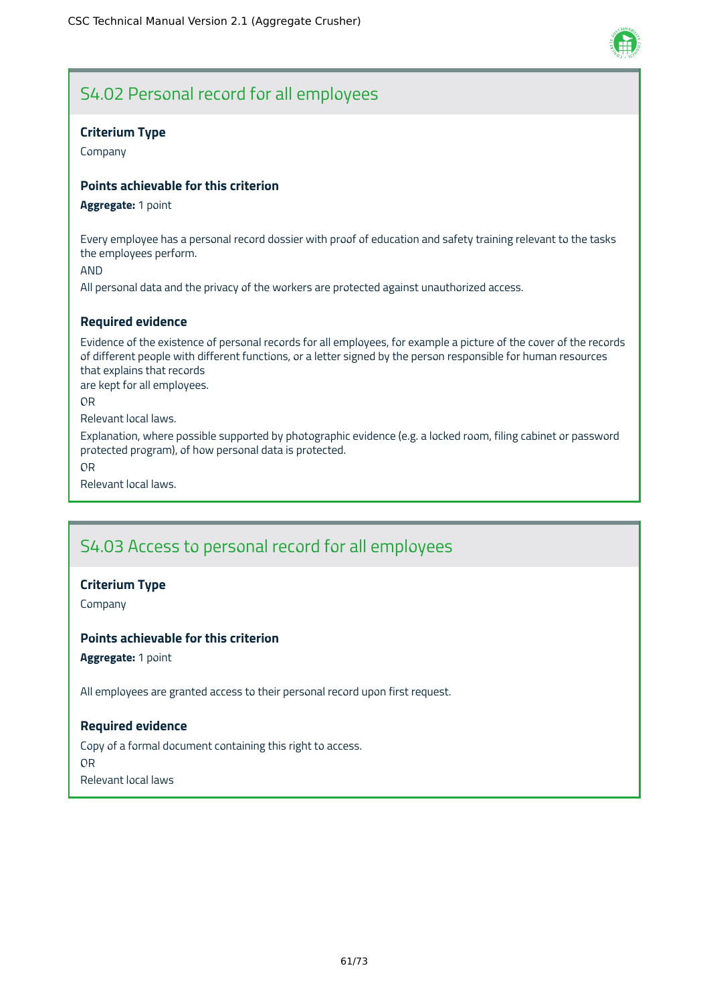

# S4.02 Personal record for all employees

#### **Criterium Type**

Company

#### **Points achievable for this criterion**

#### **Aggregate:** 1 point

Every employee has a personal record dossier with proof of education and safety training relevant to the tasks the employees perform.

AND

All personal data and the privacy of the workers are protected against unauthorized access.

### **Required evidence**

Evidence of the existence of personal records for all employees, for example a picture of the cover of the records of different people with different functions, or a letter signed by the person responsible for human resources that explains that records

are kept for all employees.

OR

Relevant local laws.

Explanation, where possible supported by photographic evidence (e.g. a locked room, filing cabinet or password protected program), of how personal data is protected.

OR

Relevant local laws.

# S4.03 Access to personal record for all employees

#### **Criterium Type**

Company

#### **Points achievable for this criterion**

**Aggregate:** 1 point

All employees are granted access to their personal record upon first request.

#### **Required evidence**

Copy of a formal document containing this right to access. OR Relevant local laws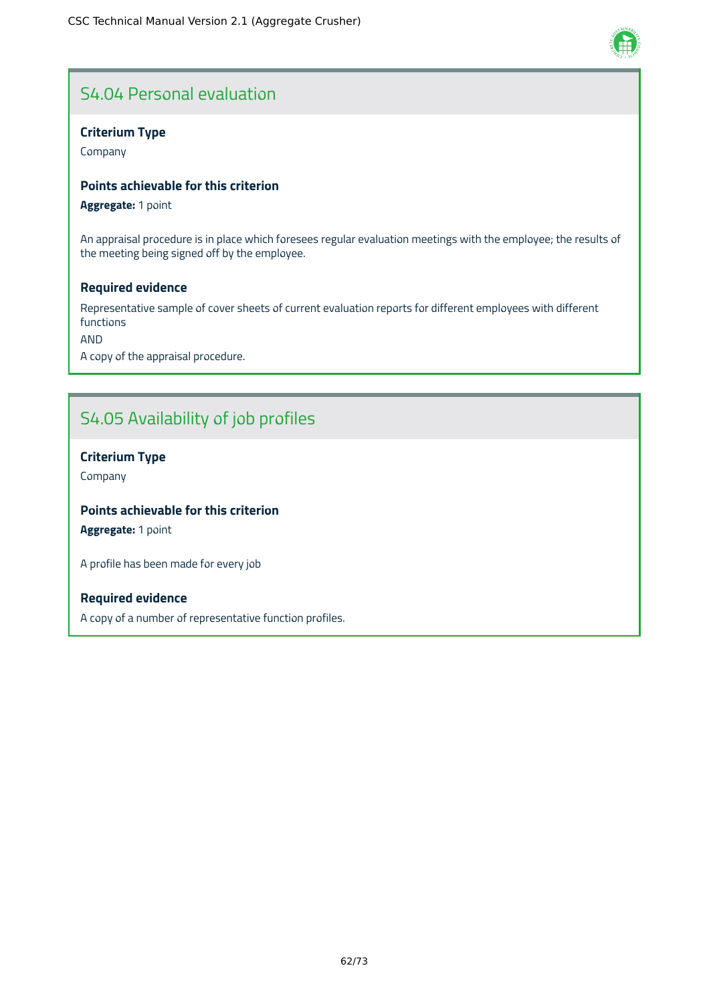# S4.04 Personal evaluation

#### **Criterium Type**

Company

#### **Points achievable for this criterion**

**Aggregate:** 1 point

An appraisal procedure is in place which foresees regular evaluation meetings with the employee; the results of the meeting being signed off by the employee.

#### **Required evidence**

Representative sample of cover sheets of current evaluation reports for different employees with different functions

AND

A copy of the appraisal procedure.

# S4.05 Availability of job profiles

#### **Criterium Type**

Company

### **Points achievable for this criterion**

**Aggregate:** 1 point

A profile has been made for every job

#### **Required evidence**

A copy of a number of representative function profiles.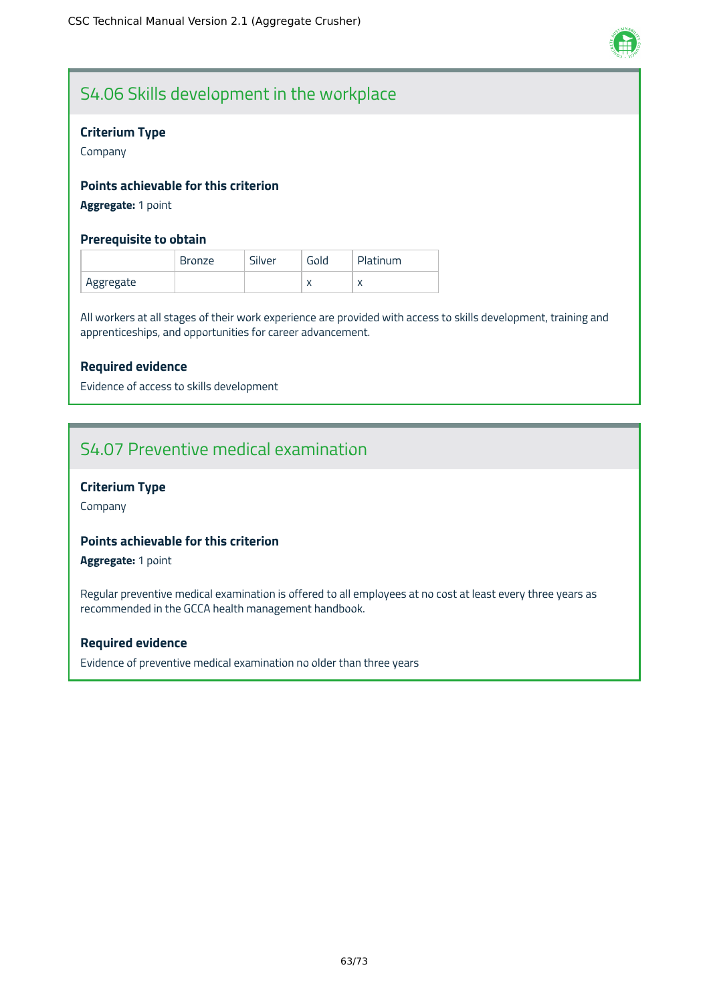

# S4.06 Skills development in the workplace

#### **Criterium Type**

Company

#### **Points achievable for this criterion**

**Aggregate:** 1 point

#### **Prerequisite to obtain**

|           | <b>Bronze</b> | Silver | Gold      | Platinum  |
|-----------|---------------|--------|-----------|-----------|
| Aggregate |               |        | $\lambda$ | $\lambda$ |

All workers at all stages of their work experience are provided with access to skills development, training and apprenticeships, and opportunities for career advancement.

#### **Required evidence**

Evidence of access to skills development

# S4.07 Preventive medical examination

#### **Criterium Type**

Company

### **Points achievable for this criterion**

**Aggregate:** 1 point

Regular preventive medical examination is offered to all employees at no cost at least every three years as recommended in the GCCA health management handbook.

#### **Required evidence**

Evidence of preventive medical examination no older than three years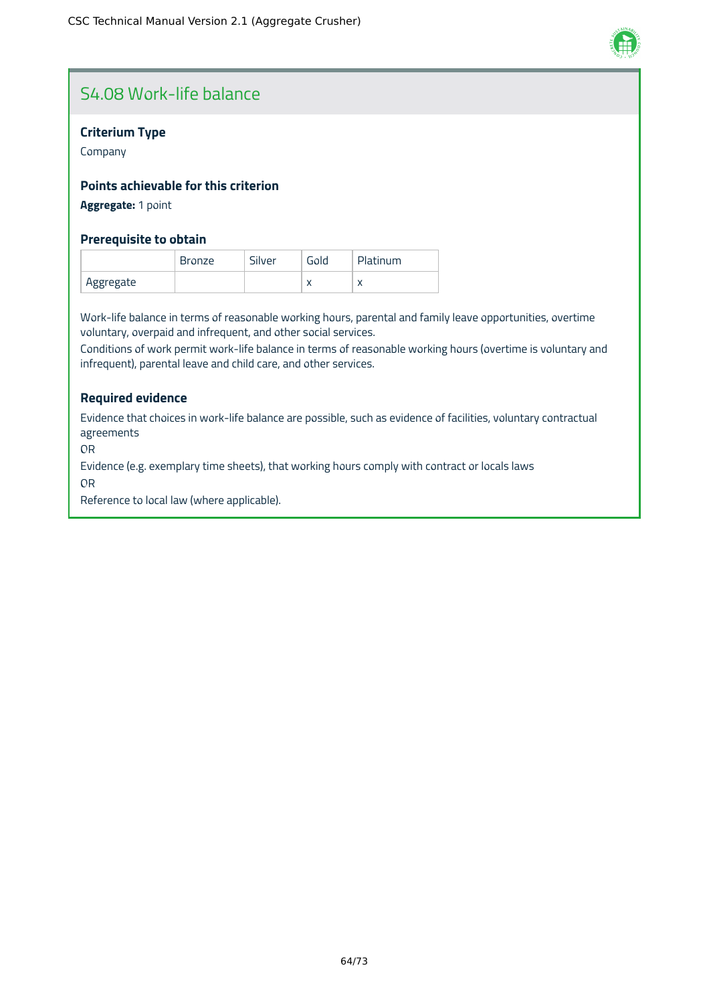

# S4.08 Work-life balance

#### **Criterium Type**

Company

#### **Points achievable for this criterion**

#### **Aggregate:** 1 point

#### **Prerequisite to obtain**

|           | <b>Bronze</b> | Silver | Gold      | Platinum |
|-----------|---------------|--------|-----------|----------|
| Aggregate |               |        | $\lambda$ |          |

Work-life balance in terms of reasonable working hours, parental and family leave opportunities, overtime voluntary, overpaid and infrequent, and other social services.

Conditions of work permit work-life balance in terms of reasonable working hours (overtime is voluntary and infrequent), parental leave and child care, and other services.

#### **Required evidence**

Evidence that choices in work-life balance are possible, such as evidence of facilities, voluntary contractual agreements

OR

Evidence (e.g. exemplary time sheets), that working hours comply with contract or locals laws

OR

Reference to local law (where applicable).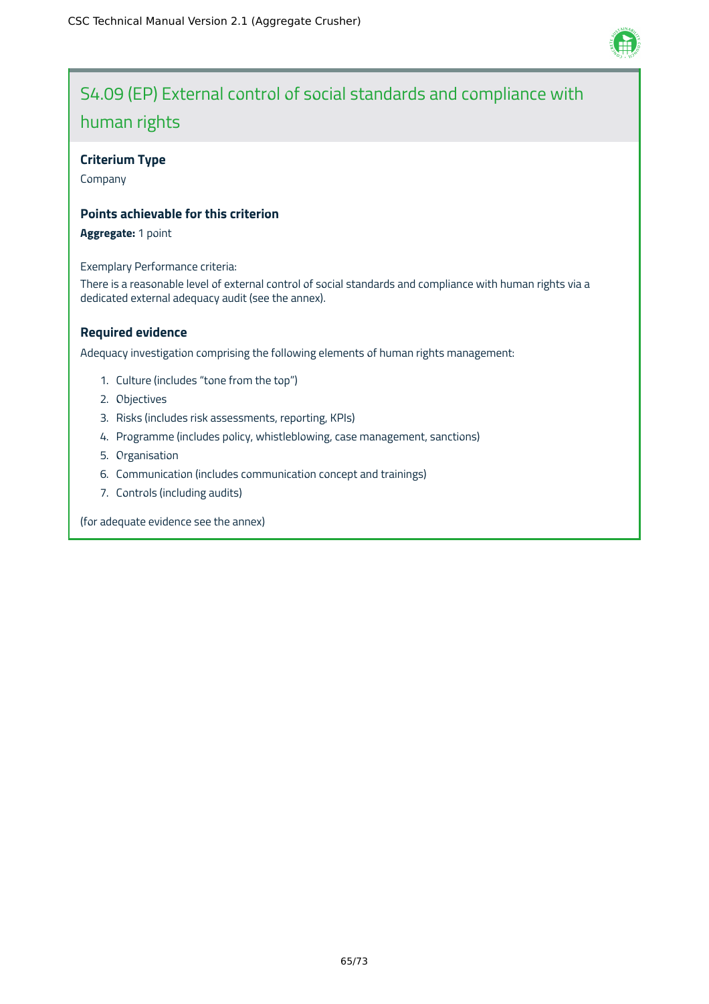

# S4.09 (EP) External control of social standards and compliance with human rights

#### **Criterium Type**

Company

#### **Points achievable for this criterion**

**Aggregate:** 1 point

Exemplary Performance criteria:

There is a reasonable level of external control of social standards and compliance with human rights via a dedicated external adequacy audit (see the annex).

### **Required evidence**

Adequacy investigation comprising the following elements of human rights management:

- 1. Culture (includes "tone from the top")
- 2. Objectives
- 3. Risks (includes risk assessments, reporting, KPIs)
- 4. Programme (includes policy, whistleblowing, case management, sanctions)
- 5. Organisation
- 6. Communication (includes communication concept and trainings)
- 7. Controls (including audits)

(for adequate evidence see the annex)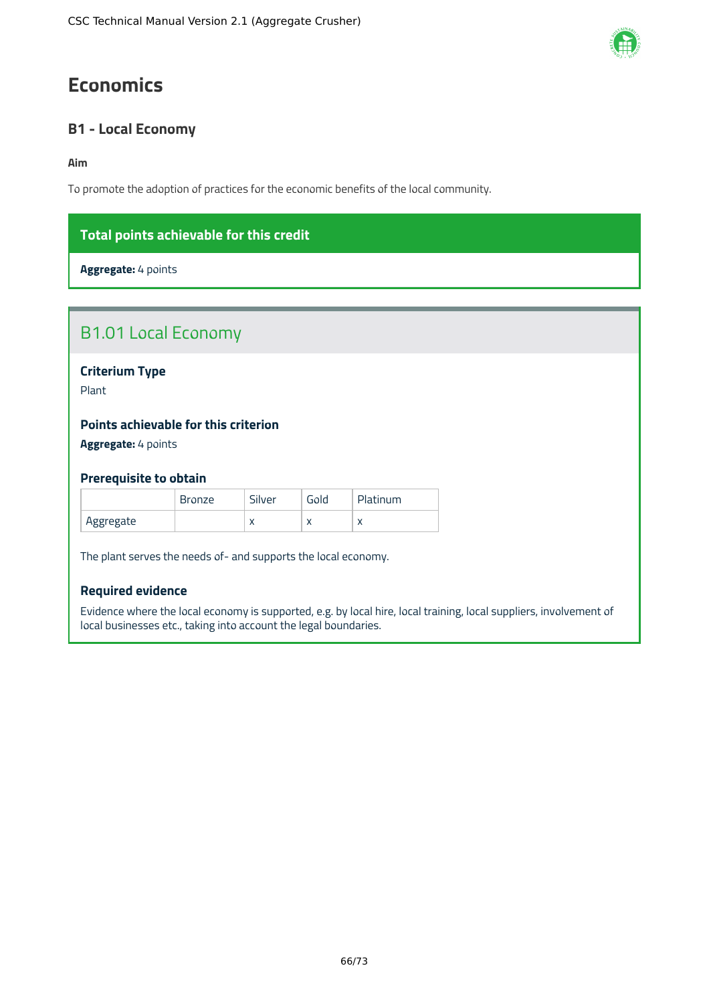# **Economics**

### **B1 - Local Economy**

#### **Aim**

To promote the adoption of practices for the economic benefits of the local community.

### **Total points achievable for this credit**

**Aggregate:** 4 points

| <b>B1.01 Local Economy</b>           |               |        |      |                 |  |
|--------------------------------------|---------------|--------|------|-----------------|--|
| <b>Criterium Type</b>                |               |        |      |                 |  |
| Plant                                |               |        |      |                 |  |
| Points achievable for this criterion |               |        |      |                 |  |
| Aggregate: 4 points                  |               |        |      |                 |  |
| <b>Prerequisite to obtain</b>        |               |        |      |                 |  |
|                                      | <b>Bronze</b> | Silver | Gold | <b>Platinum</b> |  |

|           | <b>Bronze</b> | Silver    | Gola      | <b>Platinum</b> |
|-----------|---------------|-----------|-----------|-----------------|
| Aggregate |               | $\lambda$ | $\lambda$ | $\lambda$       |

The plant serves the needs of- and supports the local economy.

#### **Required evidence**

Evidence where the local economy is supported, e.g. by local hire, local training, local suppliers, involvement of local businesses etc., taking into account the legal boundaries.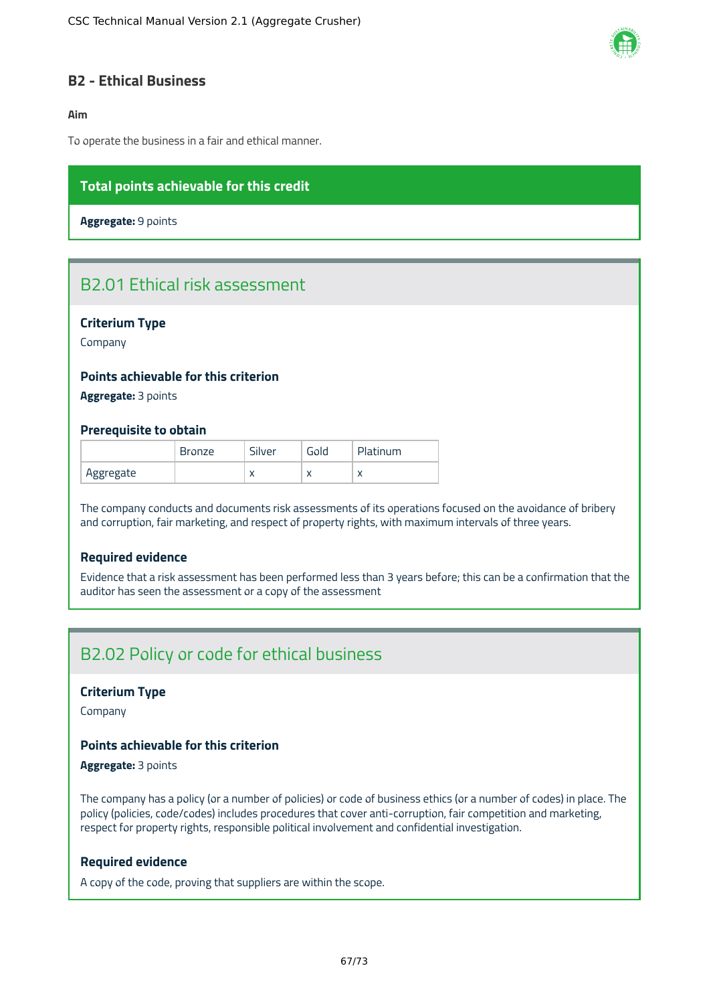

### **B2 - Ethical Business**

#### **Aim**

To operate the business in a fair and ethical manner.

### **Total points achievable for this credit**

**Aggregate:** 9 points

# B2.01 Ethical risk assessment

#### **Criterium Type**

Company

#### **Points achievable for this criterion**

**Aggregate:** 3 points

#### **Prerequisite to obtain**

|           | <b>Bronze</b> | Silver    | Gold      | Platinum |
|-----------|---------------|-----------|-----------|----------|
| Aggregate |               | $\lambda$ | $\lambda$ |          |

The company conducts and documents risk assessments of its operations focused on the avoidance of bribery and corruption, fair marketing, and respect of property rights, with maximum intervals of three years.

#### **Required evidence**

Evidence that a risk assessment has been performed less than 3 years before; this can be a confirmation that the auditor has seen the assessment or a copy of the assessment

# B2.02 Policy or code for ethical business

#### **Criterium Type**

Company

#### **Points achievable for this criterion**

#### **Aggregate:** 3 points

The company has a policy (or a number of policies) or code of business ethics (or a number of codes) in place. The policy (policies, code/codes) includes procedures that cover anti-corruption, fair competition and marketing, respect for property rights, responsible political involvement and confidential investigation.

#### **Required evidence**

A copy of the code, proving that suppliers are within the scope.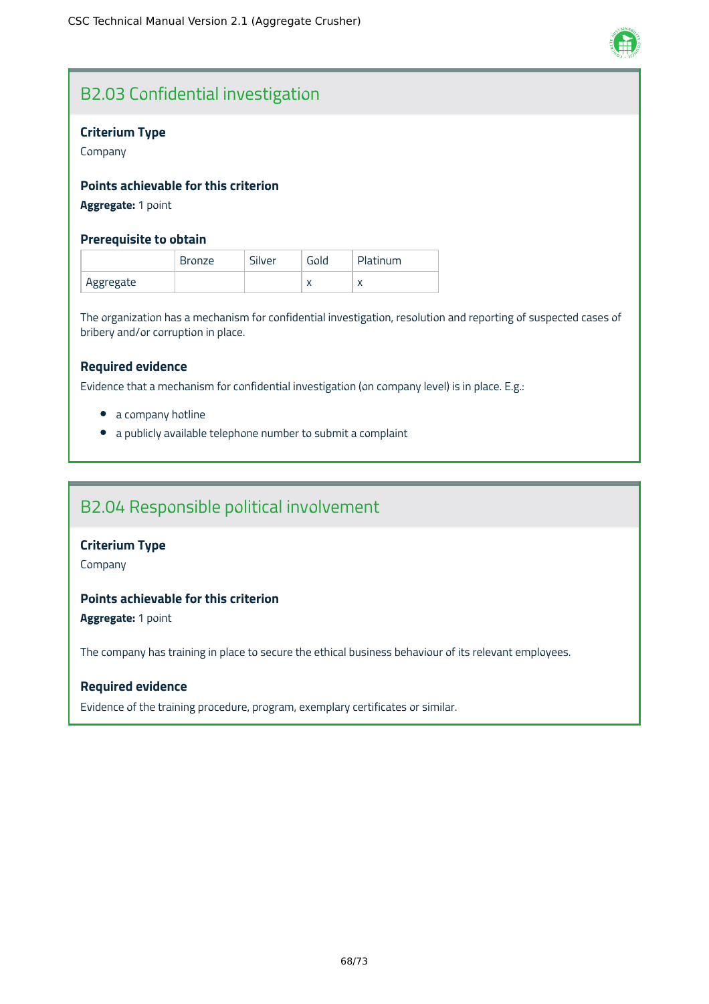

# B2.03 Confidential investigation

#### **Criterium Type**

Company

### **Points achievable for this criterion**

### **Aggregate:** 1 point

#### **Prerequisite to obtain**

|           | <b>Bronze</b> | Silver | Gold      | Platinum |
|-----------|---------------|--------|-----------|----------|
| Aggregate |               |        | $\lambda$ |          |

The organization has a mechanism for confidential investigation, resolution and reporting of suspected cases of bribery and/or corruption in place.

#### **Required evidence**

Evidence that a mechanism for confidential investigation (on company level) is in place. E.g.:

- a company hotline
- a publicly available telephone number to submit a complaint

### B2.04 Responsible political involvement

#### **Criterium Type**

Company

### **Points achievable for this criterion**

**Aggregate:** 1 point

The company has training in place to secure the ethical business behaviour of its relevant employees.

#### **Required evidence**

Evidence of the training procedure, program, exemplary certificates or similar.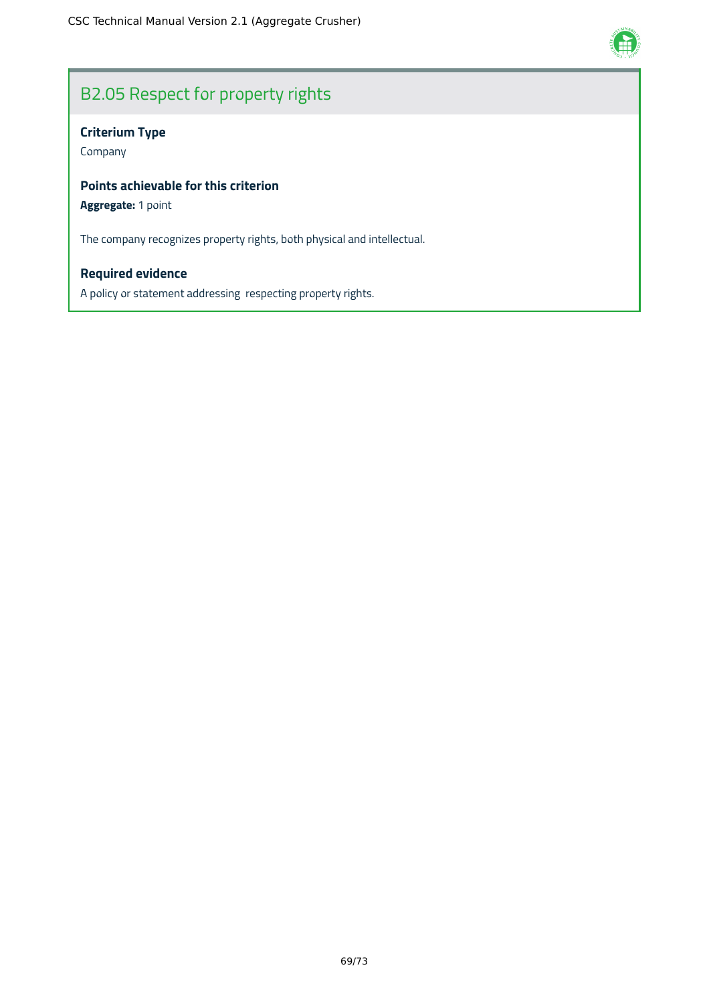

# B2.05 Respect for property rights

### **Criterium Type**

Company

### **Points achievable for this criterion**

### **Aggregate:** 1 point

The company recognizes property rights, both physical and intellectual.

### **Required evidence**

A policy or statement addressing respecting property rights.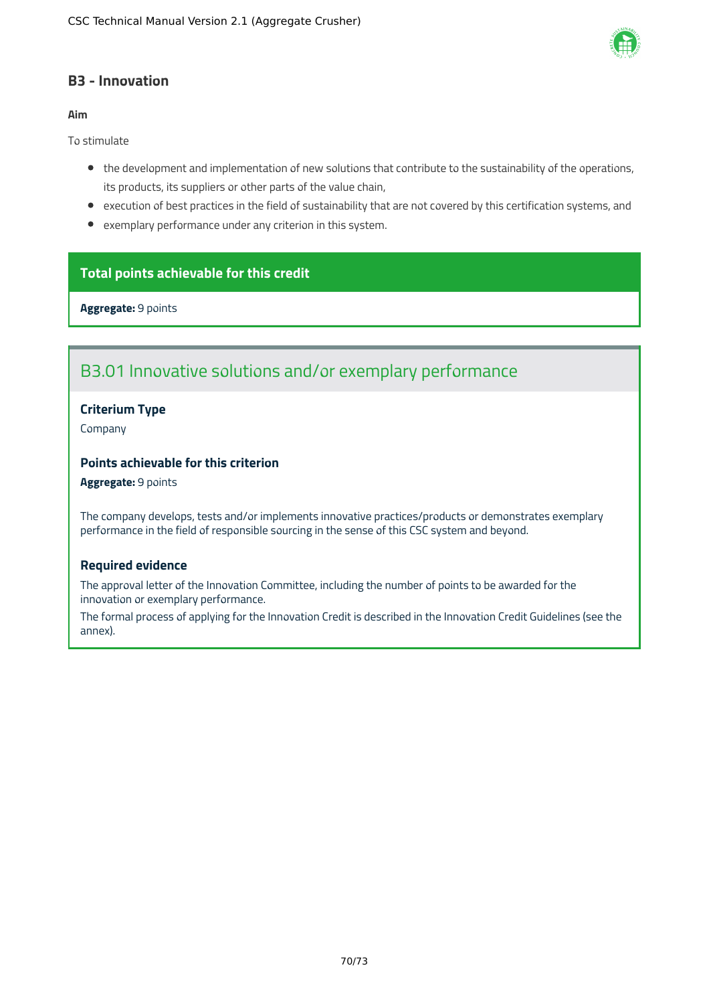

### **B3 - Innovation**

#### **Aim**

To stimulate

- the development and implementation of new solutions that contribute to the sustainability of the operations, its products, its suppliers or other parts of the value chain,
- execution of best practices in the field of sustainability that are not covered by this certification systems, and
- exemplary performance under any criterion in this system.

### **Total points achievable for this credit**

**Aggregate:** 9 points

# B3.01 Innovative solutions and/or exemplary performance

#### **Criterium Type**

Company

### **Points achievable for this criterion**

#### **Aggregate:** 9 points

The company develops, tests and/or implements innovative practices/products or demonstrates exemplary performance in the field of responsible sourcing in the sense of this CSC system and beyond.

#### **Required evidence**

The approval letter of the Innovation Committee, including the number of points to be awarded for the innovation or exemplary performance.

The formal process of applying for the Innovation Credit is described in the Innovation Credit Guidelines (see the annex).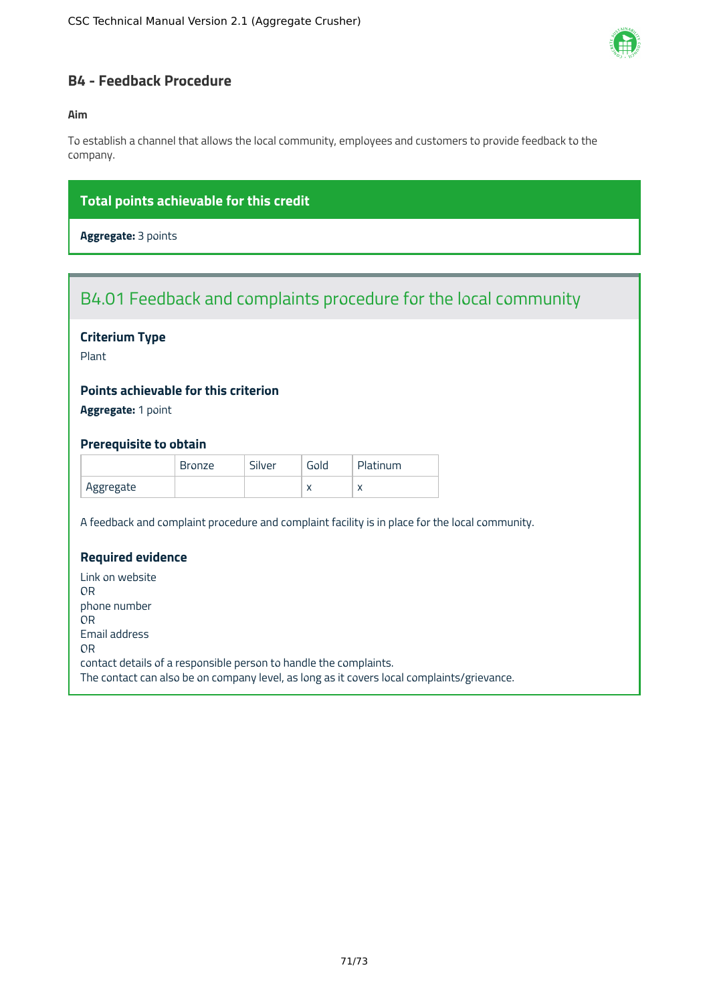

### **B4 - Feedback Procedure**

#### **Aim**

To establish a channel that allows the local community, employees and customers to provide feedback to the company.

### **Total points achievable for this credit**

**Aggregate:** 3 points

# B4.01 Feedback and complaints procedure for the local community

#### **Criterium Type**

Plant

### **Points achievable for this criterion**

**Aggregate:** 1 point

#### **Prerequisite to obtain**

|           | <b>Bronze</b> | Silver | Gold      | Platinum  |
|-----------|---------------|--------|-----------|-----------|
| Aggregate |               |        | $\lambda$ | $\lambda$ |

A feedback and complaint procedure and complaint facility is in place for the local community.

### **Required evidence**

Link on website OR phone number OR Email address OR contact details of a responsible person to handle the complaints. The contact can also be on company level, as long as it covers local complaints/grievance.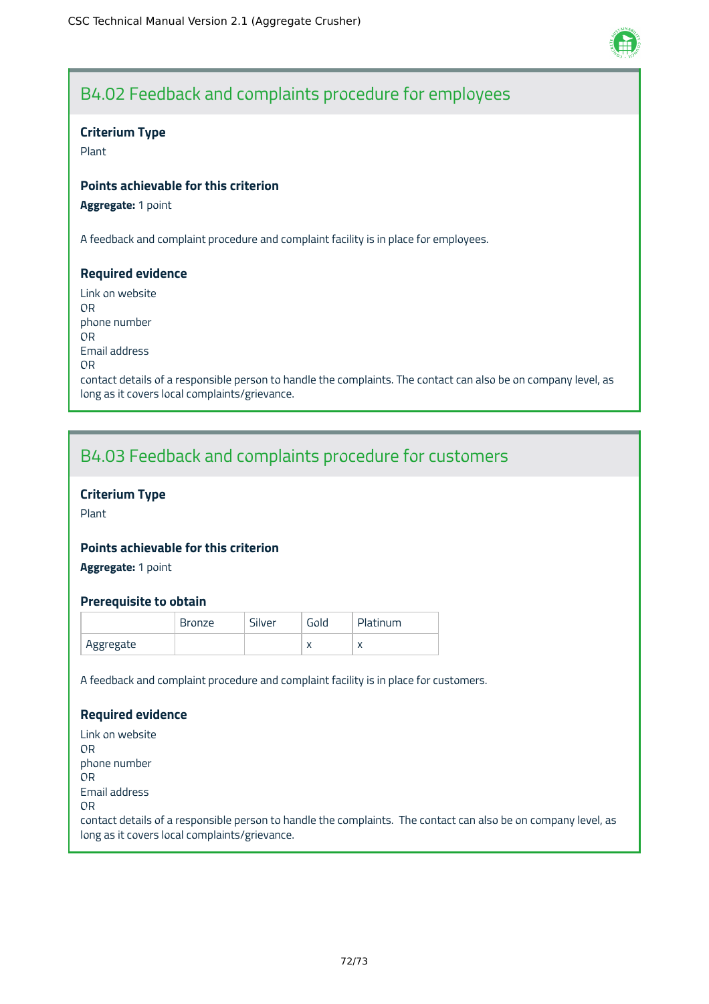

## B4.02 Feedback and complaints procedure for employees

### **Criterium Type**

Plant

## **Points achievable for this criterion**

**Aggregate:** 1 point

A feedback and complaint procedure and complaint facility is in place for employees.

### **Required evidence**

Link on website OR phone number OR Email address OR contact details of a responsible person to handle the complaints. The contact can also be on company level, as long as it covers local complaints/grievance.

## B4.03 Feedback and complaints procedure for customers

## **Criterium Type**

Plant

## **Points achievable for this criterion**

**Aggregate:** 1 point

### **Prerequisite to obtain**

|           | <b>Bronze</b> | Silver | Gold      | Platinum  |
|-----------|---------------|--------|-----------|-----------|
| Aggregate |               |        | $\lambda$ | $\lambda$ |

A feedback and complaint procedure and complaint facility is in place for customers.

### **Required evidence**

Link on website OR phone number OR Email address OR contact details of a responsible person to handle the complaints. The contact can also be on company level, as long as it covers local complaints/grievance.